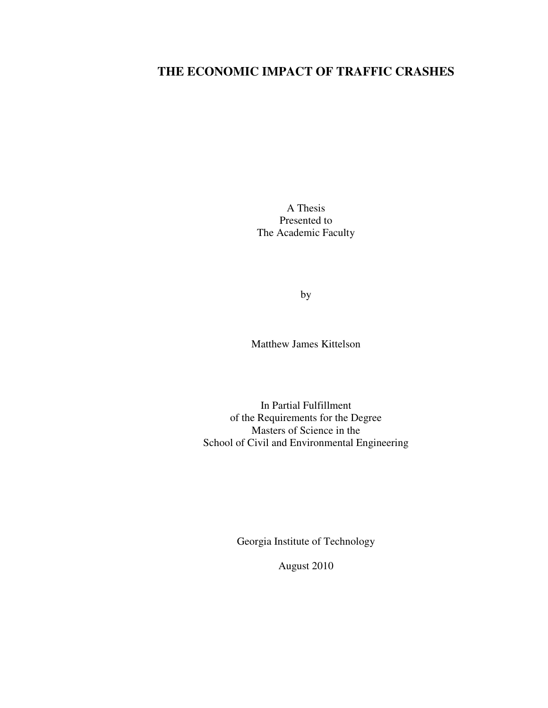# **THE ECONOMIC IMPACT OF TRAFFIC CRASHES**

A Thesis Presented to The Academic Faculty

by

Matthew James Kittelson

In Partial Fulfillment of the Requirements for the Degree Masters of Science in the School of Civil and Environmental Engineering

Georgia Institute of Technology

August 2010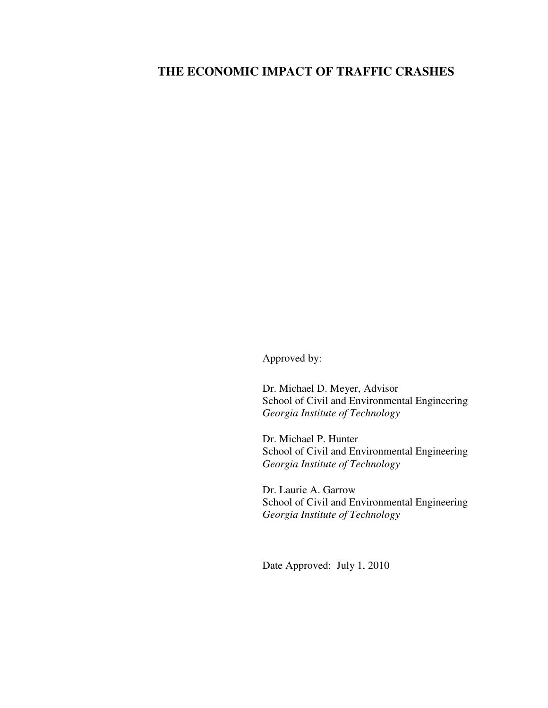# **THE ECONOMIC IMPACT OF TRAFFIC CRASHES**

Approved by:

Dr. Michael D. Meyer, Advisor School of Civil and Environmental Engineering *Georgia Institute of Technology* 

Dr. Michael P. Hunter School of Civil and Environmental Engineering *Georgia Institute of Technology*

Dr. Laurie A. Garrow School of Civil and Environmental Engineering *Georgia Institute of Technology*

Date Approved: July 1, 2010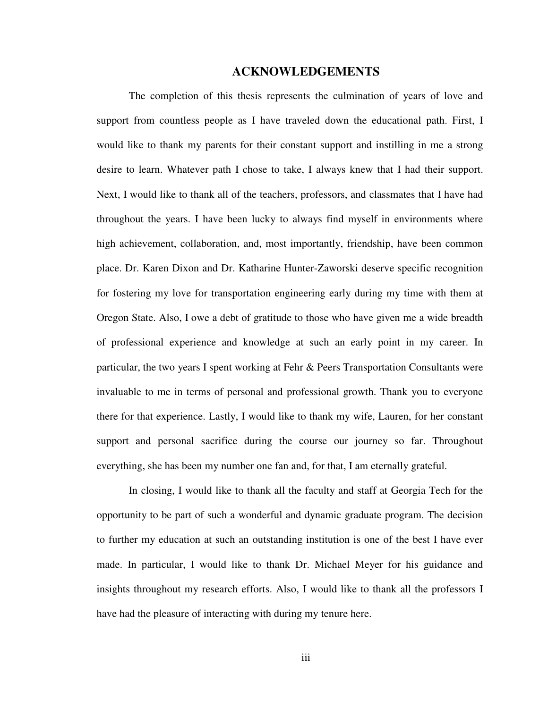### **ACKNOWLEDGEMENTS**

The completion of this thesis represents the culmination of years of love and support from countless people as I have traveled down the educational path. First, I would like to thank my parents for their constant support and instilling in me a strong desire to learn. Whatever path I chose to take, I always knew that I had their support. Next, I would like to thank all of the teachers, professors, and classmates that I have had throughout the years. I have been lucky to always find myself in environments where high achievement, collaboration, and, most importantly, friendship, have been common place. Dr. Karen Dixon and Dr. Katharine Hunter-Zaworski deserve specific recognition for fostering my love for transportation engineering early during my time with them at Oregon State. Also, I owe a debt of gratitude to those who have given me a wide breadth of professional experience and knowledge at such an early point in my career. In particular, the two years I spent working at Fehr & Peers Transportation Consultants were invaluable to me in terms of personal and professional growth. Thank you to everyone there for that experience. Lastly, I would like to thank my wife, Lauren, for her constant support and personal sacrifice during the course our journey so far. Throughout everything, she has been my number one fan and, for that, I am eternally grateful.

In closing, I would like to thank all the faculty and staff at Georgia Tech for the opportunity to be part of such a wonderful and dynamic graduate program. The decision to further my education at such an outstanding institution is one of the best I have ever made. In particular, I would like to thank Dr. Michael Meyer for his guidance and insights throughout my research efforts. Also, I would like to thank all the professors I have had the pleasure of interacting with during my tenure here.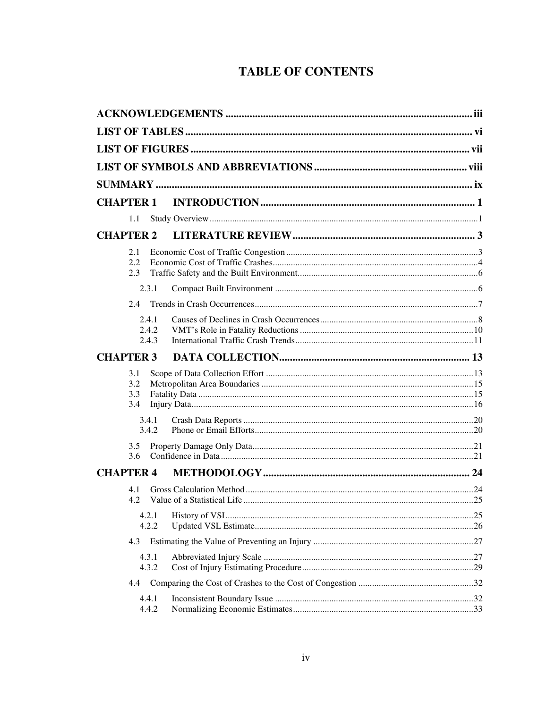# **TABLE OF CONTENTS**

| <b>CHAPTER 1</b>         |                         |  |
|--------------------------|-------------------------|--|
| 1.1                      |                         |  |
| <b>CHAPTER 2</b>         |                         |  |
| 2.1<br>2.2<br>2.3        |                         |  |
|                          | 2.3.1                   |  |
| 2.4                      |                         |  |
|                          | 2.4.1<br>2.4.2<br>2.4.3 |  |
| <b>CHAPTER 3</b>         |                         |  |
| 3.1<br>3.2<br>3.3<br>3.4 |                         |  |
|                          | 3.4.1<br>3.4.2          |  |
| 3.5<br>3.6               |                         |  |
| <b>CHAPTER 4</b>         |                         |  |
| 4.1<br>4.2.              |                         |  |
|                          | 4.2.1<br>4.2.2          |  |
| 4.3                      |                         |  |
|                          | 4.3.1<br>4.3.2          |  |
| 4.4                      |                         |  |
|                          | 4.4.1<br>4.4.2          |  |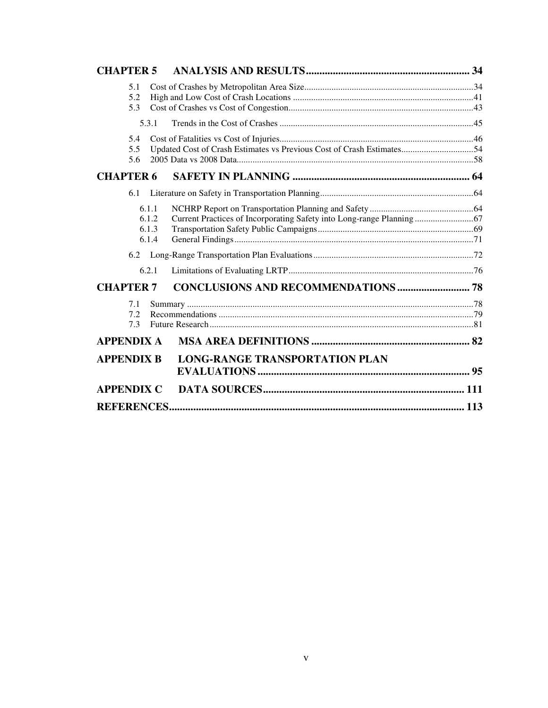| <b>CHAPTER 5</b>                 |                                                                        |  |
|----------------------------------|------------------------------------------------------------------------|--|
| 5.1<br>5.2<br>5.3                |                                                                        |  |
| 5.3.1                            |                                                                        |  |
| 5.4<br>5.5<br>5.6                | Updated Cost of Crash Estimates vs Previous Cost of Crash Estimates54  |  |
| <b>CHAPTER 6</b>                 |                                                                        |  |
| 6.1                              |                                                                        |  |
| 6.1.1<br>6.1.2<br>6.1.3<br>6.1.4 | Current Practices of Incorporating Safety into Long-range Planning  67 |  |
|                                  |                                                                        |  |
| 6.2.1                            |                                                                        |  |
| <b>CHAPTER 7</b>                 | <b>CONCLUSIONS AND RECOMMENDATIONS  78</b>                             |  |
| 7.1<br>7.2<br>7.3                |                                                                        |  |
| <b>APPENDIX A</b>                |                                                                        |  |
| <b>APPENDIX B</b>                | <b>LONG-RANGE TRANSPORTATION PLAN</b>                                  |  |
| <b>APPENDIX C</b>                |                                                                        |  |
|                                  |                                                                        |  |
|                                  |                                                                        |  |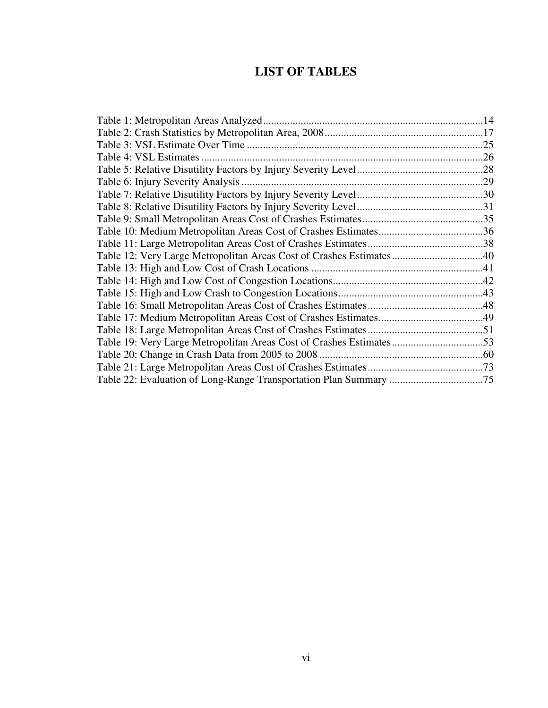# **LIST OF TABLES**

|                                   | .25 |
|-----------------------------------|-----|
|                                   |     |
|                                   |     |
| Table 6: Injury Severity Analysis |     |
|                                   |     |
|                                   |     |
|                                   |     |
|                                   |     |
|                                   |     |
|                                   |     |
|                                   |     |
|                                   |     |
|                                   |     |
|                                   |     |
|                                   |     |
|                                   |     |
|                                   |     |
|                                   |     |
|                                   |     |
|                                   |     |
|                                   |     |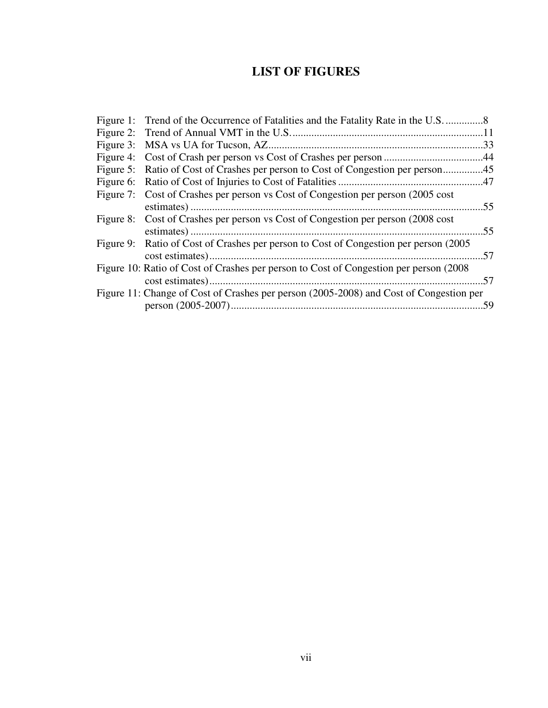# **LIST OF FIGURES**

|                                                                                        | .33 |
|----------------------------------------------------------------------------------------|-----|
|                                                                                        |     |
|                                                                                        |     |
|                                                                                        |     |
| Figure 7: Cost of Crashes per person vs Cost of Congestion per person (2005 cost       | .55 |
| Figure 8: Cost of Crashes per person vs Cost of Congestion per person (2008 cost       | .55 |
| Figure 9: Ratio of Cost of Crashes per person to Cost of Congestion per person (2005)  | .57 |
| Figure 10: Ratio of Cost of Crashes per person to Cost of Congestion per person (2008) | 57  |
| Figure 11: Change of Cost of Crashes per person (2005-2008) and Cost of Congestion per |     |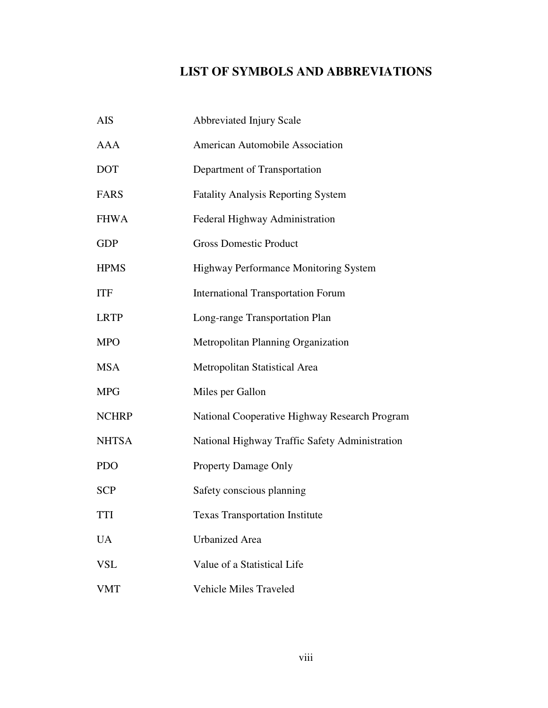# **LIST OF SYMBOLS AND ABBREVIATIONS**

| AIS          | Abbreviated Injury Scale                       |
|--------------|------------------------------------------------|
| AAA          | American Automobile Association                |
| <b>DOT</b>   | Department of Transportation                   |
| FARS         | <b>Fatality Analysis Reporting System</b>      |
| <b>FHWA</b>  | Federal Highway Administration                 |
| <b>GDP</b>   | <b>Gross Domestic Product</b>                  |
| <b>HPMS</b>  | <b>Highway Performance Monitoring System</b>   |
| <b>ITF</b>   | <b>International Transportation Forum</b>      |
| <b>LRTP</b>  | Long-range Transportation Plan                 |
| <b>MPO</b>   | <b>Metropolitan Planning Organization</b>      |
| <b>MSA</b>   | Metropolitan Statistical Area                  |
| <b>MPG</b>   | Miles per Gallon                               |
| <b>NCHRP</b> | National Cooperative Highway Research Program  |
| <b>NHTSA</b> | National Highway Traffic Safety Administration |
| <b>PDO</b>   | <b>Property Damage Only</b>                    |
| <b>SCP</b>   | Safety conscious planning                      |
| TTI          | <b>Texas Transportation Institute</b>          |
| <b>UA</b>    | <b>Urbanized Area</b>                          |
| <b>VSL</b>   | Value of a Statistical Life                    |
| <b>VMT</b>   | <b>Vehicle Miles Traveled</b>                  |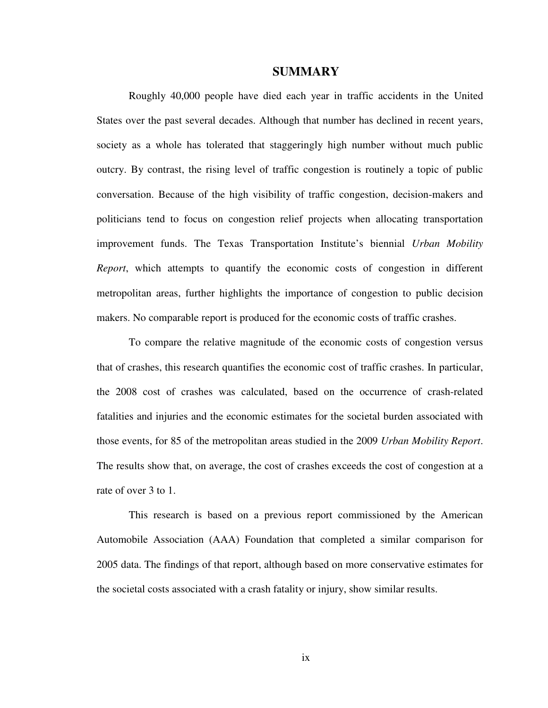### **SUMMARY**

Roughly 40,000 people have died each year in traffic accidents in the United States over the past several decades. Although that number has declined in recent years, society as a whole has tolerated that staggeringly high number without much public outcry. By contrast, the rising level of traffic congestion is routinely a topic of public conversation. Because of the high visibility of traffic congestion, decision-makers and politicians tend to focus on congestion relief projects when allocating transportation improvement funds. The Texas Transportation Institute's biennial *Urban Mobility Report*, which attempts to quantify the economic costs of congestion in different metropolitan areas, further highlights the importance of congestion to public decision makers. No comparable report is produced for the economic costs of traffic crashes.

To compare the relative magnitude of the economic costs of congestion versus that of crashes, this research quantifies the economic cost of traffic crashes. In particular, the 2008 cost of crashes was calculated, based on the occurrence of crash-related fatalities and injuries and the economic estimates for the societal burden associated with those events, for 85 of the metropolitan areas studied in the 2009 *Urban Mobility Report*. The results show that, on average, the cost of crashes exceeds the cost of congestion at a rate of over 3 to 1.

This research is based on a previous report commissioned by the American Automobile Association (AAA) Foundation that completed a similar comparison for 2005 data. The findings of that report, although based on more conservative estimates for the societal costs associated with a crash fatality or injury, show similar results.

ix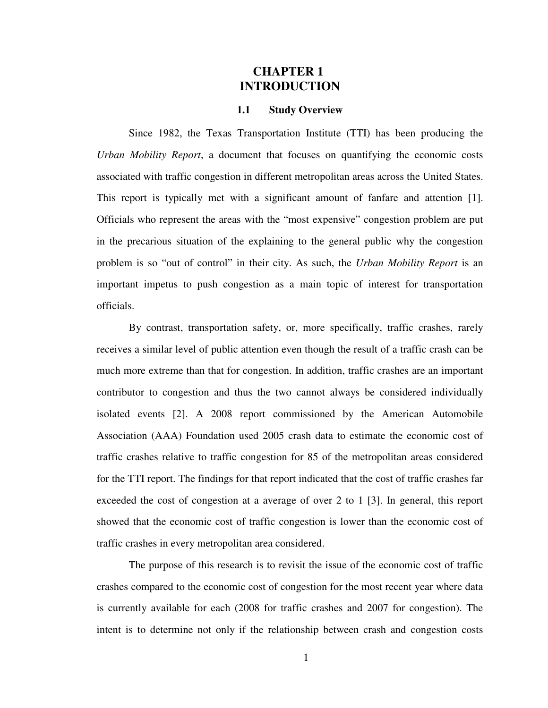# **CHAPTER 1 INTRODUCTION**

#### **1.1 Study Overview**

Since 1982, the Texas Transportation Institute (TTI) has been producing the *Urban Mobility Report*, a document that focuses on quantifying the economic costs associated with traffic congestion in different metropolitan areas across the United States. This report is typically met with a significant amount of fanfare and attention [1]. Officials who represent the areas with the "most expensive" congestion problem are put in the precarious situation of the explaining to the general public why the congestion problem is so "out of control" in their city. As such, the *Urban Mobility Report* is an important impetus to push congestion as a main topic of interest for transportation officials.

By contrast, transportation safety, or, more specifically, traffic crashes, rarely receives a similar level of public attention even though the result of a traffic crash can be much more extreme than that for congestion. In addition, traffic crashes are an important contributor to congestion and thus the two cannot always be considered individually isolated events [2]. A 2008 report commissioned by the American Automobile Association (AAA) Foundation used 2005 crash data to estimate the economic cost of traffic crashes relative to traffic congestion for 85 of the metropolitan areas considered for the TTI report. The findings for that report indicated that the cost of traffic crashes far exceeded the cost of congestion at a average of over 2 to 1 [3]. In general, this report showed that the economic cost of traffic congestion is lower than the economic cost of traffic crashes in every metropolitan area considered.

The purpose of this research is to revisit the issue of the economic cost of traffic crashes compared to the economic cost of congestion for the most recent year where data is currently available for each (2008 for traffic crashes and 2007 for congestion). The intent is to determine not only if the relationship between crash and congestion costs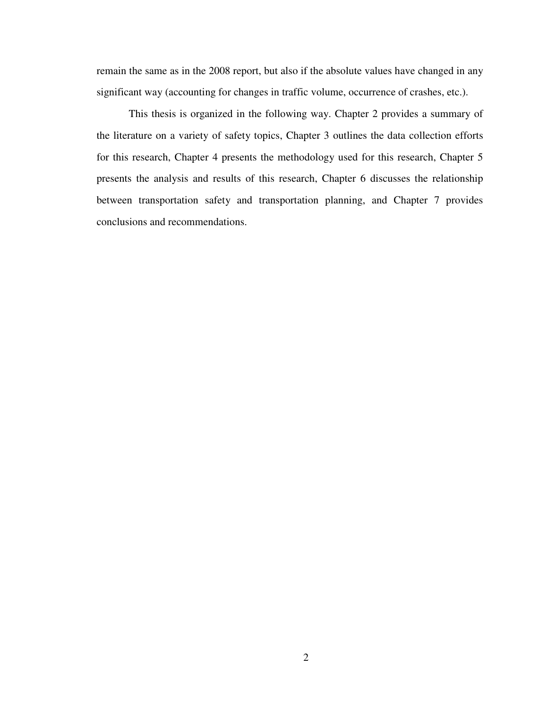remain the same as in the 2008 report, but also if the absolute values have changed in any significant way (accounting for changes in traffic volume, occurrence of crashes, etc.).

This thesis is organized in the following way. Chapter 2 provides a summary of the literature on a variety of safety topics, Chapter 3 outlines the data collection efforts for this research, Chapter 4 presents the methodology used for this research, Chapter 5 presents the analysis and results of this research, Chapter 6 discusses the relationship between transportation safety and transportation planning, and Chapter 7 provides conclusions and recommendations.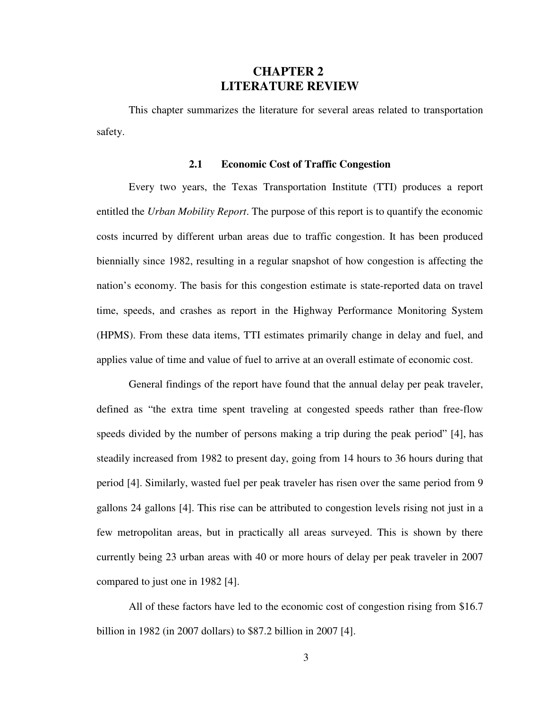# **CHAPTER 2 LITERATURE REVIEW**

This chapter summarizes the literature for several areas related to transportation safety.

## **2.1 Economic Cost of Traffic Congestion**

Every two years, the Texas Transportation Institute (TTI) produces a report entitled the *Urban Mobility Report*. The purpose of this report is to quantify the economic costs incurred by different urban areas due to traffic congestion. It has been produced biennially since 1982, resulting in a regular snapshot of how congestion is affecting the nation's economy. The basis for this congestion estimate is state-reported data on travel time, speeds, and crashes as report in the Highway Performance Monitoring System (HPMS). From these data items, TTI estimates primarily change in delay and fuel, and applies value of time and value of fuel to arrive at an overall estimate of economic cost.

General findings of the report have found that the annual delay per peak traveler, defined as "the extra time spent traveling at congested speeds rather than free-flow speeds divided by the number of persons making a trip during the peak period" [4], has steadily increased from 1982 to present day, going from 14 hours to 36 hours during that period [4]. Similarly, wasted fuel per peak traveler has risen over the same period from 9 gallons 24 gallons [4]. This rise can be attributed to congestion levels rising not just in a few metropolitan areas, but in practically all areas surveyed. This is shown by there currently being 23 urban areas with 40 or more hours of delay per peak traveler in 2007 compared to just one in 1982 [4].

All of these factors have led to the economic cost of congestion rising from \$16.7 billion in 1982 (in 2007 dollars) to \$87.2 billion in 2007 [4].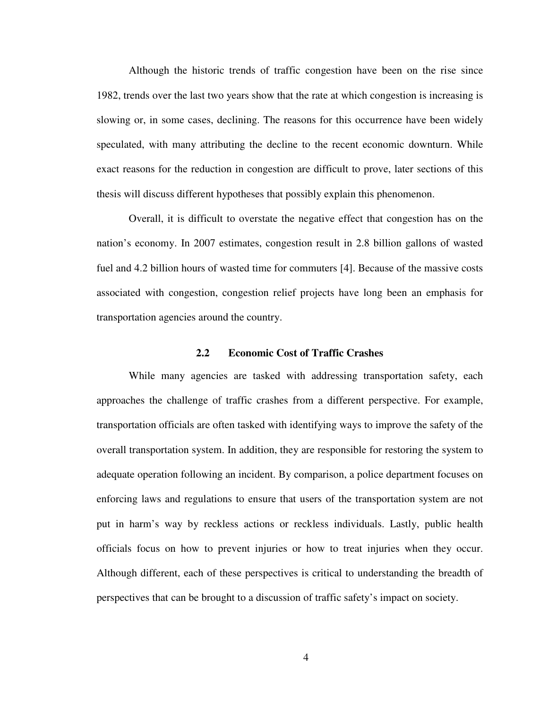Although the historic trends of traffic congestion have been on the rise since 1982, trends over the last two years show that the rate at which congestion is increasing is slowing or, in some cases, declining. The reasons for this occurrence have been widely speculated, with many attributing the decline to the recent economic downturn. While exact reasons for the reduction in congestion are difficult to prove, later sections of this thesis will discuss different hypotheses that possibly explain this phenomenon.

Overall, it is difficult to overstate the negative effect that congestion has on the nation's economy. In 2007 estimates, congestion result in 2.8 billion gallons of wasted fuel and 4.2 billion hours of wasted time for commuters [4]. Because of the massive costs associated with congestion, congestion relief projects have long been an emphasis for transportation agencies around the country.

### **2.2 Economic Cost of Traffic Crashes**

While many agencies are tasked with addressing transportation safety, each approaches the challenge of traffic crashes from a different perspective. For example, transportation officials are often tasked with identifying ways to improve the safety of the overall transportation system. In addition, they are responsible for restoring the system to adequate operation following an incident. By comparison, a police department focuses on enforcing laws and regulations to ensure that users of the transportation system are not put in harm's way by reckless actions or reckless individuals. Lastly, public health officials focus on how to prevent injuries or how to treat injuries when they occur. Although different, each of these perspectives is critical to understanding the breadth of perspectives that can be brought to a discussion of traffic safety's impact on society.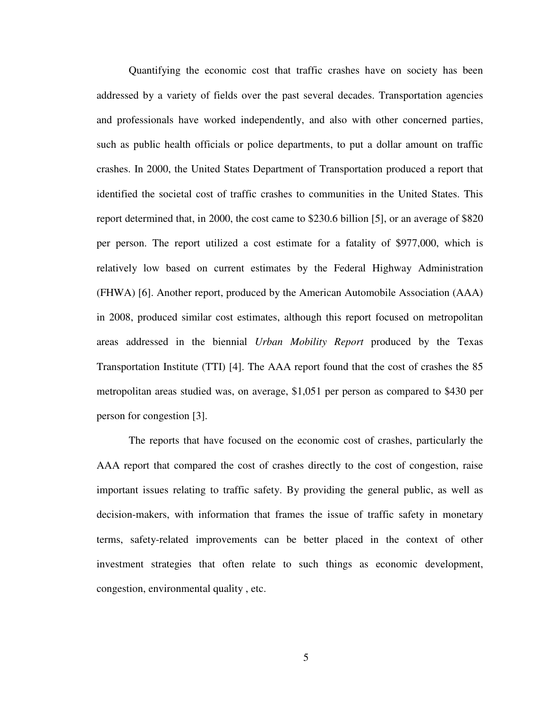Quantifying the economic cost that traffic crashes have on society has been addressed by a variety of fields over the past several decades. Transportation agencies and professionals have worked independently, and also with other concerned parties, such as public health officials or police departments, to put a dollar amount on traffic crashes. In 2000, the United States Department of Transportation produced a report that identified the societal cost of traffic crashes to communities in the United States. This report determined that, in 2000, the cost came to \$230.6 billion [5], or an average of \$820 per person. The report utilized a cost estimate for a fatality of \$977,000, which is relatively low based on current estimates by the Federal Highway Administration (FHWA) [6]. Another report, produced by the American Automobile Association (AAA) in 2008, produced similar cost estimates, although this report focused on metropolitan areas addressed in the biennial *Urban Mobility Report* produced by the Texas Transportation Institute (TTI) [4]. The AAA report found that the cost of crashes the 85 metropolitan areas studied was, on average, \$1,051 per person as compared to \$430 per person for congestion [3].

The reports that have focused on the economic cost of crashes, particularly the AAA report that compared the cost of crashes directly to the cost of congestion, raise important issues relating to traffic safety. By providing the general public, as well as decision-makers, with information that frames the issue of traffic safety in monetary terms, safety-related improvements can be better placed in the context of other investment strategies that often relate to such things as economic development, congestion, environmental quality , etc.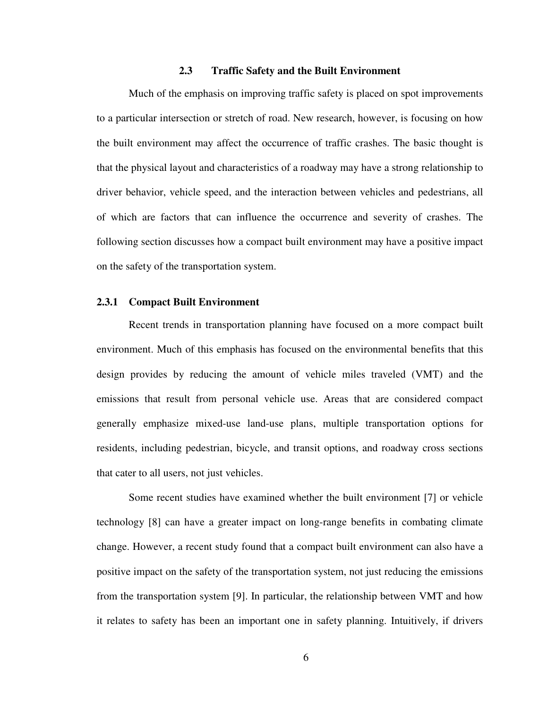### **2.3 Traffic Safety and the Built Environment**

Much of the emphasis on improving traffic safety is placed on spot improvements to a particular intersection or stretch of road. New research, however, is focusing on how the built environment may affect the occurrence of traffic crashes. The basic thought is that the physical layout and characteristics of a roadway may have a strong relationship to driver behavior, vehicle speed, and the interaction between vehicles and pedestrians, all of which are factors that can influence the occurrence and severity of crashes. The following section discusses how a compact built environment may have a positive impact on the safety of the transportation system.

### **2.3.1 Compact Built Environment**

Recent trends in transportation planning have focused on a more compact built environment. Much of this emphasis has focused on the environmental benefits that this design provides by reducing the amount of vehicle miles traveled (VMT) and the emissions that result from personal vehicle use. Areas that are considered compact generally emphasize mixed-use land-use plans, multiple transportation options for residents, including pedestrian, bicycle, and transit options, and roadway cross sections that cater to all users, not just vehicles.

Some recent studies have examined whether the built environment [7] or vehicle technology [8] can have a greater impact on long-range benefits in combating climate change. However, a recent study found that a compact built environment can also have a positive impact on the safety of the transportation system, not just reducing the emissions from the transportation system [9]. In particular, the relationship between VMT and how it relates to safety has been an important one in safety planning. Intuitively, if drivers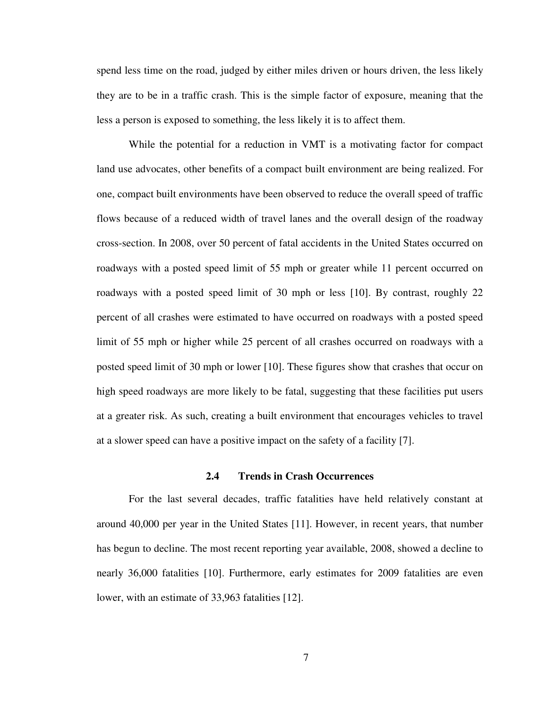spend less time on the road, judged by either miles driven or hours driven, the less likely they are to be in a traffic crash. This is the simple factor of exposure, meaning that the less a person is exposed to something, the less likely it is to affect them.

While the potential for a reduction in VMT is a motivating factor for compact land use advocates, other benefits of a compact built environment are being realized. For one, compact built environments have been observed to reduce the overall speed of traffic flows because of a reduced width of travel lanes and the overall design of the roadway cross-section. In 2008, over 50 percent of fatal accidents in the United States occurred on roadways with a posted speed limit of 55 mph or greater while 11 percent occurred on roadways with a posted speed limit of 30 mph or less [10]. By contrast, roughly 22 percent of all crashes were estimated to have occurred on roadways with a posted speed limit of 55 mph or higher while 25 percent of all crashes occurred on roadways with a posted speed limit of 30 mph or lower [10]. These figures show that crashes that occur on high speed roadways are more likely to be fatal, suggesting that these facilities put users at a greater risk. As such, creating a built environment that encourages vehicles to travel at a slower speed can have a positive impact on the safety of a facility [7].

#### **2.4 Trends in Crash Occurrences**

For the last several decades, traffic fatalities have held relatively constant at around 40,000 per year in the United States [11]. However, in recent years, that number has begun to decline. The most recent reporting year available, 2008, showed a decline to nearly 36,000 fatalities [10]. Furthermore, early estimates for 2009 fatalities are even lower, with an estimate of 33,963 fatalities [12].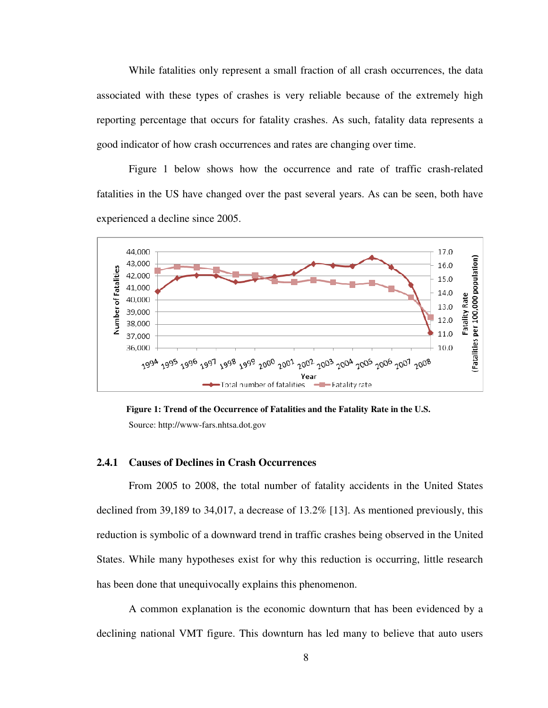While fatalities only represent a small fraction of all crash occurrences, the data associated with these types of crashes is very reliable because of the extremely high reporting percentage that occurs for fatality crashes. As such, fatality data represents a good indicator of how crash occurrences and rates are changing over time.

Figure 1 below shows how the occurrence and rate of traffic crash-related fatalities in the US have changed over the past several years. As can be seen, both have experienced a decline since 2005.



**Figure 1: Trend of the Occurrence of Fatalities and the Fatality Rate in the U.S.**  Source: http://www-fars.nhtsa.dot.gov

### **2.4.1 Causes of Declines in Crash Occurrences**

From 2005 to 2008, the total number of fatality accidents in the United States declined from 39,189 to 34,017, a decrease of 13.2% [13]. As mentioned previously, this reduction is symbolic of a downward trend in traffic crashes being observed in the United States. While many hypotheses exist for why this reduction is occurring, little research has been done that unequivocally explains this phenomenon.

A common explanation is the economic downturn that has been evidenced by a declining national VMT figure. This downturn has led many to believe that auto users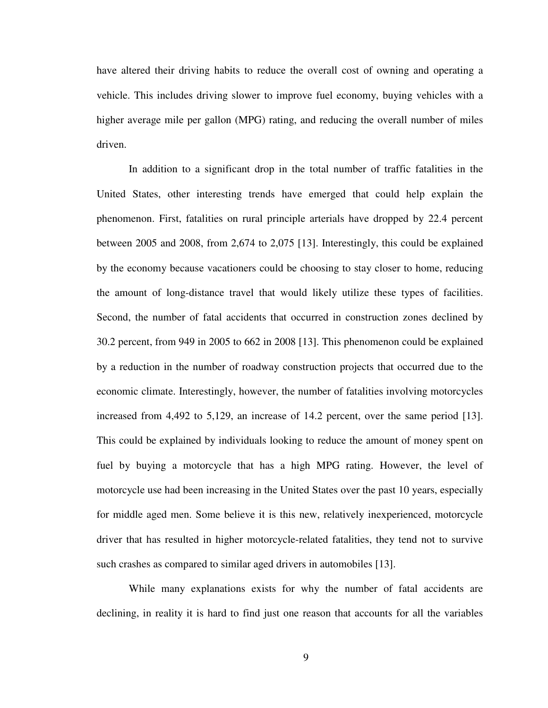have altered their driving habits to reduce the overall cost of owning and operating a vehicle. This includes driving slower to improve fuel economy, buying vehicles with a higher average mile per gallon (MPG) rating, and reducing the overall number of miles driven.

In addition to a significant drop in the total number of traffic fatalities in the United States, other interesting trends have emerged that could help explain the phenomenon. First, fatalities on rural principle arterials have dropped by 22.4 percent between 2005 and 2008, from 2,674 to 2,075 [13]. Interestingly, this could be explained by the economy because vacationers could be choosing to stay closer to home, reducing the amount of long-distance travel that would likely utilize these types of facilities. Second, the number of fatal accidents that occurred in construction zones declined by 30.2 percent, from 949 in 2005 to 662 in 2008 [13]. This phenomenon could be explained by a reduction in the number of roadway construction projects that occurred due to the economic climate. Interestingly, however, the number of fatalities involving motorcycles increased from 4,492 to 5,129, an increase of 14.2 percent, over the same period [13]. This could be explained by individuals looking to reduce the amount of money spent on fuel by buying a motorcycle that has a high MPG rating. However, the level of motorcycle use had been increasing in the United States over the past 10 years, especially for middle aged men. Some believe it is this new, relatively inexperienced, motorcycle driver that has resulted in higher motorcycle-related fatalities, they tend not to survive such crashes as compared to similar aged drivers in automobiles [13].

While many explanations exists for why the number of fatal accidents are declining, in reality it is hard to find just one reason that accounts for all the variables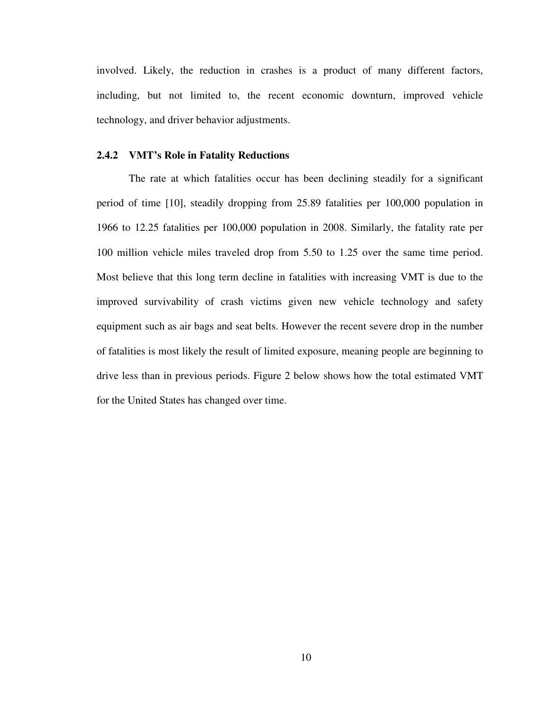involved. Likely, the reduction in crashes is a product of many different factors, including, but not limited to, the recent economic downturn, improved vehicle technology, and driver behavior adjustments.

## **2.4.2 VMT's Role in Fatality Reductions**

The rate at which fatalities occur has been declining steadily for a significant period of time [10], steadily dropping from 25.89 fatalities per 100,000 population in 1966 to 12.25 fatalities per 100,000 population in 2008. Similarly, the fatality rate per 100 million vehicle miles traveled drop from 5.50 to 1.25 over the same time period. Most believe that this long term decline in fatalities with increasing VMT is due to the improved survivability of crash victims given new vehicle technology and safety equipment such as air bags and seat belts. However the recent severe drop in the number of fatalities is most likely the result of limited exposure, meaning people are beginning to drive less than in previous periods. Figure 2 below shows how the total estimated VMT for the United States has changed over time.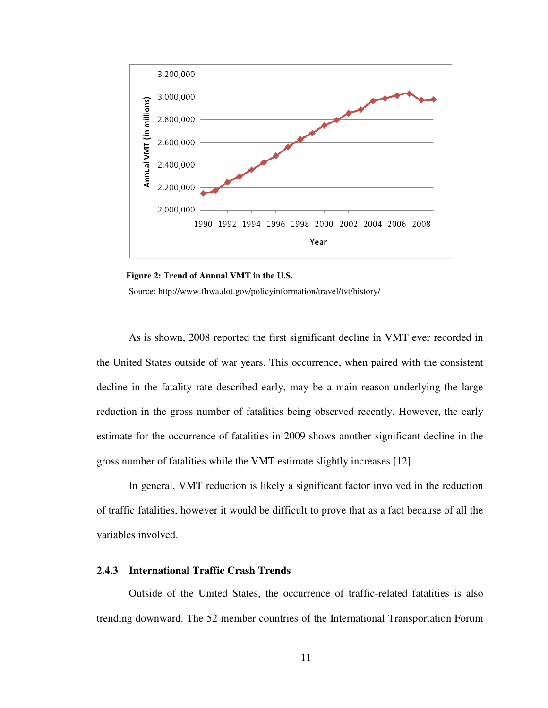

**Figure 2: Trend of Annual VMT in the U.S.**  Source: http://www.fhwa.dot.gov/policyinformation/travel/tvt/history/

As is shown, 2008 reported the first significant decline in VMT ever recorded in the United States outside of war years. This occurrence, when paired with the consistent decline in the fatality rate described early, may be a main reason underlying the large reduction in the gross number of fatalities being observed recently. However, the early estimate for the occurrence of fatalities in 2009 shows another significant decline in the gross number of fatalities while the VMT estimate slightly increases [12].

In general, VMT reduction is likely a significant factor involved in the reduction of traffic fatalities, however it would be difficult to prove that as a fact because of all the variables involved.

## **2.4.3 International Traffic Crash Trends**

Outside of the United States, the occurrence of traffic-related fatalities is also trending downward. The 52 member countries of the International Transportation Forum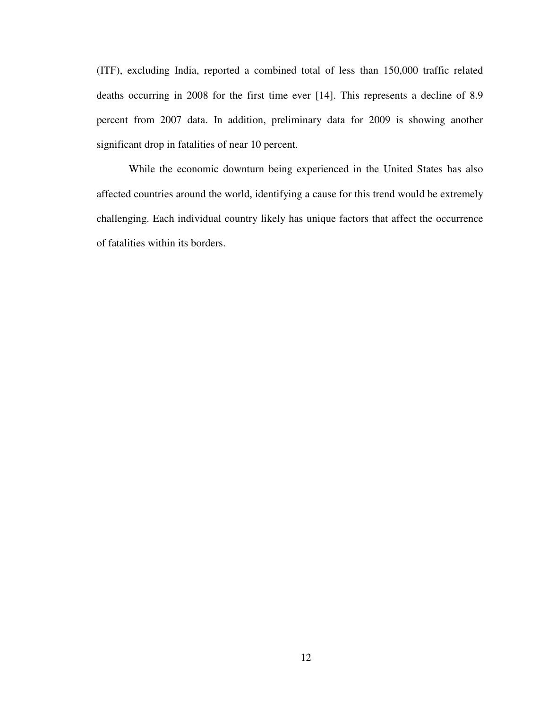(ITF), excluding India, reported a combined total of less than 150,000 traffic related deaths occurring in 2008 for the first time ever [14]. This represents a decline of 8.9 percent from 2007 data. In addition, preliminary data for 2009 is showing another significant drop in fatalities of near 10 percent.

While the economic downturn being experienced in the United States has also affected countries around the world, identifying a cause for this trend would be extremely challenging. Each individual country likely has unique factors that affect the occurrence of fatalities within its borders.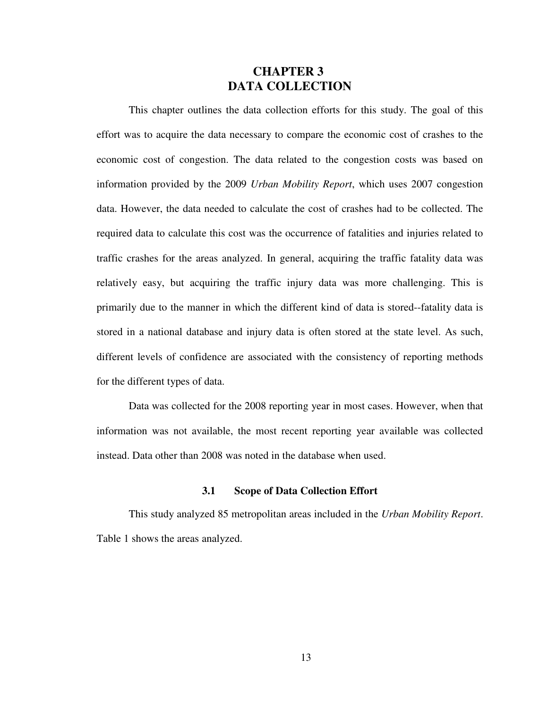# **CHAPTER 3 DATA COLLECTION**

This chapter outlines the data collection efforts for this study. The goal of this effort was to acquire the data necessary to compare the economic cost of crashes to the economic cost of congestion. The data related to the congestion costs was based on information provided by the 2009 *Urban Mobility Report*, which uses 2007 congestion data. However, the data needed to calculate the cost of crashes had to be collected. The required data to calculate this cost was the occurrence of fatalities and injuries related to traffic crashes for the areas analyzed. In general, acquiring the traffic fatality data was relatively easy, but acquiring the traffic injury data was more challenging. This is primarily due to the manner in which the different kind of data is stored--fatality data is stored in a national database and injury data is often stored at the state level. As such, different levels of confidence are associated with the consistency of reporting methods for the different types of data.

Data was collected for the 2008 reporting year in most cases. However, when that information was not available, the most recent reporting year available was collected instead. Data other than 2008 was noted in the database when used.

### **3.1 Scope of Data Collection Effort**

This study analyzed 85 metropolitan areas included in the *Urban Mobility Report*. Table 1 shows the areas analyzed.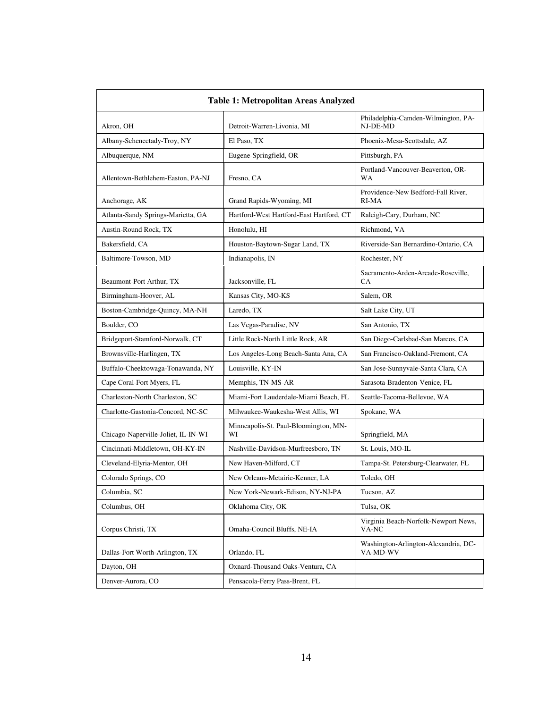| <b>Table 1: Metropolitan Areas Analyzed</b> |                                             |                                                    |
|---------------------------------------------|---------------------------------------------|----------------------------------------------------|
| Akron, OH                                   | Detroit-Warren-Livonia, MI                  | Philadelphia-Camden-Wilmington, PA-<br>NJ-DE-MD    |
| Albany-Schenectady-Troy, NY                 | El Paso, TX                                 | Phoenix-Mesa-Scottsdale, AZ                        |
| Albuquerque, NM                             | Eugene-Springfield, OR                      | Pittsburgh, PA                                     |
| Allentown-Bethlehem-Easton, PA-NJ           | Fresno, CA                                  | Portland-Vancouver-Beaverton, OR-<br>WA            |
| Anchorage, AK                               | Grand Rapids-Wyoming, MI                    | Providence-New Bedford-Fall River,<br><b>RI-MA</b> |
| Atlanta-Sandy Springs-Marietta, GA          | Hartford-West Hartford-East Hartford, CT    | Raleigh-Cary, Durham, NC                           |
| Austin-Round Rock, TX                       | Honolulu, HI                                | Richmond, VA                                       |
| Bakersfield, CA                             | Houston-Baytown-Sugar Land, TX              | Riverside-San Bernardino-Ontario, CA               |
| Baltimore-Towson, MD                        | Indianapolis, IN                            | Rochester, NY                                      |
| Beaumont-Port Arthur, TX                    | Jacksonville, FL                            | Sacramento-Arden-Arcade-Roseville,<br><b>CA</b>    |
| Birmingham-Hoover, AL                       | Kansas City, MO-KS                          | Salem, OR                                          |
| Boston-Cambridge-Quincy, MA-NH              | Laredo, TX                                  | Salt Lake City, UT                                 |
| Boulder, CO                                 | Las Vegas-Paradise, NV                      | San Antonio, TX                                    |
| Bridgeport-Stamford-Norwalk, CT             | Little Rock-North Little Rock, AR           | San Diego-Carlsbad-San Marcos, CA                  |
| Brownsville-Harlingen, TX                   | Los Angeles-Long Beach-Santa Ana, CA        | San Francisco-Oakland-Fremont, CA                  |
| Buffalo-Cheektowaga-Tonawanda, NY           | Louisville, KY-IN                           | San Jose-Sunnyvale-Santa Clara, CA                 |
| Cape Coral-Fort Myers, FL                   | Memphis, TN-MS-AR                           | Sarasota-Bradenton-Venice, FL                      |
| Charleston-North Charleston, SC             | Miami-Fort Lauderdale-Miami Beach, FL       | Seattle-Tacoma-Bellevue, WA                        |
| Charlotte-Gastonia-Concord, NC-SC           | Milwaukee-Waukesha-West Allis, WI           | Spokane, WA                                        |
| Chicago-Naperville-Joliet, IL-IN-WI         | Minneapolis-St. Paul-Bloomington, MN-<br>WI | Springfield, MA                                    |
| Cincinnati-Middletown, OH-KY-IN             | Nashville-Davidson-Murfreesboro, TN         | St. Louis, MO-IL                                   |
| Cleveland-Elyria-Mentor, OH                 | New Haven-Milford, CT                       | Tampa-St. Petersburg-Clearwater, FL                |
| Colorado Springs, CO                        | New Orleans-Metairie-Kenner, LA             | Toledo, OH                                         |
| Columbia, SC                                | New York-Newark-Edison, NY-NJ-PA            | Tucson, AZ                                         |
| Columbus, OH                                | Oklahoma City, OK                           | Tulsa, OK                                          |
| Corpus Christi, TX                          | Omaha-Council Bluffs, NE-IA                 | Virginia Beach-Norfolk-Newport News,<br>VA-NC      |
| Dallas-Fort Worth-Arlington, TX             | Orlando, FL                                 | Washington-Arlington-Alexandria, DC-<br>VA-MD-WV   |
| Dayton, OH                                  | Oxnard-Thousand Oaks-Ventura, CA            |                                                    |
| Denver-Aurora, CO                           | Pensacola-Ferry Pass-Brent, FL              |                                                    |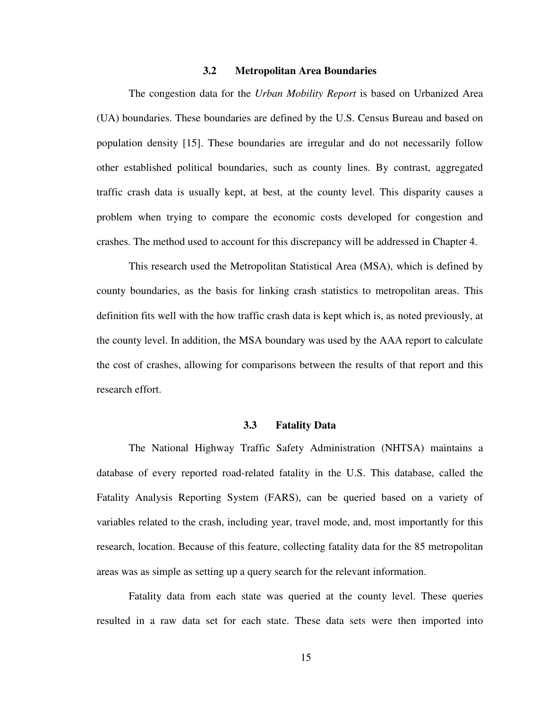## **3.2 Metropolitan Area Boundaries**

The congestion data for the *Urban Mobility Report* is based on Urbanized Area (UA) boundaries. These boundaries are defined by the U.S. Census Bureau and based on population density [15]. These boundaries are irregular and do not necessarily follow other established political boundaries, such as county lines. By contrast, aggregated traffic crash data is usually kept, at best, at the county level. This disparity causes a problem when trying to compare the economic costs developed for congestion and crashes. The method used to account for this discrepancy will be addressed in Chapter 4.

This research used the Metropolitan Statistical Area (MSA), which is defined by county boundaries, as the basis for linking crash statistics to metropolitan areas. This definition fits well with the how traffic crash data is kept which is, as noted previously, at the county level. In addition, the MSA boundary was used by the AAA report to calculate the cost of crashes, allowing for comparisons between the results of that report and this research effort.

#### **3.3 Fatality Data**

The National Highway Traffic Safety Administration (NHTSA) maintains a database of every reported road-related fatality in the U.S. This database, called the Fatality Analysis Reporting System (FARS), can be queried based on a variety of variables related to the crash, including year, travel mode, and, most importantly for this research, location. Because of this feature, collecting fatality data for the 85 metropolitan areas was as simple as setting up a query search for the relevant information.

Fatality data from each state was queried at the county level. These queries resulted in a raw data set for each state. These data sets were then imported into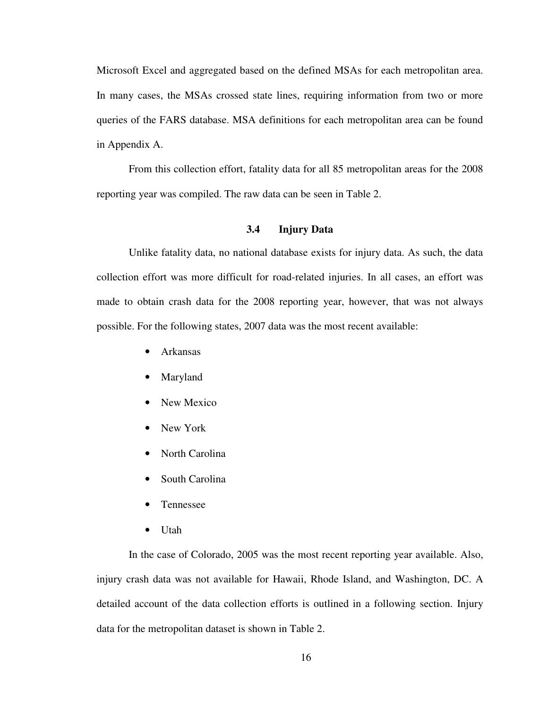Microsoft Excel and aggregated based on the defined MSAs for each metropolitan area. In many cases, the MSAs crossed state lines, requiring information from two or more queries of the FARS database. MSA definitions for each metropolitan area can be found in Appendix A.

From this collection effort, fatality data for all 85 metropolitan areas for the 2008 reporting year was compiled. The raw data can be seen in Table 2.

### **3.4 Injury Data**

Unlike fatality data, no national database exists for injury data. As such, the data collection effort was more difficult for road-related injuries. In all cases, an effort was made to obtain crash data for the 2008 reporting year, however, that was not always possible. For the following states, 2007 data was the most recent available:

- Arkansas
- Maryland
- New Mexico
- New York
- North Carolina
- South Carolina
- Tennessee
- Utah

In the case of Colorado, 2005 was the most recent reporting year available. Also, injury crash data was not available for Hawaii, Rhode Island, and Washington, DC. A detailed account of the data collection efforts is outlined in a following section. Injury data for the metropolitan dataset is shown in Table 2.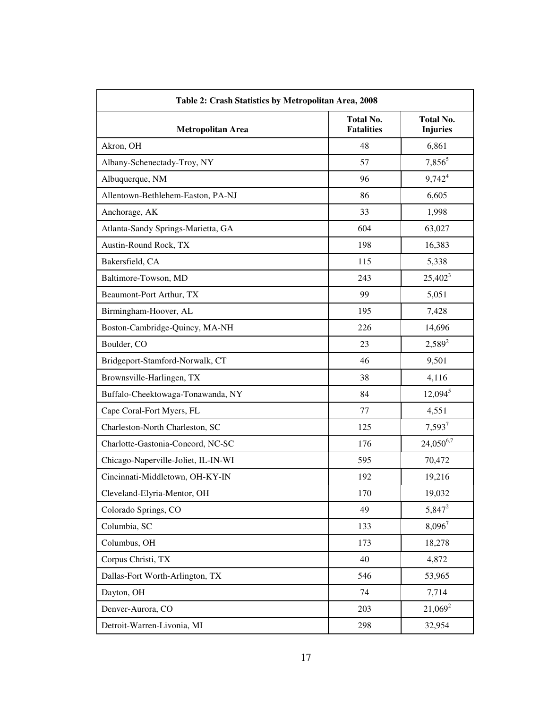| Table 2: Crash Statistics by Metropolitan Area, 2008 |                                       |                                     |
|------------------------------------------------------|---------------------------------------|-------------------------------------|
| <b>Metropolitan Area</b>                             | <b>Total No.</b><br><b>Fatalities</b> | <b>Total No.</b><br><b>Injuries</b> |
| Akron, OH                                            | 48                                    | 6,861                               |
| Albany-Schenectady-Troy, NY                          | 57                                    | $7,856^5$                           |
| Albuquerque, NM                                      | 96                                    | $9,742^{4}$                         |
| Allentown-Bethlehem-Easton, PA-NJ                    | 86                                    | 6,605                               |
| Anchorage, AK                                        | 33                                    | 1,998                               |
| Atlanta-Sandy Springs-Marietta, GA                   | 604                                   | 63,027                              |
| Austin-Round Rock, TX                                | 198                                   | 16,383                              |
| Bakersfield, CA                                      | 115                                   | 5,338                               |
| Baltimore-Towson, MD                                 | 243                                   | $25,402^3$                          |
| Beaumont-Port Arthur, TX                             | 99                                    | 5,051                               |
| Birmingham-Hoover, AL                                | 195                                   | 7,428                               |
| Boston-Cambridge-Quincy, MA-NH                       | 226                                   | 14,696                              |
| Boulder, CO                                          | 23                                    | $2,589^2$                           |
| Bridgeport-Stamford-Norwalk, CT                      | 46                                    | 9,501                               |
| Brownsville-Harlingen, TX                            | 38                                    | 4,116                               |
| Buffalo-Cheektowaga-Tonawanda, NY                    | 84                                    | $12,094^5$                          |
| Cape Coral-Fort Myers, FL                            | 77                                    | 4,551                               |
| Charleston-North Charleston, SC                      | 125                                   | $7,593^7$                           |
| Charlotte-Gastonia-Concord, NC-SC                    | 176                                   | $24,050^{6,7}$                      |
| Chicago-Naperville-Joliet, IL-IN-WI                  | 595                                   | 70,472                              |
| Cincinnati-Middletown, OH-KY-IN                      | 192                                   | 19,216                              |
| Cleveland-Elyria-Mentor, OH                          | 170                                   | 19,032                              |
| Colorado Springs, CO                                 | 49                                    | $5,847^2$                           |
| Columbia, SC                                         | 133                                   | $8,096^7$                           |
| Columbus, OH                                         | 173                                   | 18,278                              |
| Corpus Christi, TX                                   | 40                                    | 4,872                               |
| Dallas-Fort Worth-Arlington, TX                      | 546                                   | 53,965                              |
| Dayton, OH                                           | 74                                    | 7,714                               |
| Denver-Aurora, CO                                    | 203                                   | $21,069^2$                          |
| Detroit-Warren-Livonia, MI                           | 298                                   | 32,954                              |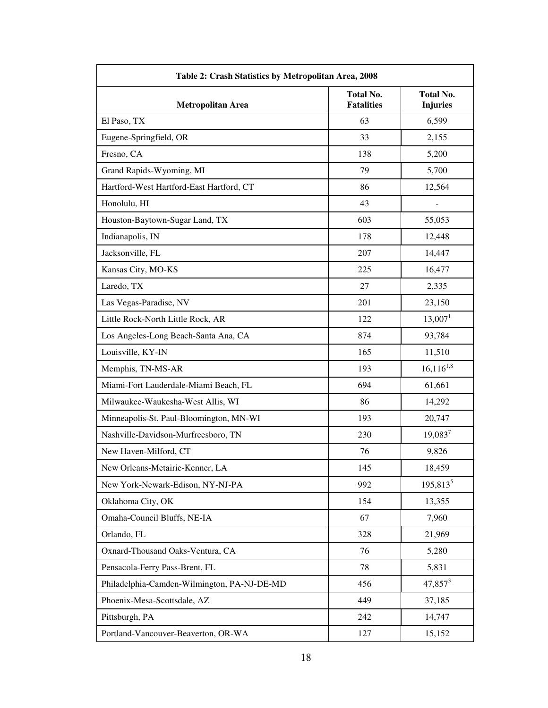| Table 2: Crash Statistics by Metropolitan Area, 2008 |                                       |                                     |  |
|------------------------------------------------------|---------------------------------------|-------------------------------------|--|
| <b>Metropolitan Area</b>                             | <b>Total No.</b><br><b>Fatalities</b> | <b>Total No.</b><br><b>Injuries</b> |  |
| El Paso, TX                                          | 63                                    | 6,599                               |  |
| Eugene-Springfield, OR                               | 33                                    | 2,155                               |  |
| Fresno, CA                                           | 138                                   | 5,200                               |  |
| Grand Rapids-Wyoming, MI                             | 79                                    | 5,700                               |  |
| Hartford-West Hartford-East Hartford, CT             | 86                                    | 12,564                              |  |
| Honolulu, HI                                         | 43                                    |                                     |  |
| Houston-Baytown-Sugar Land, TX                       | 603                                   | 55,053                              |  |
| Indianapolis, IN                                     | 178                                   | 12,448                              |  |
| Jacksonville, FL                                     | 207                                   | 14,447                              |  |
| Kansas City, MO-KS                                   | 225                                   | 16,477                              |  |
| Laredo, TX                                           | 27                                    | 2,335                               |  |
| Las Vegas-Paradise, NV                               | 201                                   | 23,150                              |  |
| Little Rock-North Little Rock, AR                    | 122                                   | 13,007 <sup>1</sup>                 |  |
| Los Angeles-Long Beach-Santa Ana, CA                 | 874                                   | 93,784                              |  |
| Louisville, KY-IN                                    | 165                                   | 11,510                              |  |
| Memphis, TN-MS-AR                                    | 193                                   | $16,116^{1,8}$                      |  |
| Miami-Fort Lauderdale-Miami Beach, FL                | 694                                   | 61,661                              |  |
| Milwaukee-Waukesha-West Allis, WI                    | 86                                    | 14,292                              |  |
| Minneapolis-St. Paul-Bloomington, MN-WI              | 193                                   | 20,747                              |  |
| Nashville-Davidson-Murfreesboro, TN                  | 230                                   | $19,083^7$                          |  |
| New Haven-Milford, CT                                | 76                                    | 9,826                               |  |
| New Orleans-Metairie-Kenner, LA                      | 145                                   | 18,459                              |  |
| New York-Newark-Edison, NY-NJ-PA                     | 992                                   | 195,813 <sup>5</sup>                |  |
| Oklahoma City, OK                                    | 154                                   | 13,355                              |  |
| Omaha-Council Bluffs, NE-IA                          | 67                                    | 7,960                               |  |
| Orlando, FL                                          | 328                                   | 21,969                              |  |
| Oxnard-Thousand Oaks-Ventura, CA                     | 76                                    | 5,280                               |  |
| Pensacola-Ferry Pass-Brent, FL                       | 78                                    | 5,831                               |  |
| Philadelphia-Camden-Wilmington, PA-NJ-DE-MD          | 456                                   | $47,857^3$                          |  |
| Phoenix-Mesa-Scottsdale, AZ                          | 449                                   | 37,185                              |  |
| Pittsburgh, PA                                       | 242                                   | 14,747                              |  |
| Portland-Vancouver-Beaverton, OR-WA                  | 127                                   | 15,152                              |  |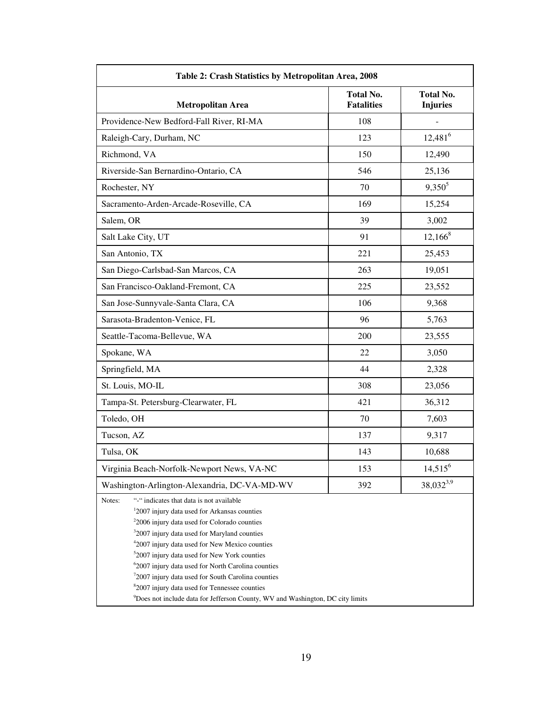| Table 2: Crash Statistics by Metropolitan Area, 2008                                                                                                                                                                                                                                                                                                                                                                                                                                                                                                                                                                                                  |                                       |                                     |
|-------------------------------------------------------------------------------------------------------------------------------------------------------------------------------------------------------------------------------------------------------------------------------------------------------------------------------------------------------------------------------------------------------------------------------------------------------------------------------------------------------------------------------------------------------------------------------------------------------------------------------------------------------|---------------------------------------|-------------------------------------|
| <b>Metropolitan Area</b>                                                                                                                                                                                                                                                                                                                                                                                                                                                                                                                                                                                                                              | <b>Total No.</b><br><b>Fatalities</b> | <b>Total No.</b><br><b>Injuries</b> |
| Providence-New Bedford-Fall River, RI-MA                                                                                                                                                                                                                                                                                                                                                                                                                                                                                                                                                                                                              | 108                                   |                                     |
| Raleigh-Cary, Durham, NC                                                                                                                                                                                                                                                                                                                                                                                                                                                                                                                                                                                                                              | 123                                   | $12,481^6$                          |
| Richmond, VA                                                                                                                                                                                                                                                                                                                                                                                                                                                                                                                                                                                                                                          | 150                                   | 12,490                              |
| Riverside-San Bernardino-Ontario, CA                                                                                                                                                                                                                                                                                                                                                                                                                                                                                                                                                                                                                  | 546                                   | 25,136                              |
| Rochester, NY                                                                                                                                                                                                                                                                                                                                                                                                                                                                                                                                                                                                                                         | 70                                    | $9,350^5$                           |
| Sacramento-Arden-Arcade-Roseville, CA                                                                                                                                                                                                                                                                                                                                                                                                                                                                                                                                                                                                                 | 169                                   | 15,254                              |
| Salem, OR                                                                                                                                                                                                                                                                                                                                                                                                                                                                                                                                                                                                                                             | 39                                    | 3,002                               |
| Salt Lake City, UT                                                                                                                                                                                                                                                                                                                                                                                                                                                                                                                                                                                                                                    | 91                                    | $12,166^8$                          |
| San Antonio, TX                                                                                                                                                                                                                                                                                                                                                                                                                                                                                                                                                                                                                                       | 221                                   | 25,453                              |
| San Diego-Carlsbad-San Marcos, CA                                                                                                                                                                                                                                                                                                                                                                                                                                                                                                                                                                                                                     | 263                                   | 19,051                              |
| San Francisco-Oakland-Fremont, CA                                                                                                                                                                                                                                                                                                                                                                                                                                                                                                                                                                                                                     | 225                                   | 23,552                              |
| San Jose-Sunnyvale-Santa Clara, CA                                                                                                                                                                                                                                                                                                                                                                                                                                                                                                                                                                                                                    | 106                                   | 9,368                               |
| Sarasota-Bradenton-Venice, FL                                                                                                                                                                                                                                                                                                                                                                                                                                                                                                                                                                                                                         | 96                                    | 5,763                               |
| Seattle-Tacoma-Bellevue, WA                                                                                                                                                                                                                                                                                                                                                                                                                                                                                                                                                                                                                           | 200                                   | 23,555                              |
| Spokane, WA                                                                                                                                                                                                                                                                                                                                                                                                                                                                                                                                                                                                                                           | 22                                    | 3,050                               |
| Springfield, MA                                                                                                                                                                                                                                                                                                                                                                                                                                                                                                                                                                                                                                       | 44                                    | 2,328                               |
| St. Louis, MO-IL                                                                                                                                                                                                                                                                                                                                                                                                                                                                                                                                                                                                                                      | 308                                   | 23,056                              |
| Tampa-St. Petersburg-Clearwater, FL                                                                                                                                                                                                                                                                                                                                                                                                                                                                                                                                                                                                                   | 421                                   | 36,312                              |
| Toledo, OH                                                                                                                                                                                                                                                                                                                                                                                                                                                                                                                                                                                                                                            | 70                                    | 7,603                               |
| Tucson, AZ                                                                                                                                                                                                                                                                                                                                                                                                                                                                                                                                                                                                                                            | 137                                   | 9,317                               |
| Tulsa, OK                                                                                                                                                                                                                                                                                                                                                                                                                                                                                                                                                                                                                                             | 143                                   | 10,688                              |
| Virginia Beach-Norfolk-Newport News, VA-NC                                                                                                                                                                                                                                                                                                                                                                                                                                                                                                                                                                                                            | 153                                   | $14,515^6$                          |
| Washington-Arlington-Alexandria, DC-VA-MD-WV                                                                                                                                                                                                                                                                                                                                                                                                                                                                                                                                                                                                          | 392                                   | 38,032 <sup>3,9</sup>               |
| "-" indicates that data is not available<br>Notes:<br><sup>1</sup> 2007 injury data used for Arkansas counties<br><sup>2</sup> 2006 injury data used for Colorado counties<br><sup>3</sup> 2007 injury data used for Maryland counties<br><sup>4</sup> 2007 injury data used for New Mexico counties<br><sup>5</sup> 2007 injury data used for New York counties<br><sup>6</sup> 2007 injury data used for North Carolina counties<br>$12007$ injury data used for South Carolina counties<br><sup>8</sup> 2007 injury data used for Tennessee counties<br><sup>9</sup> Does not include data for Jefferson County, WV and Washington, DC city limits |                                       |                                     |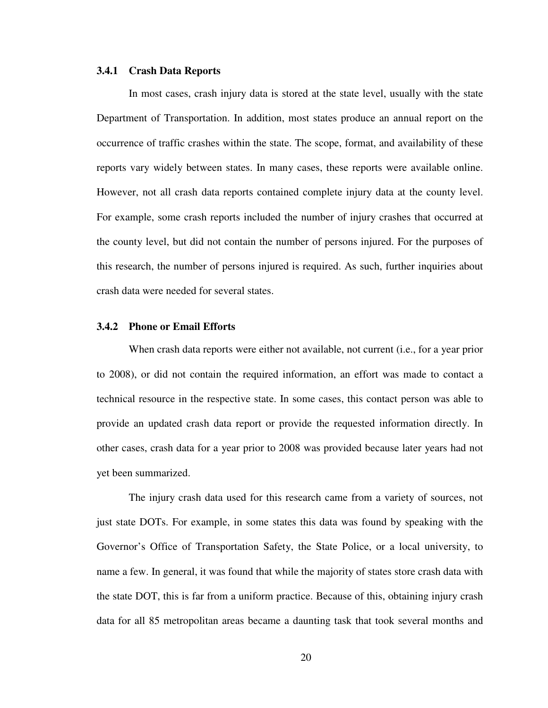### **3.4.1 Crash Data Reports**

In most cases, crash injury data is stored at the state level, usually with the state Department of Transportation. In addition, most states produce an annual report on the occurrence of traffic crashes within the state. The scope, format, and availability of these reports vary widely between states. In many cases, these reports were available online. However, not all crash data reports contained complete injury data at the county level. For example, some crash reports included the number of injury crashes that occurred at the county level, but did not contain the number of persons injured. For the purposes of this research, the number of persons injured is required. As such, further inquiries about crash data were needed for several states.

## **3.4.2 Phone or Email Efforts**

When crash data reports were either not available, not current (i.e., for a year prior to 2008), or did not contain the required information, an effort was made to contact a technical resource in the respective state. In some cases, this contact person was able to provide an updated crash data report or provide the requested information directly. In other cases, crash data for a year prior to 2008 was provided because later years had not yet been summarized.

The injury crash data used for this research came from a variety of sources, not just state DOTs. For example, in some states this data was found by speaking with the Governor's Office of Transportation Safety, the State Police, or a local university, to name a few. In general, it was found that while the majority of states store crash data with the state DOT, this is far from a uniform practice. Because of this, obtaining injury crash data for all 85 metropolitan areas became a daunting task that took several months and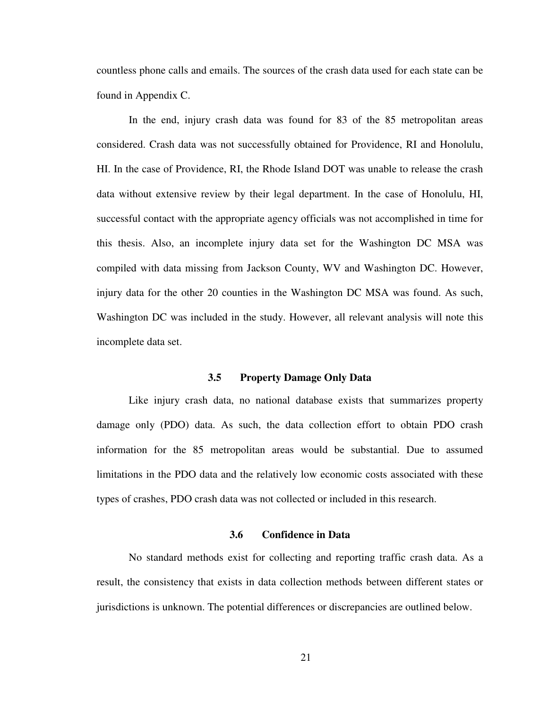countless phone calls and emails. The sources of the crash data used for each state can be found in Appendix C.

In the end, injury crash data was found for 83 of the 85 metropolitan areas considered. Crash data was not successfully obtained for Providence, RI and Honolulu, HI. In the case of Providence, RI, the Rhode Island DOT was unable to release the crash data without extensive review by their legal department. In the case of Honolulu, HI, successful contact with the appropriate agency officials was not accomplished in time for this thesis. Also, an incomplete injury data set for the Washington DC MSA was compiled with data missing from Jackson County, WV and Washington DC. However, injury data for the other 20 counties in the Washington DC MSA was found. As such, Washington DC was included in the study. However, all relevant analysis will note this incomplete data set.

### **3.5 Property Damage Only Data**

Like injury crash data, no national database exists that summarizes property damage only (PDO) data. As such, the data collection effort to obtain PDO crash information for the 85 metropolitan areas would be substantial. Due to assumed limitations in the PDO data and the relatively low economic costs associated with these types of crashes, PDO crash data was not collected or included in this research.

#### **3.6 Confidence in Data**

No standard methods exist for collecting and reporting traffic crash data. As a result, the consistency that exists in data collection methods between different states or jurisdictions is unknown. The potential differences or discrepancies are outlined below.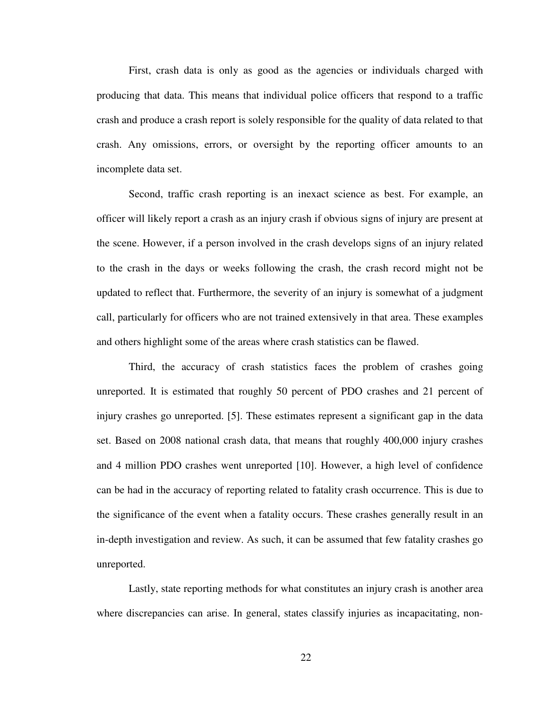First, crash data is only as good as the agencies or individuals charged with producing that data. This means that individual police officers that respond to a traffic crash and produce a crash report is solely responsible for the quality of data related to that crash. Any omissions, errors, or oversight by the reporting officer amounts to an incomplete data set.

Second, traffic crash reporting is an inexact science as best. For example, an officer will likely report a crash as an injury crash if obvious signs of injury are present at the scene. However, if a person involved in the crash develops signs of an injury related to the crash in the days or weeks following the crash, the crash record might not be updated to reflect that. Furthermore, the severity of an injury is somewhat of a judgment call, particularly for officers who are not trained extensively in that area. These examples and others highlight some of the areas where crash statistics can be flawed.

Third, the accuracy of crash statistics faces the problem of crashes going unreported. It is estimated that roughly 50 percent of PDO crashes and 21 percent of injury crashes go unreported. [5]. These estimates represent a significant gap in the data set. Based on 2008 national crash data, that means that roughly 400,000 injury crashes and 4 million PDO crashes went unreported [10]. However, a high level of confidence can be had in the accuracy of reporting related to fatality crash occurrence. This is due to the significance of the event when a fatality occurs. These crashes generally result in an in-depth investigation and review. As such, it can be assumed that few fatality crashes go unreported.

Lastly, state reporting methods for what constitutes an injury crash is another area where discrepancies can arise. In general, states classify injuries as incapacitating, non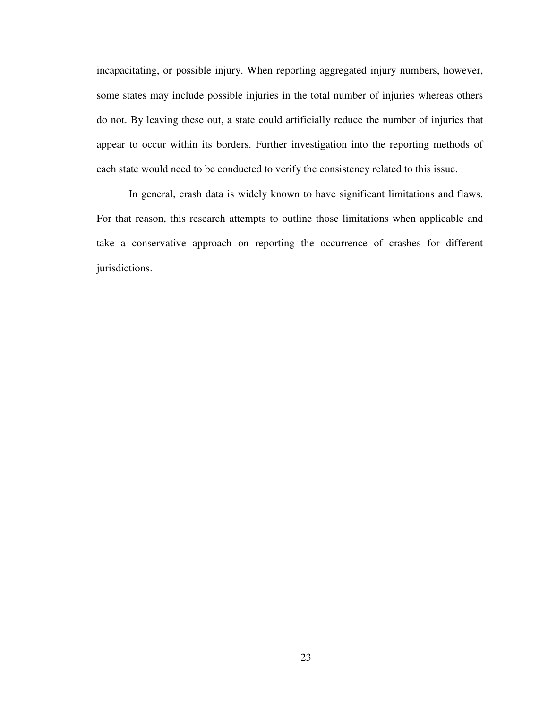incapacitating, or possible injury. When reporting aggregated injury numbers, however, some states may include possible injuries in the total number of injuries whereas others do not. By leaving these out, a state could artificially reduce the number of injuries that appear to occur within its borders. Further investigation into the reporting methods of each state would need to be conducted to verify the consistency related to this issue.

In general, crash data is widely known to have significant limitations and flaws. For that reason, this research attempts to outline those limitations when applicable and take a conservative approach on reporting the occurrence of crashes for different jurisdictions.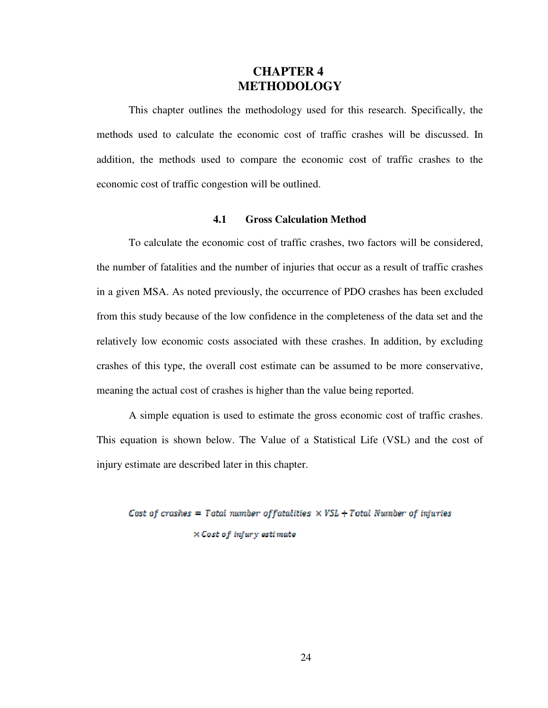# **CHAPTER 4 METHODOLOGY**

This chapter outlines the methodology used for this research. Specifically, the methods used to calculate the economic cost of traffic crashes will be discussed. In addition, the methods used to compare the economic cost of traffic crashes to the economic cost of traffic congestion will be outlined.

### **4.1 Gross Calculation Method**

To calculate the economic cost of traffic crashes, two factors will be considered, the number of fatalities and the number of injuries that occur as a result of traffic crashes in a given MSA. As noted previously, the occurrence of PDO crashes has been excluded from this study because of the low confidence in the completeness of the data set and the relatively low economic costs associated with these crashes. In addition, by excluding crashes of this type, the overall cost estimate can be assumed to be more conservative, meaning the actual cost of crashes is higher than the value being reported.

A simple equation is used to estimate the gross economic cost of traffic crashes. This equation is shown below. The Value of a Statistical Life (VSL) and the cost of injury estimate are described later in this chapter.

# Cost of crashes = Total number of fatalities  $\times$  VSL + Total Number of injuries  $\times$  Cost of injury estimate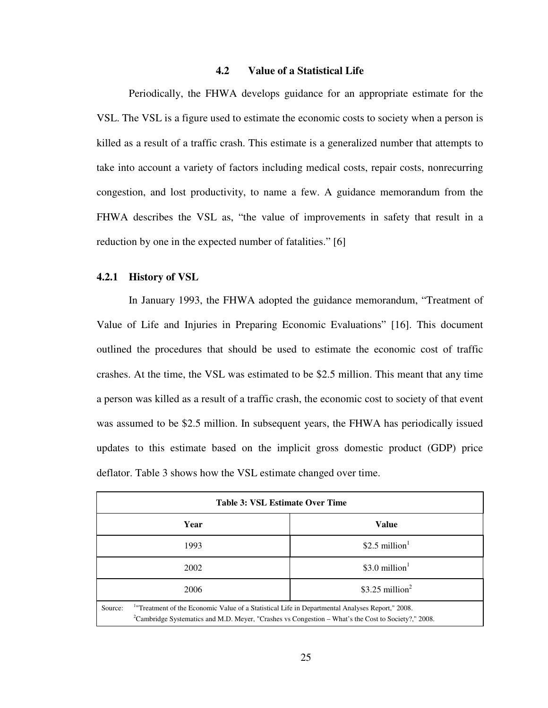## **4.2 Value of a Statistical Life**

Periodically, the FHWA develops guidance for an appropriate estimate for the VSL. The VSL is a figure used to estimate the economic costs to society when a person is killed as a result of a traffic crash. This estimate is a generalized number that attempts to take into account a variety of factors including medical costs, repair costs, nonrecurring congestion, and lost productivity, to name a few. A guidance memorandum from the FHWA describes the VSL as, "the value of improvements in safety that result in a reduction by one in the expected number of fatalities." [6]

## **4.2.1 History of VSL**

In January 1993, the FHWA adopted the guidance memorandum, "Treatment of Value of Life and Injuries in Preparing Economic Evaluations" [16]. This document outlined the procedures that should be used to estimate the economic cost of traffic crashes. At the time, the VSL was estimated to be \$2.5 million. This meant that any time a person was killed as a result of a traffic crash, the economic cost to society of that event was assumed to be \$2.5 million. In subsequent years, the FHWA has periodically issued updates to this estimate based on the implicit gross domestic product (GDP) price deflator. Table 3 shows how the VSL estimate changed over time.

| Table 3: VSL Estimate Over Time                                                                                                                                                                                                           |                              |  |
|-------------------------------------------------------------------------------------------------------------------------------------------------------------------------------------------------------------------------------------------|------------------------------|--|
| Year                                                                                                                                                                                                                                      | Value                        |  |
| 1993                                                                                                                                                                                                                                      | \$2.5 million $1$            |  |
| 2002                                                                                                                                                                                                                                      | \$3.0 million $1$            |  |
| 2006                                                                                                                                                                                                                                      | $$3.25$ million <sup>2</sup> |  |
| <sup>1</sup> "Treatment of the Economic Value of a Statistical Life in Departmental Analyses Report," 2008.<br>Source:<br><sup>2</sup> Cambridge Systematics and M.D. Meyer, "Crashes vs Congestion - What's the Cost to Society?," 2008. |                              |  |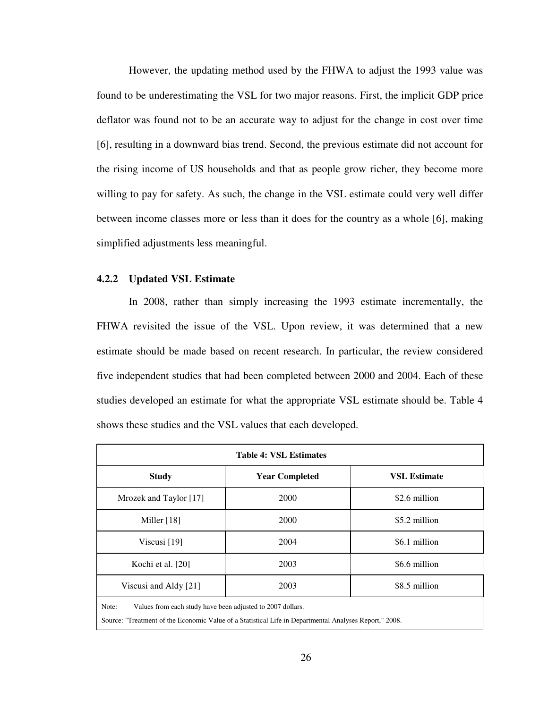However, the updating method used by the FHWA to adjust the 1993 value was found to be underestimating the VSL for two major reasons. First, the implicit GDP price deflator was found not to be an accurate way to adjust for the change in cost over time [6], resulting in a downward bias trend. Second, the previous estimate did not account for the rising income of US households and that as people grow richer, they become more willing to pay for safety. As such, the change in the VSL estimate could very well differ between income classes more or less than it does for the country as a whole [6], making simplified adjustments less meaningful.

### **4.2.2 Updated VSL Estimate**

In 2008, rather than simply increasing the 1993 estimate incrementally, the FHWA revisited the issue of the VSL. Upon review, it was determined that a new estimate should be made based on recent research. In particular, the review considered five independent studies that had been completed between 2000 and 2004. Each of these studies developed an estimate for what the appropriate VSL estimate should be. Table 4 shows these studies and the VSL values that each developed.

| <b>Table 4: VSL Estimates</b>                                                                                                                                                 |                       |                     |  |
|-------------------------------------------------------------------------------------------------------------------------------------------------------------------------------|-----------------------|---------------------|--|
| <b>Study</b>                                                                                                                                                                  | <b>Year Completed</b> | <b>VSL Estimate</b> |  |
| Mrozek and Taylor [17]                                                                                                                                                        | <b>2000</b>           | \$2.6 million       |  |
| Miller $[18]$                                                                                                                                                                 | 2000                  | \$5.2 million       |  |
| Viscusi $[19]$                                                                                                                                                                | 2004                  | \$6.1 million       |  |
| Kochi et al. [20]                                                                                                                                                             | 2003                  | \$6.6 million       |  |
| Viscusi and Aldy [21]                                                                                                                                                         | 2003                  | \$8.5 million       |  |
| Note:<br>Values from each study have been adjusted to 2007 dollars.<br>Source: "Treatment of the Economic Value of a Statistical Life in Departmental Analyses Report," 2008. |                       |                     |  |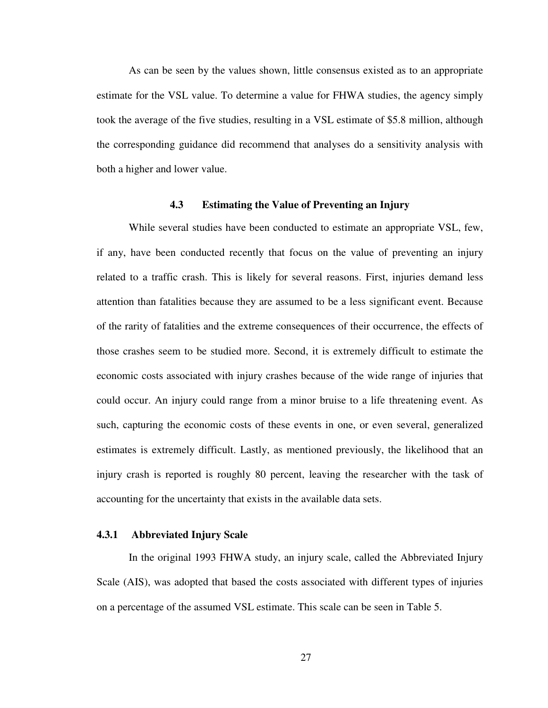As can be seen by the values shown, little consensus existed as to an appropriate estimate for the VSL value. To determine a value for FHWA studies, the agency simply took the average of the five studies, resulting in a VSL estimate of \$5.8 million, although the corresponding guidance did recommend that analyses do a sensitivity analysis with both a higher and lower value.

## **4.3 Estimating the Value of Preventing an Injury**

While several studies have been conducted to estimate an appropriate VSL, few, if any, have been conducted recently that focus on the value of preventing an injury related to a traffic crash. This is likely for several reasons. First, injuries demand less attention than fatalities because they are assumed to be a less significant event. Because of the rarity of fatalities and the extreme consequences of their occurrence, the effects of those crashes seem to be studied more. Second, it is extremely difficult to estimate the economic costs associated with injury crashes because of the wide range of injuries that could occur. An injury could range from a minor bruise to a life threatening event. As such, capturing the economic costs of these events in one, or even several, generalized estimates is extremely difficult. Lastly, as mentioned previously, the likelihood that an injury crash is reported is roughly 80 percent, leaving the researcher with the task of accounting for the uncertainty that exists in the available data sets.

### **4.3.1 Abbreviated Injury Scale**

In the original 1993 FHWA study, an injury scale, called the Abbreviated Injury Scale (AIS), was adopted that based the costs associated with different types of injuries on a percentage of the assumed VSL estimate. This scale can be seen in Table 5.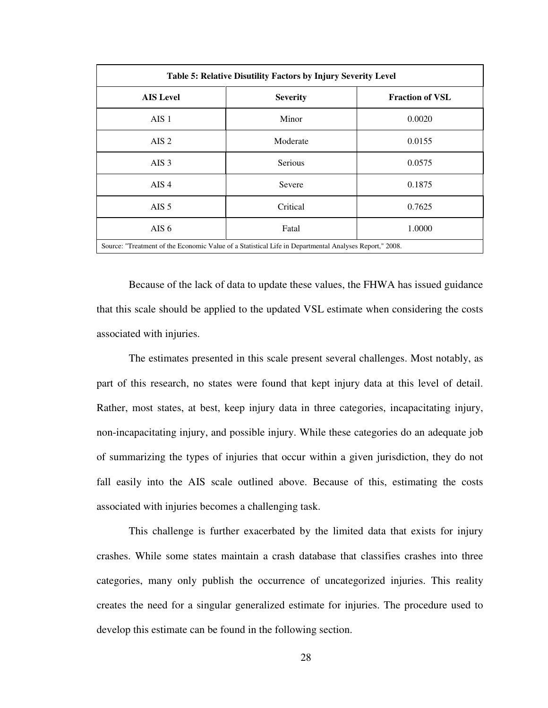| Table 5: Relative Disutility Factors by Injury Severity Level |                        |  |  |  |  |
|---------------------------------------------------------------|------------------------|--|--|--|--|
| <b>Severity</b>                                               | <b>Fraction of VSL</b> |  |  |  |  |
| Minor                                                         | 0.0020                 |  |  |  |  |
| Moderate                                                      | 0.0155                 |  |  |  |  |
| Serious                                                       | 0.0575                 |  |  |  |  |
| Severe                                                        | 0.1875                 |  |  |  |  |
| Critical                                                      | 0.7625                 |  |  |  |  |
| Fatal                                                         | 1.0000                 |  |  |  |  |
|                                                               |                        |  |  |  |  |

Because of the lack of data to update these values, the FHWA has issued guidance that this scale should be applied to the updated VSL estimate when considering the costs associated with injuries.

The estimates presented in this scale present several challenges. Most notably, as part of this research, no states were found that kept injury data at this level of detail. Rather, most states, at best, keep injury data in three categories, incapacitating injury, non-incapacitating injury, and possible injury. While these categories do an adequate job of summarizing the types of injuries that occur within a given jurisdiction, they do not fall easily into the AIS scale outlined above. Because of this, estimating the costs associated with injuries becomes a challenging task.

This challenge is further exacerbated by the limited data that exists for injury crashes. While some states maintain a crash database that classifies crashes into three categories, many only publish the occurrence of uncategorized injuries. This reality creates the need for a singular generalized estimate for injuries. The procedure used to develop this estimate can be found in the following section.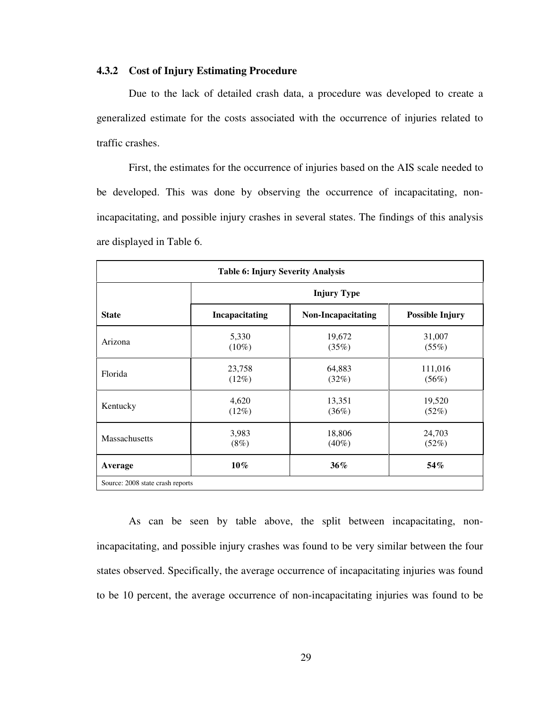### **4.3.2 Cost of Injury Estimating Procedure**

Due to the lack of detailed crash data, a procedure was developed to create a generalized estimate for the costs associated with the occurrence of injuries related to traffic crashes.

First, the estimates for the occurrence of injuries based on the AIS scale needed to be developed. This was done by observing the occurrence of incapacitating, nonincapacitating, and possible injury crashes in several states. The findings of this analysis are displayed in Table 6.

| <b>Table 6: Injury Severity Analysis</b> |                   |                           |                        |  |  |
|------------------------------------------|-------------------|---------------------------|------------------------|--|--|
| <b>Injury Type</b>                       |                   |                           |                        |  |  |
| <b>State</b>                             | Incapacitating    | <b>Non-Incapacitating</b> | <b>Possible Injury</b> |  |  |
| Arizona                                  | 5,330<br>$(10\%)$ | 19,672<br>(35%)           | 31,007<br>(55%)        |  |  |
| Florida                                  | 23,758<br>(12%)   | 64,883<br>(32%)           | 111,016<br>(56%)       |  |  |
| Kentucky                                 | 4,620<br>(12%)    | 13,351<br>(36%)           | 19,520<br>(52%)        |  |  |
| <b>Massachusetts</b>                     | 3,983<br>$(8\%)$  | 18,806<br>$(40\%)$        | 24,703<br>(52%)        |  |  |
| Average                                  | $10\%$            | $36\%$                    | 54%                    |  |  |
| Source: 2008 state crash reports         |                   |                           |                        |  |  |

As can be seen by table above, the split between incapacitating, nonincapacitating, and possible injury crashes was found to be very similar between the four states observed. Specifically, the average occurrence of incapacitating injuries was found to be 10 percent, the average occurrence of non-incapacitating injuries was found to be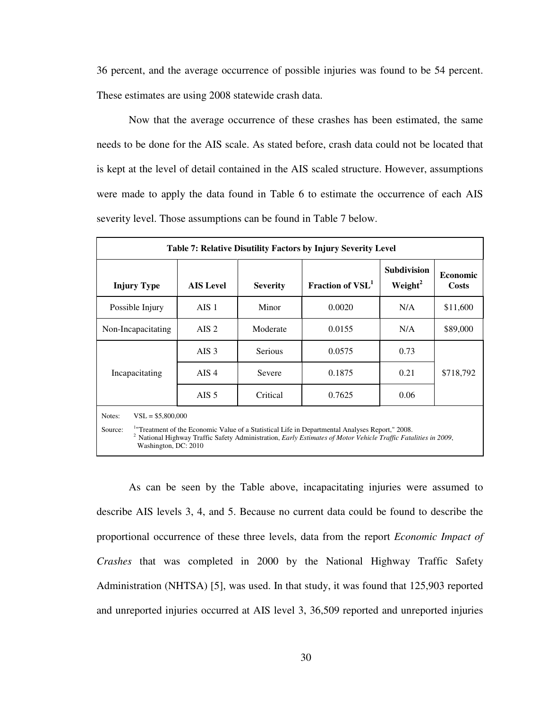36 percent, and the average occurrence of possible injuries was found to be 54 percent. These estimates are using 2008 statewide crash data.

Now that the average occurrence of these crashes has been estimated, the same needs to be done for the AIS scale. As stated before, crash data could not be located that is kept at the level of detail contained in the AIS scaled structure. However, assumptions were made to apply the data found in Table 6 to estimate the occurrence of each AIS severity level. Those assumptions can be found in Table 7 below.

|                              | <b>Table 7: Relative Disutility Factors by Injury Severity Level</b>                                                                                                                                                                                             |                 |                              |                                   |                          |  |  |  |  |
|------------------------------|------------------------------------------------------------------------------------------------------------------------------------------------------------------------------------------------------------------------------------------------------------------|-----------------|------------------------------|-----------------------------------|--------------------------|--|--|--|--|
| <b>Injury Type</b>           | <b>AIS Level</b>                                                                                                                                                                                                                                                 | <b>Severity</b> | Fraction of VSL <sup>1</sup> | <b>Subdivision</b><br>Weight $^2$ | <b>Economic</b><br>Costs |  |  |  |  |
| Possible Injury              | AIS <sub>1</sub>                                                                                                                                                                                                                                                 | Minor           | 0.0020                       | N/A                               | \$11,600                 |  |  |  |  |
| Non-Incapacitating           | AIS 2                                                                                                                                                                                                                                                            | Moderate        | 0.0155                       | N/A                               | \$89,000                 |  |  |  |  |
|                              | AIS 3                                                                                                                                                                                                                                                            | <b>Serious</b>  | 0.0575                       | 0.73                              |                          |  |  |  |  |
| Incapacitating               | AIS 4                                                                                                                                                                                                                                                            | Severe          | 0.1875                       | 0.21                              | \$718,792                |  |  |  |  |
|                              | AIS 5                                                                                                                                                                                                                                                            | Critical        | 0.7625                       | 0.06                              |                          |  |  |  |  |
| Notes:<br>$VSL = $5,800,000$ |                                                                                                                                                                                                                                                                  |                 |                              |                                   |                          |  |  |  |  |
| Source:                      | <sup>1</sup> "Treatment of the Economic Value of a Statistical Life in Departmental Analyses Report," 2008.<br><sup>2</sup> National Highway Traffic Safety Administration, Early Estimates of Motor Vehicle Traffic Fatalities in 2009,<br>Washington, DC: 2010 |                 |                              |                                   |                          |  |  |  |  |

As can be seen by the Table above, incapacitating injuries were assumed to describe AIS levels 3, 4, and 5. Because no current data could be found to describe the proportional occurrence of these three levels, data from the report *Economic Impact of Crashes* that was completed in 2000 by the National Highway Traffic Safety Administration (NHTSA) [5], was used. In that study, it was found that 125,903 reported and unreported injuries occurred at AIS level 3, 36,509 reported and unreported injuries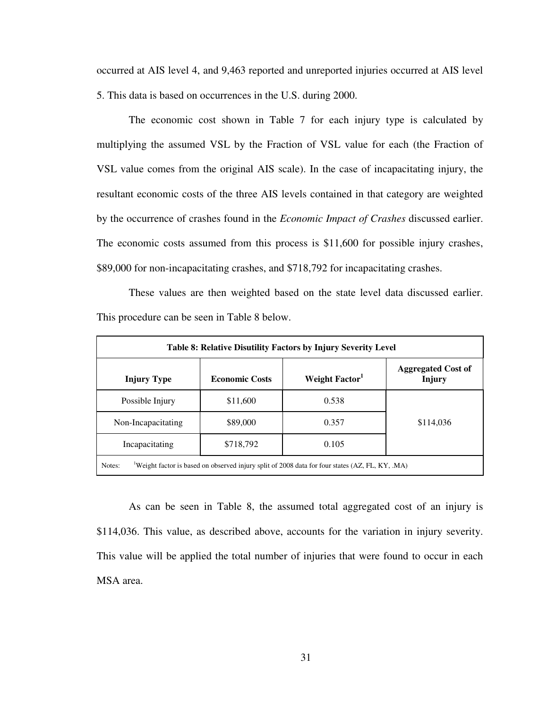occurred at AIS level 4, and 9,463 reported and unreported injuries occurred at AIS level 5. This data is based on occurrences in the U.S. during 2000.

The economic cost shown in Table 7 for each injury type is calculated by multiplying the assumed VSL by the Fraction of VSL value for each (the Fraction of VSL value comes from the original AIS scale). In the case of incapacitating injury, the resultant economic costs of the three AIS levels contained in that category are weighted by the occurrence of crashes found in the *Economic Impact of Crashes* discussed earlier. The economic costs assumed from this process is \$11,600 for possible injury crashes, \$89,000 for non-incapacitating crashes, and \$718,792 for incapacitating crashes.

| <b>Economic Costs</b> |                                   | <b>Aggregated Cost of</b>                                                                      |
|-----------------------|-----------------------------------|------------------------------------------------------------------------------------------------|
|                       | Weight Factor <sup>1</sup>        | Injury                                                                                         |
|                       | 0.538                             |                                                                                                |
|                       | 0.357                             | \$114,036                                                                                      |
|                       | 0.105                             |                                                                                                |
|                       | \$11,600<br>\$89,000<br>\$718,792 | Weight factor is based on observed injury split of 2008 data for four states (AZ, FL, KY, .MA) |

These values are then weighted based on the state level data discussed earlier. This procedure can be seen in Table 8 below.

As can be seen in Table 8, the assumed total aggregated cost of an injury is \$114,036. This value, as described above, accounts for the variation in injury severity. This value will be applied the total number of injuries that were found to occur in each MSA area.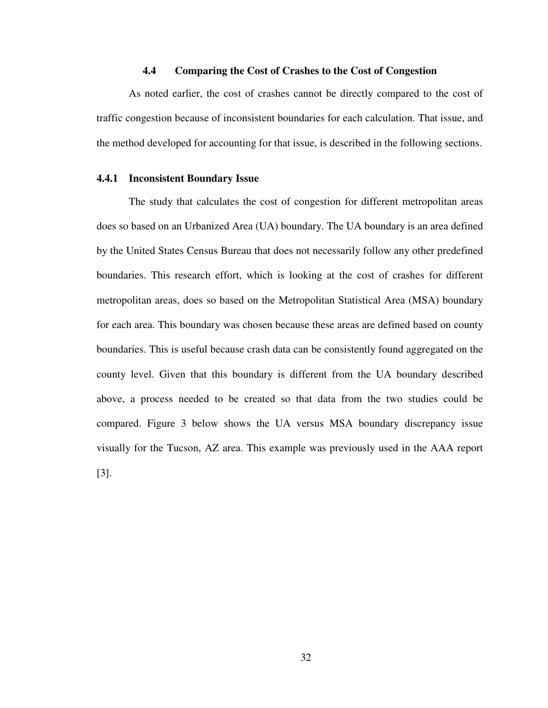#### **4.4 Comparing the Cost of Crashes to the Cost of Congestion**

As noted earlier, the cost of crashes cannot be directly compared to the cost of traffic congestion because of inconsistent boundaries for each calculation. That issue, and the method developed for accounting for that issue, is described in the following sections.

#### **4.4.1 Inconsistent Boundary Issue**

The study that calculates the cost of congestion for different metropolitan areas does so based on an Urbanized Area (UA) boundary. The UA boundary is an area defined by the United States Census Bureau that does not necessarily follow any other predefined boundaries. This research effort, which is looking at the cost of crashes for different metropolitan areas, does so based on the Metropolitan Statistical Area (MSA) boundary for each area. This boundary was chosen because these areas are defined based on county boundaries. This is useful because crash data can be consistently found aggregated on the county level. Given that this boundary is different from the UA boundary described above, a process needed to be created so that data from the two studies could be compared. Figure 3 below shows the UA versus MSA boundary discrepancy issue visually for the Tucson, AZ area. This example was previously used in the AAA report [3].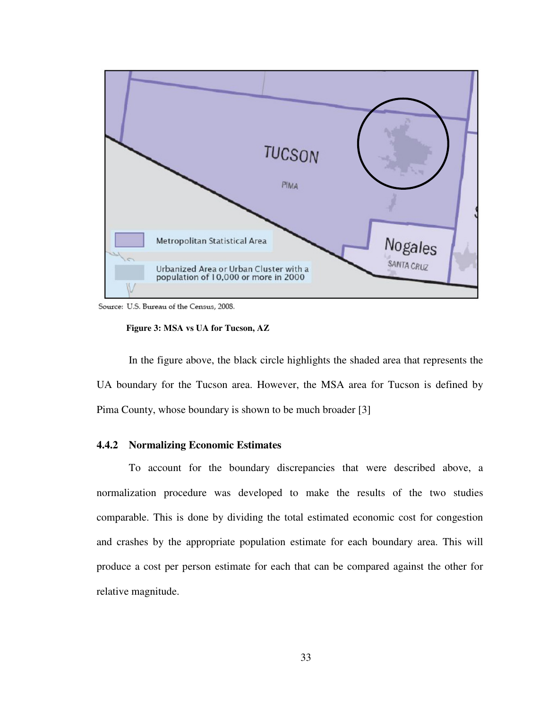

Source: U.S. Bureau of the Census, 2008.

#### **Figure 3: MSA vs UA for Tucson, AZ**

In the figure above, the black circle highlights the shaded area that represents the UA boundary for the Tucson area. However, the MSA area for Tucson is defined by Pima County, whose boundary is shown to be much broader [3]

#### **4.4.2 Normalizing Economic Estimates**

To account for the boundary discrepancies that were described above, a normalization procedure was developed to make the results of the two studies comparable. This is done by dividing the total estimated economic cost for congestion and crashes by the appropriate population estimate for each boundary area. This will produce a cost per person estimate for each that can be compared against the other for relative magnitude.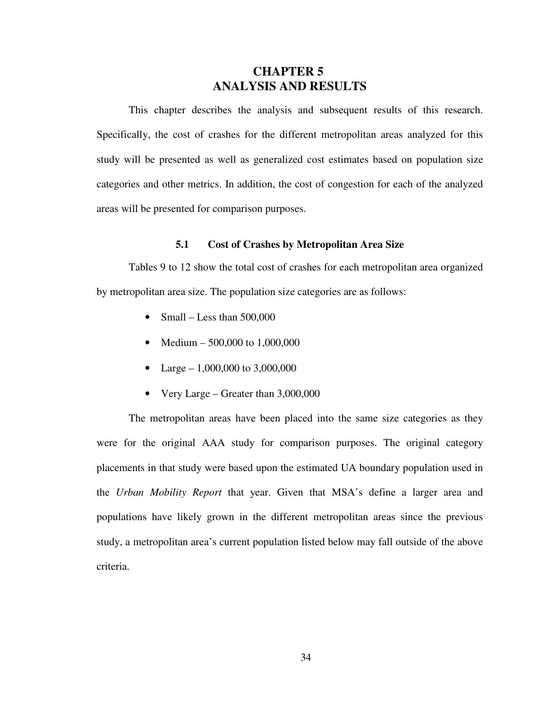# **CHAPTER 5 ANALYSIS AND RESULTS**

This chapter describes the analysis and subsequent results of this research. Specifically, the cost of crashes for the different metropolitan areas analyzed for this study will be presented as well as generalized cost estimates based on population size categories and other metrics. In addition, the cost of congestion for each of the analyzed areas will be presented for comparison purposes.

#### **5.1 Cost of Crashes by Metropolitan Area Size**

Tables 9 to 12 show the total cost of crashes for each metropolitan area organized by metropolitan area size. The population size categories are as follows:

- Small Less than  $500,000$
- Medium 500,000 to 1,000,000
- Large 1,000,000 to 3,000,000
- Very Large Greater than 3,000,000

The metropolitan areas have been placed into the same size categories as they were for the original AAA study for comparison purposes. The original category placements in that study were based upon the estimated UA boundary population used in the *Urban Mobility Report* that year. Given that MSA's define a larger area and populations have likely grown in the different metropolitan areas since the previous study, a metropolitan area's current population listed below may fall outside of the above criteria.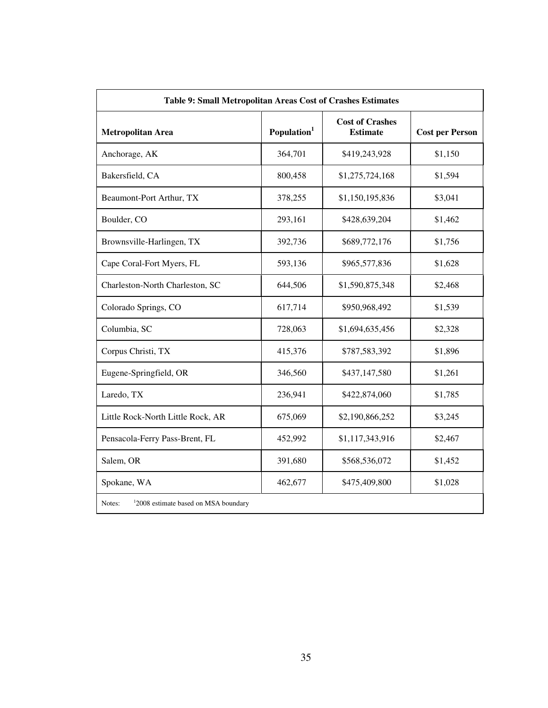| Table 9: Small Metropolitan Areas Cost of Crashes Estimates |                         |                                           |                        |  |  |  |
|-------------------------------------------------------------|-------------------------|-------------------------------------------|------------------------|--|--|--|
| <b>Metropolitan Area</b>                                    | Population <sup>1</sup> | <b>Cost of Crashes</b><br><b>Estimate</b> | <b>Cost per Person</b> |  |  |  |
| Anchorage, AK                                               | 364,701                 | \$419,243,928                             | \$1,150                |  |  |  |
| Bakersfield, CA                                             | 800,458                 | \$1,275,724,168                           | \$1,594                |  |  |  |
| Beaumont-Port Arthur, TX                                    | 378,255                 | \$1,150,195,836                           | \$3,041                |  |  |  |
| Boulder, CO                                                 | 293,161                 | \$428,639,204                             | \$1,462                |  |  |  |
| Brownsville-Harlingen, TX                                   | 392,736                 | \$689,772,176                             | \$1,756                |  |  |  |
| Cape Coral-Fort Myers, FL                                   | 593,136                 | \$965,577,836                             | \$1,628                |  |  |  |
| Charleston-North Charleston, SC                             | 644,506                 | \$1,590,875,348                           | \$2,468                |  |  |  |
| Colorado Springs, CO                                        | 617,714                 | \$950,968,492                             | \$1,539                |  |  |  |
| Columbia, SC                                                | 728,063                 | \$1,694,635,456                           | \$2,328                |  |  |  |
| Corpus Christi, TX                                          | 415,376                 | \$787,583,392                             | \$1,896                |  |  |  |
| Eugene-Springfield, OR                                      | 346,560                 | \$437,147,580                             | \$1,261                |  |  |  |
| Laredo, TX                                                  | 236,941                 | \$422,874,060                             | \$1,785                |  |  |  |
| Little Rock-North Little Rock, AR                           | 675,069                 | \$2,190,866,252                           | \$3,245                |  |  |  |
| Pensacola-Ferry Pass-Brent, FL                              | 452,992                 | \$1,117,343,916                           | \$2,467                |  |  |  |
| Salem, OR                                                   | 391,680                 | \$568,536,072                             | \$1,452                |  |  |  |
| Spokane, WA                                                 | 462,677                 | \$475,409,800                             | \$1,028                |  |  |  |
| <sup>1</sup> 2008 estimate based on MSA boundary<br>Notes:  |                         |                                           |                        |  |  |  |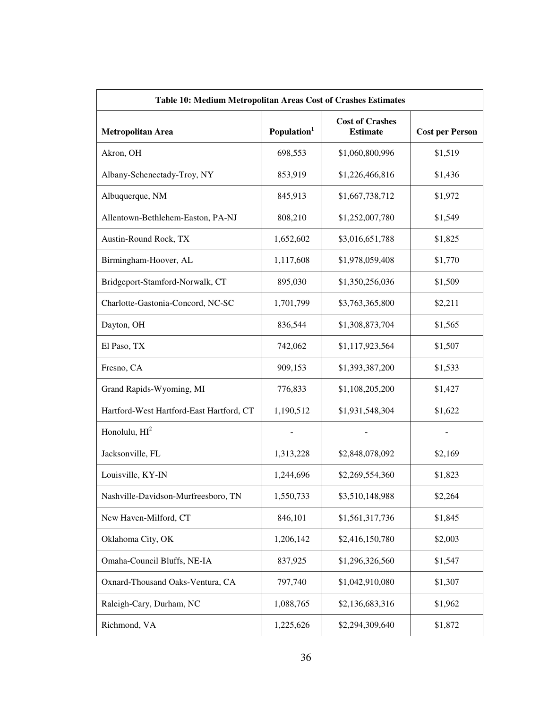| Table 10: Medium Metropolitan Areas Cost of Crashes Estimates |                         |                                           |                        |  |  |  |  |
|---------------------------------------------------------------|-------------------------|-------------------------------------------|------------------------|--|--|--|--|
| <b>Metropolitan Area</b>                                      | Population <sup>1</sup> | <b>Cost of Crashes</b><br><b>Estimate</b> | <b>Cost per Person</b> |  |  |  |  |
| Akron, OH                                                     | 698,553                 | \$1,060,800,996                           | \$1,519                |  |  |  |  |
| Albany-Schenectady-Troy, NY                                   | 853,919                 | \$1,226,466,816                           | \$1,436                |  |  |  |  |
| Albuquerque, NM                                               | 845,913                 | \$1,667,738,712                           | \$1,972                |  |  |  |  |
| Allentown-Bethlehem-Easton, PA-NJ                             | 808,210                 | \$1,252,007,780                           | \$1,549                |  |  |  |  |
| Austin-Round Rock, TX                                         | 1,652,602               | \$3,016,651,788                           | \$1,825                |  |  |  |  |
| Birmingham-Hoover, AL                                         | 1,117,608               | \$1,978,059,408                           | \$1,770                |  |  |  |  |
| Bridgeport-Stamford-Norwalk, CT                               | 895,030                 | \$1,350,256,036                           | \$1,509                |  |  |  |  |
| Charlotte-Gastonia-Concord, NC-SC                             | 1,701,799               | \$3,763,365,800                           | \$2,211                |  |  |  |  |
| Dayton, OH                                                    | 836,544                 | \$1,308,873,704                           | \$1,565                |  |  |  |  |
| El Paso, TX                                                   | 742,062                 | \$1,117,923,564                           | \$1,507                |  |  |  |  |
| Fresno, CA                                                    | 909,153                 | \$1,393,387,200                           | \$1,533                |  |  |  |  |
| Grand Rapids-Wyoming, MI                                      | 776,833                 | \$1,108,205,200                           | \$1,427                |  |  |  |  |
| Hartford-West Hartford-East Hartford, CT                      | 1,190,512               | \$1,931,548,304                           | \$1,622                |  |  |  |  |
| Honolulu, $HI2$                                               |                         |                                           |                        |  |  |  |  |
| Jacksonville, FL                                              | 1,313,228               | \$2,848,078,092                           | \$2,169                |  |  |  |  |
| Louisville, KY-IN                                             | 1,244,696               | \$2,269,554,360                           | \$1,823                |  |  |  |  |
| Nashville-Davidson-Murfreesboro, TN                           | 1,550,733               | \$3,510,148,988                           | \$2,264                |  |  |  |  |
| New Haven-Milford, CT                                         | 846,101                 | \$1,561,317,736                           | \$1,845                |  |  |  |  |
| Oklahoma City, OK                                             | 1,206,142               | \$2,416,150,780                           | \$2,003                |  |  |  |  |
| Omaha-Council Bluffs, NE-IA                                   | 837,925                 | \$1,296,326,560                           | \$1,547                |  |  |  |  |
| Oxnard-Thousand Oaks-Ventura, CA                              | 797,740                 | \$1,042,910,080                           | \$1,307                |  |  |  |  |
| Raleigh-Cary, Durham, NC                                      | 1,088,765               | \$2,136,683,316                           | \$1,962                |  |  |  |  |
| Richmond, VA                                                  | 1,225,626               | \$2,294,309,640                           | \$1,872                |  |  |  |  |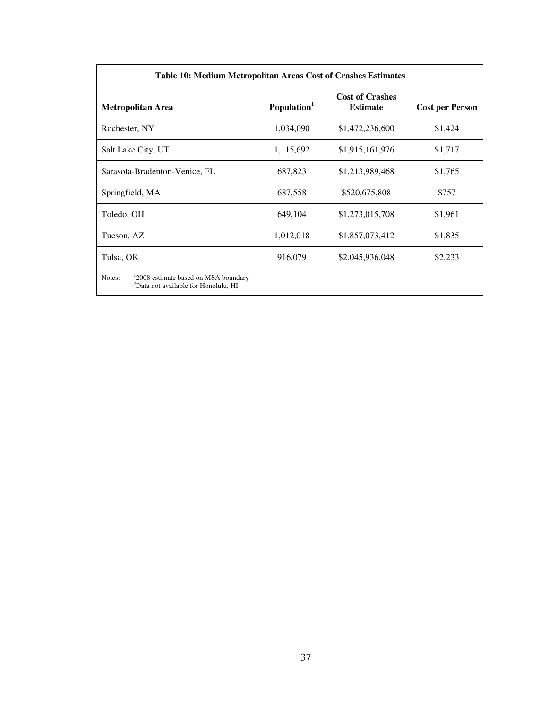| Table 10: Medium Metropolitan Areas Cost of Crashes Estimates                                                  |                                                   |                 |                        |  |  |  |
|----------------------------------------------------------------------------------------------------------------|---------------------------------------------------|-----------------|------------------------|--|--|--|
| <b>Metropolitan Area</b>                                                                                       | <b>Cost of Crashes</b><br>Population <sup>1</sup> |                 | <b>Cost per Person</b> |  |  |  |
| Rochester, NY                                                                                                  | 1,034,090                                         | \$1,472,236,600 | \$1,424                |  |  |  |
| Salt Lake City, UT                                                                                             | 1,115,692                                         | \$1,915,161,976 | \$1,717                |  |  |  |
| Sarasota-Bradenton-Venice, FL                                                                                  | 687,823                                           | \$1,213,989,468 | \$1,765                |  |  |  |
| Springfield, MA                                                                                                | 687,558                                           | \$520,675,808   | \$757                  |  |  |  |
| Toledo, OH                                                                                                     | 649,104                                           | \$1,273,015,708 | \$1,961                |  |  |  |
| Tucson, AZ                                                                                                     | 1,012,018                                         | \$1,857,073,412 | \$1,835                |  |  |  |
| Tulsa, OK                                                                                                      | 916,079                                           | \$2,045,936,048 | \$2,233                |  |  |  |
| <sup>1</sup> 2008 estimate based on MSA boundary<br>Notes:<br><sup>2</sup> Data not available for Honolulu, HI |                                                   |                 |                        |  |  |  |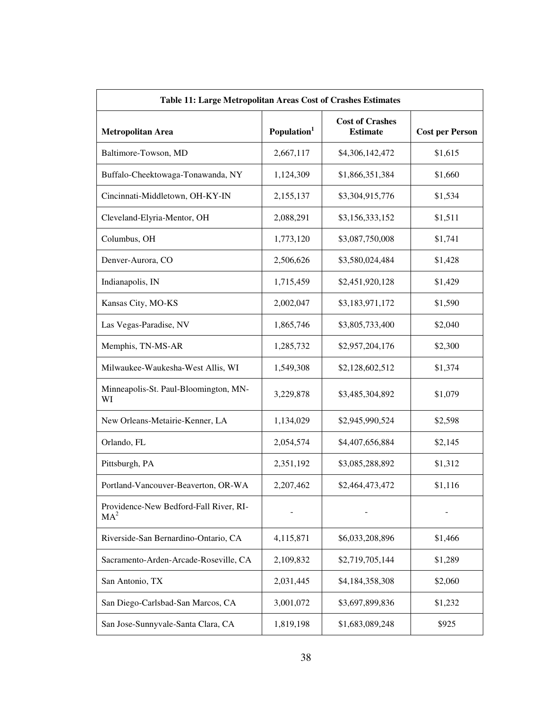| Table 11: Large Metropolitan Areas Cost of Crashes Estimates |                         |                                           |                        |  |  |  |  |
|--------------------------------------------------------------|-------------------------|-------------------------------------------|------------------------|--|--|--|--|
| <b>Metropolitan Area</b>                                     | Population <sup>1</sup> | <b>Cost of Crashes</b><br><b>Estimate</b> | <b>Cost per Person</b> |  |  |  |  |
| Baltimore-Towson, MD                                         | 2,667,117               | \$4,306,142,472                           | \$1,615                |  |  |  |  |
| Buffalo-Cheektowaga-Tonawanda, NY                            | 1,124,309               | \$1,866,351,384                           | \$1,660                |  |  |  |  |
| Cincinnati-Middletown, OH-KY-IN                              | 2,155,137               | \$3,304,915,776                           | \$1,534                |  |  |  |  |
| Cleveland-Elyria-Mentor, OH                                  | 2,088,291               | \$3,156,333,152                           | \$1,511                |  |  |  |  |
| Columbus, OH                                                 | 1,773,120               | \$3,087,750,008                           | \$1,741                |  |  |  |  |
| Denver-Aurora, CO                                            | 2,506,626               | \$3,580,024,484                           | \$1,428                |  |  |  |  |
| Indianapolis, IN                                             | 1,715,459               | \$2,451,920,128                           | \$1,429                |  |  |  |  |
| Kansas City, MO-KS                                           | 2,002,047               | \$3,183,971,172                           | \$1,590                |  |  |  |  |
| Las Vegas-Paradise, NV                                       | 1,865,746               | \$3,805,733,400                           | \$2,040                |  |  |  |  |
| Memphis, TN-MS-AR                                            | 1,285,732               | \$2,957,204,176                           | \$2,300                |  |  |  |  |
| Milwaukee-Waukesha-West Allis, WI                            | 1,549,308               | \$2,128,602,512                           | \$1,374                |  |  |  |  |
| Minneapolis-St. Paul-Bloomington, MN-<br>WI                  | 3,229,878               | \$3,485,304,892                           | \$1,079                |  |  |  |  |
| New Orleans-Metairie-Kenner, LA                              | 1,134,029               | \$2,945,990,524                           | \$2,598                |  |  |  |  |
| Orlando, FL                                                  | 2,054,574               | \$4,407,656,884                           | \$2,145                |  |  |  |  |
| Pittsburgh, PA                                               | 2,351,192               | \$3,085,288,892                           | \$1,312                |  |  |  |  |
| Portland-Vancouver-Beaverton, OR-WA                          | 2,207,462               | \$2,464,473,472                           | \$1,116                |  |  |  |  |
| Providence-New Bedford-Fall River, RI-<br>MA <sup>2</sup>    |                         |                                           |                        |  |  |  |  |
| Riverside-San Bernardino-Ontario, CA                         | 4,115,871               | \$6,033,208,896                           | \$1,466                |  |  |  |  |
| Sacramento-Arden-Arcade-Roseville, CA                        | 2,109,832               | \$2,719,705,144                           | \$1,289                |  |  |  |  |
| San Antonio, TX                                              | 2,031,445               | \$4,184,358,308                           | \$2,060                |  |  |  |  |
| San Diego-Carlsbad-San Marcos, CA                            | 3,001,072               | \$3,697,899,836                           | \$1,232                |  |  |  |  |
| San Jose-Sunnyvale-Santa Clara, CA                           | 1,819,198               | \$1,683,089,248                           | \$925                  |  |  |  |  |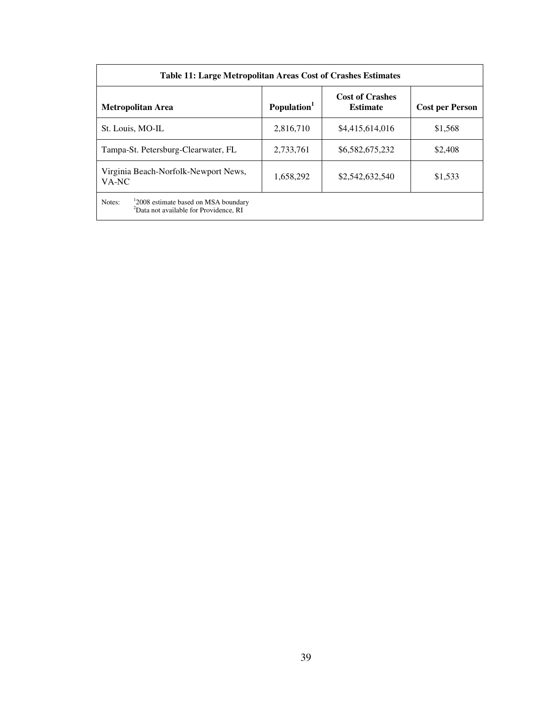| <b>Table 11: Large Metropolitan Areas Cost of Crashes Estimates</b>                                              |                         |                                           |                        |  |  |  |
|------------------------------------------------------------------------------------------------------------------|-------------------------|-------------------------------------------|------------------------|--|--|--|
| <b>Metropolitan Area</b>                                                                                         | Population <sup>1</sup> | <b>Cost of Crashes</b><br><b>Estimate</b> | <b>Cost per Person</b> |  |  |  |
| St. Louis, MO-IL                                                                                                 | 2,816,710               | \$4,415,614,016                           | \$1,568                |  |  |  |
| Tampa-St. Petersburg-Clearwater, FL                                                                              | 2,733,761               | \$6,582,675,232                           | \$2,408                |  |  |  |
| Virginia Beach-Norfolk-Newport News,<br>VA-NC                                                                    | 1,658,292               | \$2,542,632,540                           | \$1,533                |  |  |  |
| Notes:<br><sup>1</sup> 2008 estimate based on MSA boundary<br><sup>2</sup> Data not available for Providence, RI |                         |                                           |                        |  |  |  |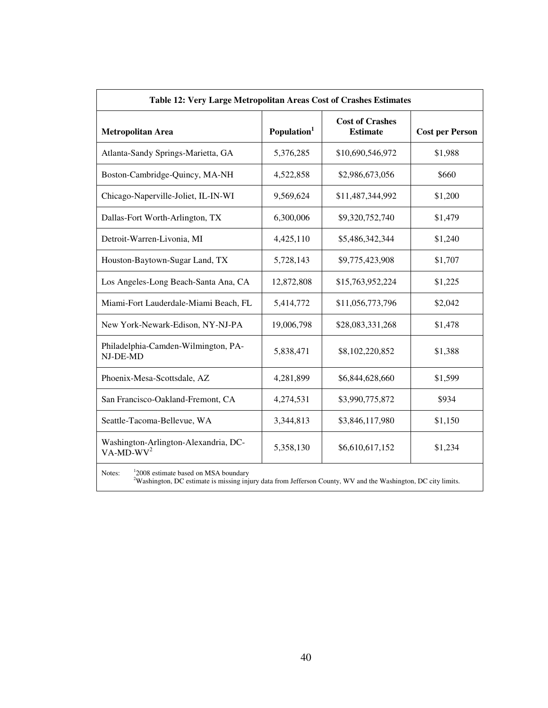| Table 12: Very Large Metropolitan Areas Cost of Crashes Estimates                                                                                                                       |                         |                                           |                        |  |  |  |
|-----------------------------------------------------------------------------------------------------------------------------------------------------------------------------------------|-------------------------|-------------------------------------------|------------------------|--|--|--|
| <b>Metropolitan Area</b>                                                                                                                                                                | Population <sup>1</sup> | <b>Cost of Crashes</b><br><b>Estimate</b> | <b>Cost per Person</b> |  |  |  |
| Atlanta-Sandy Springs-Marietta, GA                                                                                                                                                      | 5,376,285               | \$10,690,546,972                          | \$1,988                |  |  |  |
| Boston-Cambridge-Quincy, MA-NH                                                                                                                                                          | 4,522,858               | \$2,986,673,056                           | \$660                  |  |  |  |
| Chicago-Naperville-Joliet, IL-IN-WI                                                                                                                                                     | 9,569,624               | \$11,487,344,992                          | \$1,200                |  |  |  |
| Dallas-Fort Worth-Arlington, TX                                                                                                                                                         | 6,300,006               | \$9,320,752,740                           | \$1,479                |  |  |  |
| Detroit-Warren-Livonia, MI                                                                                                                                                              | 4,425,110               | \$5,486,342,344                           | \$1,240                |  |  |  |
| Houston-Baytown-Sugar Land, TX                                                                                                                                                          | 5,728,143               | \$9,775,423,908                           | \$1,707                |  |  |  |
| Los Angeles-Long Beach-Santa Ana, CA                                                                                                                                                    | 12,872,808              | \$15,763,952,224                          | \$1,225                |  |  |  |
| Miami-Fort Lauderdale-Miami Beach, FL                                                                                                                                                   | 5,414,772               | \$11,056,773,796                          | \$2,042                |  |  |  |
| New York-Newark-Edison, NY-NJ-PA                                                                                                                                                        | 19,006,798              | \$28,083,331,268                          | \$1,478                |  |  |  |
| Philadelphia-Camden-Wilmington, PA-<br>NJ-DE-MD                                                                                                                                         | 5,838,471               | \$8,102,220,852                           | \$1,388                |  |  |  |
| Phoenix-Mesa-Scottsdale, AZ                                                                                                                                                             | 4,281,899               | \$6,844,628,660                           | \$1,599                |  |  |  |
| San Francisco-Oakland-Fremont, CA                                                                                                                                                       | 4,274,531               | \$3,990,775,872                           | \$934                  |  |  |  |
| Seattle-Tacoma-Bellevue, WA                                                                                                                                                             | 3,344,813               | \$3,846,117,980                           | \$1,150                |  |  |  |
| Washington-Arlington-Alexandria, DC-<br>$VA-MD-WV2$                                                                                                                                     | 5,358,130               | \$6,610,617,152                           | \$1,234                |  |  |  |
| <sup>1</sup> 2008 estimate based on MSA boundary<br>Notes:<br><sup>2</sup> Washington, DC estimate is missing injury data from Jefferson County, WV and the Washington, DC city limits. |                         |                                           |                        |  |  |  |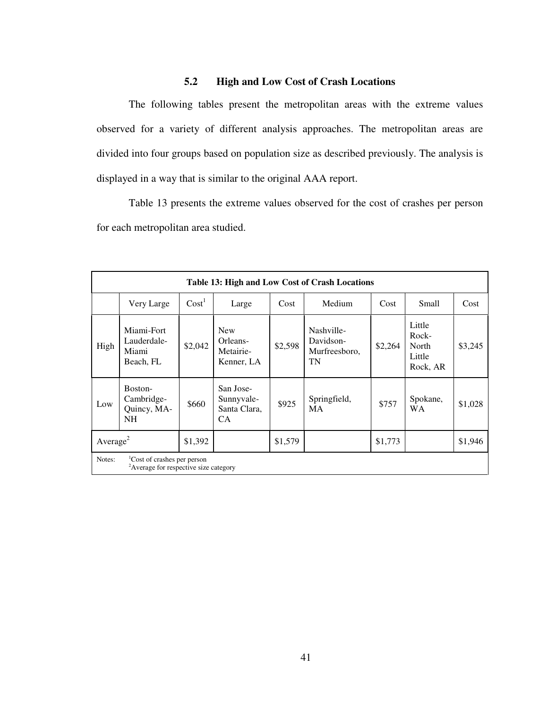### **5.2 High and Low Cost of Crash Locations**

The following tables present the metropolitan areas with the extreme values observed for a variety of different analysis approaches. The metropolitan areas are divided into four groups based on population size as described previously. The analysis is displayed in a way that is similar to the original AAA report.

Table 13 presents the extreme values observed for the cost of crashes per person for each metropolitan area studied.

|                      | Table 13: High and Low Cost of Crash Locations                                               |                   |                                                   |         |                                                       |         |                                                |         |
|----------------------|----------------------------------------------------------------------------------------------|-------------------|---------------------------------------------------|---------|-------------------------------------------------------|---------|------------------------------------------------|---------|
|                      | Very Large                                                                                   | Cost <sup>1</sup> | Large                                             | Cost    | Medium                                                | Cost    | Small                                          | Cost    |
| High                 | Miami-Fort<br>Lauderdale-<br>Miami<br>Beach, FL                                              | \$2,042           | <b>New</b><br>Orleans-<br>Metairie-<br>Kenner, LA | \$2,598 | Nashville-<br>Davidson-<br>Murfreesboro,<br><b>TN</b> | \$2,264 | Little<br>Rock-<br>North<br>Little<br>Rock, AR | \$3,245 |
| Low                  | Boston-<br>Cambridge-<br>Quincy, MA-<br><b>NH</b>                                            | \$660             | San Jose-<br>Sunnyvale-<br>Santa Clara,<br>CA.    | \$925   | Springfield,<br><b>MA</b>                             | \$757   | Spokane,<br><b>WA</b>                          | \$1,028 |
| Average <sup>2</sup> |                                                                                              | \$1,392           |                                                   | \$1,579 |                                                       | \$1,773 |                                                | \$1,946 |
| Notes:               | <sup>1</sup> Cost of crashes per person<br><sup>2</sup> Average for respective size category |                   |                                                   |         |                                                       |         |                                                |         |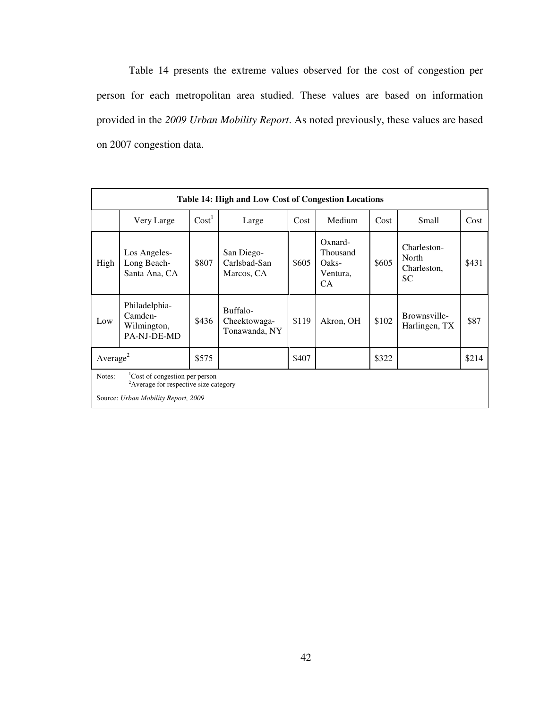Table 14 presents the extreme values observed for the cost of congestion per person for each metropolitan area studied. These values are based on information provided in the *2009 Urban Mobility Report*. As noted previously, these values are based on 2007 congestion data.

|                               | Table 14: High and Low Cost of Congestion Locations                                                                                    |                   |                                           |       |                                                       |       |                                                  |       |
|-------------------------------|----------------------------------------------------------------------------------------------------------------------------------------|-------------------|-------------------------------------------|-------|-------------------------------------------------------|-------|--------------------------------------------------|-------|
|                               | Very Large                                                                                                                             | Cost <sup>T</sup> | Large                                     | Cost  | Medium                                                | Cost  | <b>Small</b>                                     | Cost  |
| High                          | Los Angeles-<br>Long Beach-<br>Santa Ana, CA                                                                                           | \$807             | San Diego-<br>Carlsbad-San<br>Marcos, CA  | \$605 | Oxnard-<br>Thousand<br>Oaks-<br>Ventura,<br><b>CA</b> | \$605 | Charleston-<br>North<br>Charleston,<br><b>SC</b> | \$431 |
| Low                           | Philadelphia-<br>Camden-<br>Wilmington,<br>PA-NJ-DE-MD                                                                                 | \$436             | Buffalo-<br>Cheektowaga-<br>Tonawanda, NY | \$119 | Akron, OH                                             | \$102 | Brownsville-<br>Harlingen, TX                    | \$87  |
| Average <sup>2</sup><br>\$575 |                                                                                                                                        | \$407             |                                           | \$322 |                                                       | \$214 |                                                  |       |
| Notes:                        | <sup>1</sup> Cost of congestion per person<br><sup>2</sup> Average for respective size category<br>Source: Urban Mobility Report, 2009 |                   |                                           |       |                                                       |       |                                                  |       |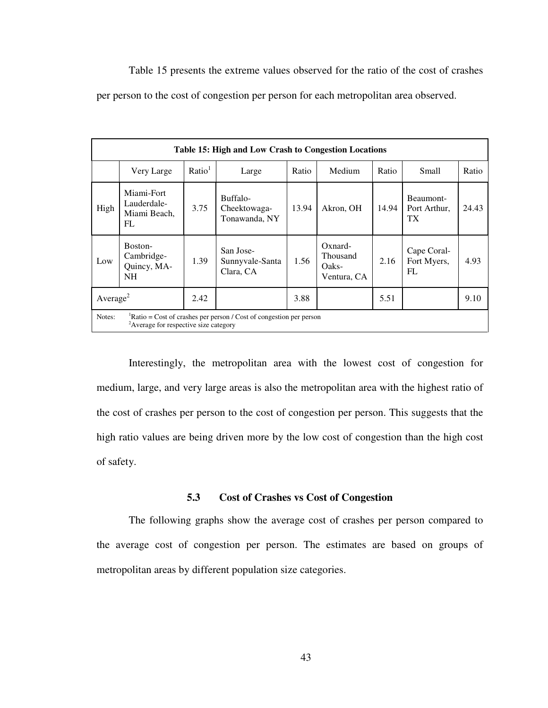Table 15 presents the extreme values observed for the ratio of the cost of crashes per person to the cost of congestion per person for each metropolitan area observed.

|                      | Table 15: High and Low Crash to Congestion Locations                                                                                  |                    |                                           |       |                                                |       |                                  |       |  |  |
|----------------------|---------------------------------------------------------------------------------------------------------------------------------------|--------------------|-------------------------------------------|-------|------------------------------------------------|-------|----------------------------------|-------|--|--|
|                      | Very Large                                                                                                                            | Ratio <sup>1</sup> | Large                                     | Ratio | Medium                                         | Ratio | Small                            | Ratio |  |  |
| High                 | Miami-Fort<br>Lauderdale-<br>Miami Beach,<br>FL.                                                                                      | 3.75               | Buffalo-<br>Cheektowaga-<br>Tonawanda, NY | 13.94 | Akron, OH                                      | 14.94 | Beaumont-<br>Port Arthur,<br>ТX  | 24.43 |  |  |
| Low                  | Boston-<br>Cambridge-<br>Quincy, MA-<br><b>NH</b>                                                                                     | 1.39               | San Jose-<br>Sunnyvale-Santa<br>Clara, CA | 1.56  | $Ox$ nard-<br>Thousand<br>Oaks-<br>Ventura, CA | 2.16  | Cape Coral-<br>Fort Myers,<br>FL | 4.93  |  |  |
| Average <sup>2</sup> |                                                                                                                                       | 2.42               |                                           | 3.88  |                                                | 5.51  |                                  | 9.10  |  |  |
| Notes:               | $Rati\alpha = \text{Cost}$ of crashes per person / Cost of congestion per person<br><sup>2</sup> Average for respective size category |                    |                                           |       |                                                |       |                                  |       |  |  |

Interestingly, the metropolitan area with the lowest cost of congestion for medium, large, and very large areas is also the metropolitan area with the highest ratio of the cost of crashes per person to the cost of congestion per person. This suggests that the high ratio values are being driven more by the low cost of congestion than the high cost of safety.

## **5.3 Cost of Crashes vs Cost of Congestion**

The following graphs show the average cost of crashes per person compared to the average cost of congestion per person. The estimates are based on groups of metropolitan areas by different population size categories.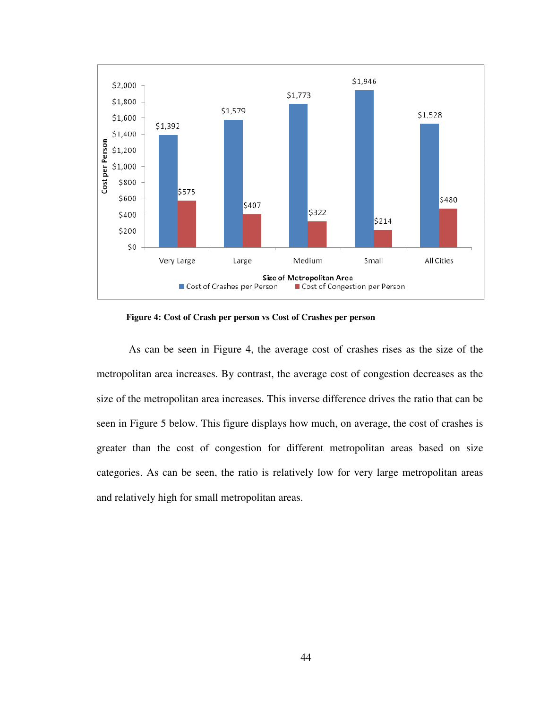

**Figure 4: Cost of Crash per person vs Cost of Crashes per person** 

As can be seen in Figure 4, the average cost of crashes rises as the size of the metropolitan area increases. By contrast, the average cost of congestion decreases as the size of the metropolitan area increases. This inverse difference drives the ratio that can be seen in Figure 5 below. This figure displays how much, on average, the cost of crashes is greater than the cost of congestion for different metropolitan areas based on size categories. As can be seen, the ratio is relatively low for very large metropolitan areas and relatively high for small metropolitan areas.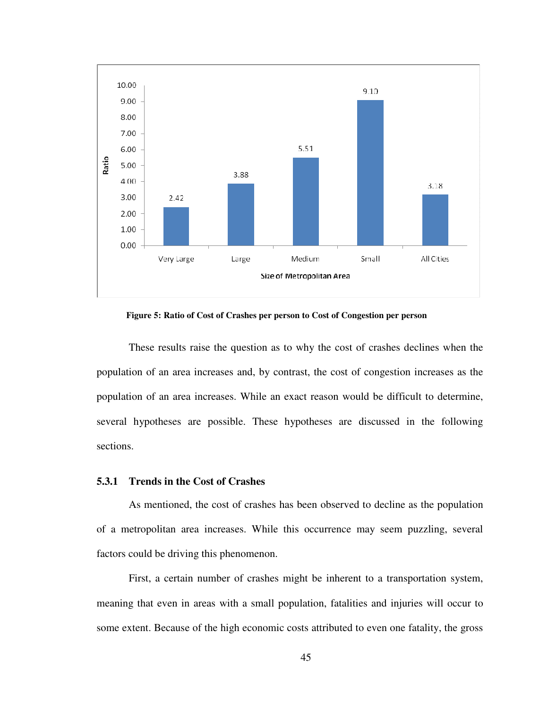

**Figure 5: Ratio of Cost of Crashes per person to Cost of Congestion per person** 

These results raise the question as to why the cost of crashes declines when the population of an area increases and, by contrast, the cost of congestion increases as the population of an area increases. While an exact reason would be difficult to determine, several hypotheses are possible. These hypotheses are discussed in the following sections.

### **5.3.1 Trends in the Cost of Crashes**

As mentioned, the cost of crashes has been observed to decline as the population of a metropolitan area increases. While this occurrence may seem puzzling, several factors could be driving this phenomenon.

First, a certain number of crashes might be inherent to a transportation system, meaning that even in areas with a small population, fatalities and injuries will occur to some extent. Because of the high economic costs attributed to even one fatality, the gross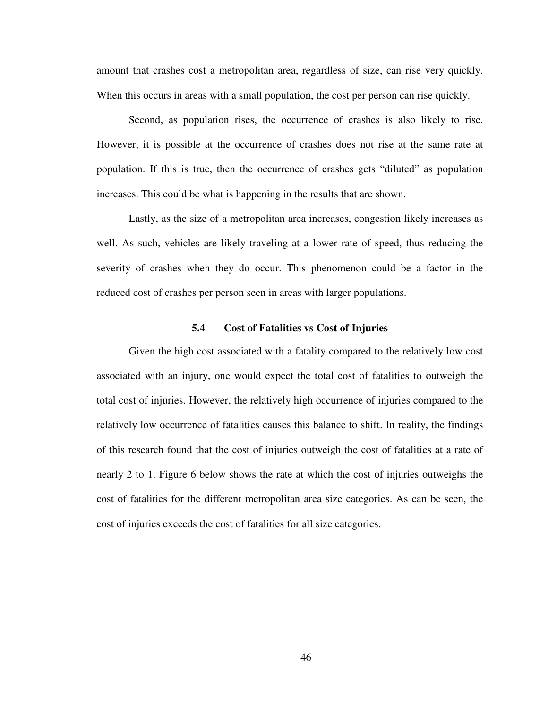amount that crashes cost a metropolitan area, regardless of size, can rise very quickly. When this occurs in areas with a small population, the cost per person can rise quickly.

Second, as population rises, the occurrence of crashes is also likely to rise. However, it is possible at the occurrence of crashes does not rise at the same rate at population. If this is true, then the occurrence of crashes gets "diluted" as population increases. This could be what is happening in the results that are shown.

Lastly, as the size of a metropolitan area increases, congestion likely increases as well. As such, vehicles are likely traveling at a lower rate of speed, thus reducing the severity of crashes when they do occur. This phenomenon could be a factor in the reduced cost of crashes per person seen in areas with larger populations.

#### **5.4 Cost of Fatalities vs Cost of Injuries**

Given the high cost associated with a fatality compared to the relatively low cost associated with an injury, one would expect the total cost of fatalities to outweigh the total cost of injuries. However, the relatively high occurrence of injuries compared to the relatively low occurrence of fatalities causes this balance to shift. In reality, the findings of this research found that the cost of injuries outweigh the cost of fatalities at a rate of nearly 2 to 1. Figure 6 below shows the rate at which the cost of injuries outweighs the cost of fatalities for the different metropolitan area size categories. As can be seen, the cost of injuries exceeds the cost of fatalities for all size categories.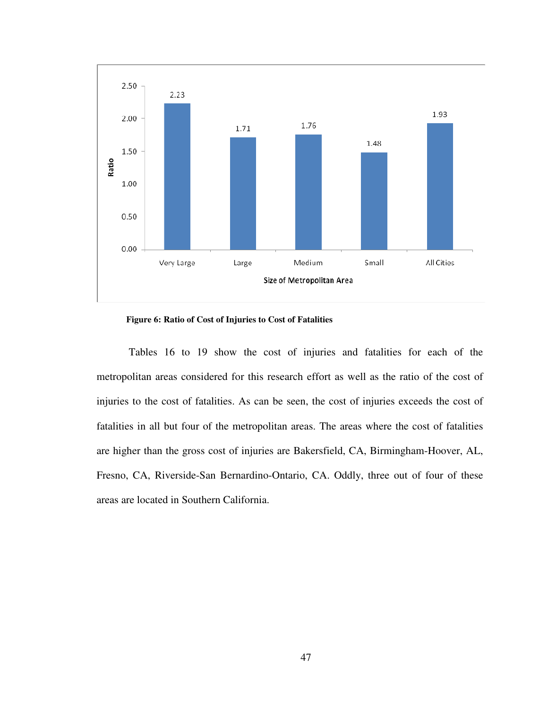

**Figure 6: Ratio of Cost of Injuries to Cost of Fatalities** 

Tables 16 to 19 show the cost of injuries and fatalities for each of the metropolitan areas considered for this research effort as well as the ratio of the cost of injuries to the cost of fatalities. As can be seen, the cost of injuries exceeds the cost of fatalities in all but four of the metropolitan areas. The areas where the cost of fatalities are higher than the gross cost of injuries are Bakersfield, CA, Birmingham-Hoover, AL, Fresno, CA, Riverside-San Bernardino-Ontario, CA. Oddly, three out of four of these areas are located in Southern California.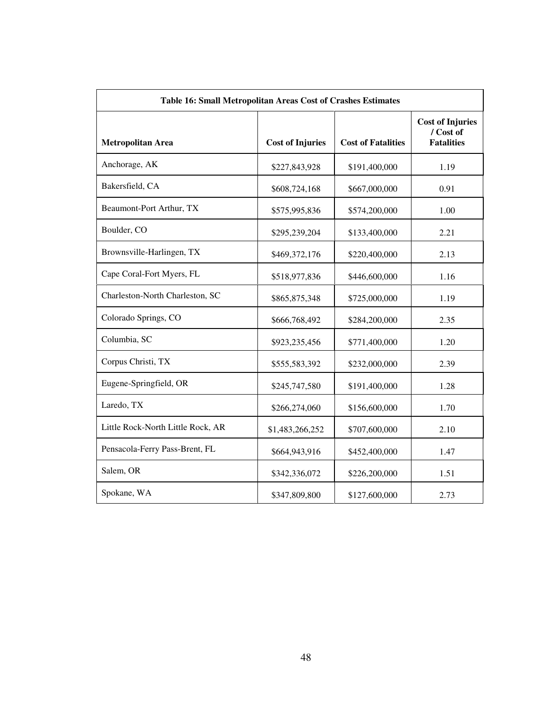| Table 16: Small Metropolitan Areas Cost of Crashes Estimates |                         |                           |                                                           |  |  |
|--------------------------------------------------------------|-------------------------|---------------------------|-----------------------------------------------------------|--|--|
| <b>Metropolitan Area</b>                                     | <b>Cost of Injuries</b> | <b>Cost of Fatalities</b> | <b>Cost of Injuries</b><br>/ Cost of<br><b>Fatalities</b> |  |  |
| Anchorage, AK                                                | \$227,843,928           | \$191,400,000             | 1.19                                                      |  |  |
| Bakersfield, CA                                              | \$608,724,168           | \$667,000,000             | 0.91                                                      |  |  |
| Beaumont-Port Arthur, TX                                     | \$575,995,836           | \$574,200,000             | 1.00                                                      |  |  |
| Boulder, CO                                                  | \$295,239,204           | \$133,400,000             | 2.21                                                      |  |  |
| Brownsville-Harlingen, TX                                    | \$469,372,176           | \$220,400,000             | 2.13                                                      |  |  |
| Cape Coral-Fort Myers, FL                                    | \$518,977,836           | \$446,600,000             | 1.16                                                      |  |  |
| Charleston-North Charleston, SC                              | \$865,875,348           | \$725,000,000             | 1.19                                                      |  |  |
| Colorado Springs, CO                                         | \$666,768,492           | \$284,200,000             | 2.35                                                      |  |  |
| Columbia, SC                                                 | \$923,235,456           | \$771,400,000             | 1.20                                                      |  |  |
| Corpus Christi, TX                                           | \$555,583,392           | \$232,000,000             | 2.39                                                      |  |  |
| Eugene-Springfield, OR                                       | \$245,747,580           | \$191,400,000             | 1.28                                                      |  |  |
| Laredo, TX                                                   | \$266,274,060           | \$156,600,000             | 1.70                                                      |  |  |
| Little Rock-North Little Rock, AR                            | \$1,483,266,252         | \$707,600,000             | 2.10                                                      |  |  |
| Pensacola-Ferry Pass-Brent, FL                               | \$664,943,916           | \$452,400,000             | 1.47                                                      |  |  |
| Salem, OR                                                    | \$342,336,072           | \$226,200,000             | 1.51                                                      |  |  |
| Spokane, WA                                                  | \$347,809,800           | \$127,600,000             | 2.73                                                      |  |  |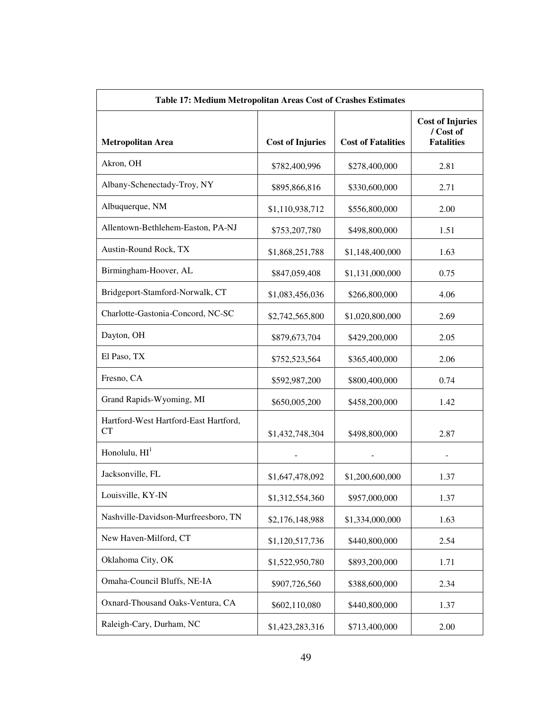| Table 17: Medium Metropolitan Areas Cost of Crashes Estimates |                         |                           |                                                           |  |  |  |
|---------------------------------------------------------------|-------------------------|---------------------------|-----------------------------------------------------------|--|--|--|
| <b>Metropolitan Area</b>                                      | <b>Cost of Injuries</b> | <b>Cost of Fatalities</b> | <b>Cost of Injuries</b><br>/ Cost of<br><b>Fatalities</b> |  |  |  |
| Akron, OH                                                     | \$782,400,996           | \$278,400,000             | 2.81                                                      |  |  |  |
| Albany-Schenectady-Troy, NY                                   | \$895,866,816           | \$330,600,000             | 2.71                                                      |  |  |  |
| Albuquerque, NM                                               | \$1,110,938,712         | \$556,800,000             | 2.00                                                      |  |  |  |
| Allentown-Bethlehem-Easton, PA-NJ                             | \$753,207,780           | \$498,800,000             | 1.51                                                      |  |  |  |
| Austin-Round Rock, TX                                         | \$1,868,251,788         | \$1,148,400,000           | 1.63                                                      |  |  |  |
| Birmingham-Hoover, AL                                         | \$847,059,408           | \$1,131,000,000           | 0.75                                                      |  |  |  |
| Bridgeport-Stamford-Norwalk, CT                               | \$1,083,456,036         | \$266,800,000             | 4.06                                                      |  |  |  |
| Charlotte-Gastonia-Concord, NC-SC                             | \$2,742,565,800         | \$1,020,800,000           | 2.69                                                      |  |  |  |
| Dayton, OH                                                    | \$879,673,704           | \$429,200,000             | 2.05                                                      |  |  |  |
| El Paso, TX                                                   | \$752,523,564           | \$365,400,000             | 2.06                                                      |  |  |  |
| Fresno, CA                                                    | \$592,987,200           | \$800,400,000             | 0.74                                                      |  |  |  |
| Grand Rapids-Wyoming, MI                                      | \$650,005,200           | \$458,200,000             | 1.42                                                      |  |  |  |
| Hartford-West Hartford-East Hartford,<br>CT                   | \$1,432,748,304         | \$498,800,000             | 2.87                                                      |  |  |  |
| Honolulu, $HI1$                                               |                         |                           |                                                           |  |  |  |
| Jacksonville, FL                                              | \$1,647,478,092         | \$1,200,600,000           | 1.37                                                      |  |  |  |
| Louisville, KY-IN                                             | \$1,312,554,360         | \$957,000,000             | 1.37                                                      |  |  |  |
| Nashville-Davidson-Murfreesboro, TN                           | \$2,176,148,988         | \$1,334,000,000           | 1.63                                                      |  |  |  |
| New Haven-Milford, CT                                         | \$1,120,517,736         | \$440,800,000             | 2.54                                                      |  |  |  |
| Oklahoma City, OK                                             | \$1,522,950,780         | \$893,200,000             | 1.71                                                      |  |  |  |
| Omaha-Council Bluffs, NE-IA                                   | \$907,726,560           | \$388,600,000             | 2.34                                                      |  |  |  |
| Oxnard-Thousand Oaks-Ventura, CA                              | \$602,110,080           | \$440,800,000             | 1.37                                                      |  |  |  |
| Raleigh-Cary, Durham, NC                                      | \$1,423,283,316         | \$713,400,000             | 2.00                                                      |  |  |  |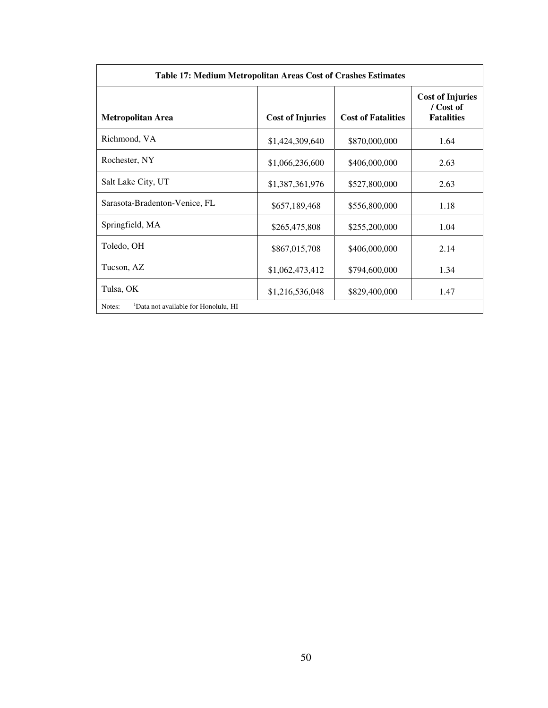| Table 17: Medium Metropolitan Areas Cost of Crashes Estimates |                         |                           |                                                           |  |  |
|---------------------------------------------------------------|-------------------------|---------------------------|-----------------------------------------------------------|--|--|
| <b>Metropolitan Area</b>                                      | <b>Cost of Injuries</b> | <b>Cost of Fatalities</b> | <b>Cost of Injuries</b><br>/ Cost of<br><b>Fatalities</b> |  |  |
| Richmond, VA                                                  | \$1,424,309,640         | \$870,000,000             | 1.64                                                      |  |  |
| Rochester, NY                                                 | \$1,066,236,600         | \$406,000,000             | 2.63                                                      |  |  |
| Salt Lake City, UT                                            | \$1,387,361,976         | \$527,800,000             | 2.63                                                      |  |  |
| Sarasota-Bradenton-Venice, FL                                 | \$657,189,468           | \$556,800,000             | 1.18                                                      |  |  |
| Springfield, MA                                               | \$265,475,808           | \$255,200,000             | 1.04                                                      |  |  |
| Toledo, OH                                                    | \$867,015,708           | \$406,000,000             | 2.14                                                      |  |  |
| Tucson, AZ                                                    | \$1,062,473,412         | \$794,600,000             | 1.34                                                      |  |  |
| Tulsa, OK                                                     | \$1,216,536,048         | \$829,400,000             | 1.47                                                      |  |  |
| <sup>1</sup> Data not available for Honolulu, HI<br>Notes:    |                         |                           |                                                           |  |  |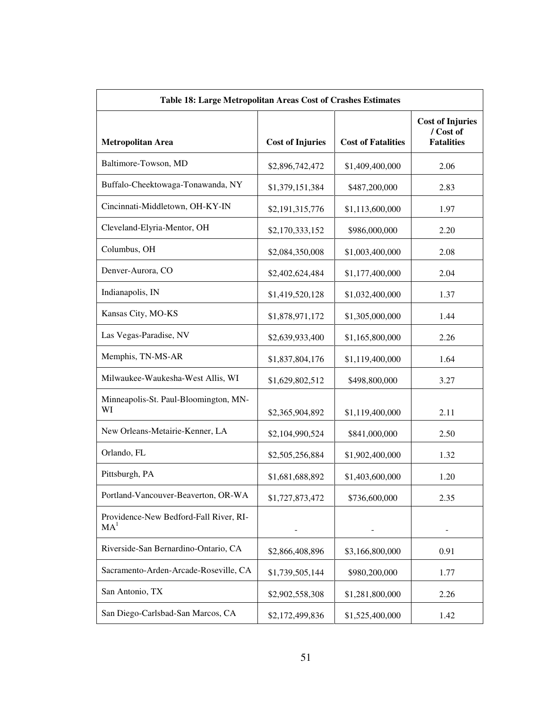| Table 18: Large Metropolitan Areas Cost of Crashes Estimates |                         |                           |                                                           |  |  |  |
|--------------------------------------------------------------|-------------------------|---------------------------|-----------------------------------------------------------|--|--|--|
| <b>Metropolitan Area</b>                                     | <b>Cost of Injuries</b> | <b>Cost of Fatalities</b> | <b>Cost of Injuries</b><br>/ Cost of<br><b>Fatalities</b> |  |  |  |
| Baltimore-Towson, MD                                         | \$2,896,742,472         | \$1,409,400,000           | 2.06                                                      |  |  |  |
| Buffalo-Cheektowaga-Tonawanda, NY                            | \$1,379,151,384         | \$487,200,000             | 2.83                                                      |  |  |  |
| Cincinnati-Middletown, OH-KY-IN                              | \$2,191,315,776         | \$1,113,600,000           | 1.97                                                      |  |  |  |
| Cleveland-Elyria-Mentor, OH                                  | \$2,170,333,152         | \$986,000,000             | 2.20                                                      |  |  |  |
| Columbus, OH                                                 | \$2,084,350,008         | \$1,003,400,000           | 2.08                                                      |  |  |  |
| Denver-Aurora, CO                                            | \$2,402,624,484         | \$1,177,400,000           | 2.04                                                      |  |  |  |
| Indianapolis, IN                                             | \$1,419,520,128         | \$1,032,400,000           | 1.37                                                      |  |  |  |
| Kansas City, MO-KS                                           | \$1,878,971,172         | \$1,305,000,000           | 1.44                                                      |  |  |  |
| Las Vegas-Paradise, NV                                       | \$2,639,933,400         | \$1,165,800,000           | 2.26                                                      |  |  |  |
| Memphis, TN-MS-AR                                            | \$1,837,804,176         | \$1,119,400,000           | 1.64                                                      |  |  |  |
| Milwaukee-Waukesha-West Allis, WI                            | \$1,629,802,512         | \$498,800,000             | 3.27                                                      |  |  |  |
| Minneapolis-St. Paul-Bloomington, MN-<br>WI                  | \$2,365,904,892         | \$1,119,400,000           | 2.11                                                      |  |  |  |
| New Orleans-Metairie-Kenner, LA                              | \$2,104,990,524         | \$841,000,000             | 2.50                                                      |  |  |  |
| Orlando, FL                                                  | \$2,505,256,884         | \$1,902,400,000           | 1.32                                                      |  |  |  |
| Pittsburgh, PA                                               | \$1,681,688,892         | \$1,403,600,000           | 1.20                                                      |  |  |  |
| Portland-Vancouver-Beaverton, OR-WA                          | \$1,727,873,472         | \$736,600,000             | 2.35                                                      |  |  |  |
| Providence-New Bedford-Fall River, RI-<br>MA <sup>1</sup>    |                         |                           |                                                           |  |  |  |
| Riverside-San Bernardino-Ontario, CA                         | \$2,866,408,896         | \$3,166,800,000           | 0.91                                                      |  |  |  |
| Sacramento-Arden-Arcade-Roseville, CA                        | \$1,739,505,144         | \$980,200,000             | 1.77                                                      |  |  |  |
| San Antonio, TX                                              | \$2,902,558,308         | \$1,281,800,000           | 2.26                                                      |  |  |  |
| San Diego-Carlsbad-San Marcos, CA                            | \$2,172,499,836         | \$1,525,400,000           | 1.42                                                      |  |  |  |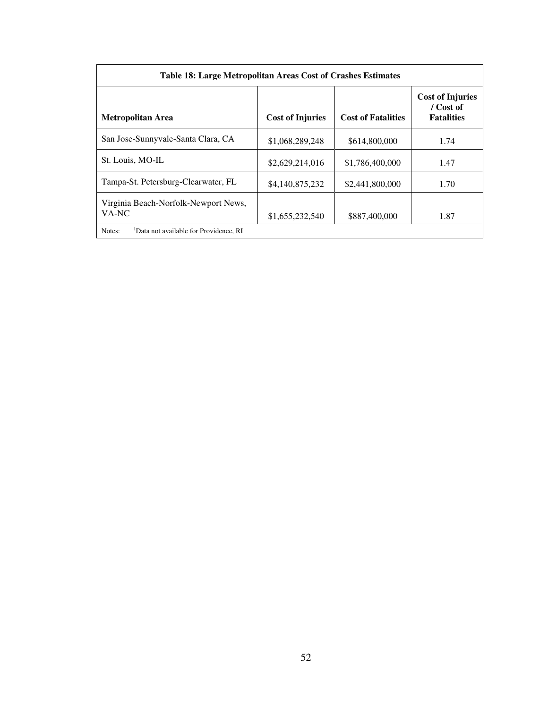| <b>Table 18: Large Metropolitan Areas Cost of Crashes Estimates</b> |                         |                           |                                                           |  |  |  |
|---------------------------------------------------------------------|-------------------------|---------------------------|-----------------------------------------------------------|--|--|--|
| <b>Metropolitan Area</b>                                            | <b>Cost of Injuries</b> | <b>Cost of Fatalities</b> | <b>Cost of Injuries</b><br>/ Cost of<br><b>Fatalities</b> |  |  |  |
| San Jose-Sunnyvale-Santa Clara, CA                                  | \$1,068,289,248         | \$614,800,000             | 1.74                                                      |  |  |  |
| St. Louis, MO-IL                                                    | \$2,629,214,016         | \$1,786,400,000           | 1.47                                                      |  |  |  |
| Tampa-St. Petersburg-Clearwater, FL                                 | \$4,140,875,232         | \$2,441,800,000           | 1.70                                                      |  |  |  |
| Virginia Beach-Norfolk-Newport News,<br>VA-NC                       | \$1,655,232,540         | \$887,400,000             | 1.87                                                      |  |  |  |
| Notes:<br><sup>1</sup> Data not available for Providence, RI        |                         |                           |                                                           |  |  |  |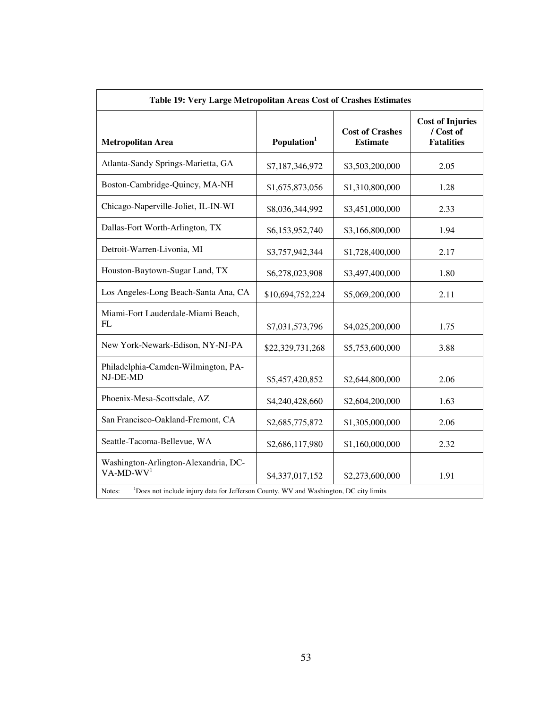| Table 19: Very Large Metropolitan Areas Cost of Crashes Estimates                                                                                                  |                         |                                           |                                                           |  |  |
|--------------------------------------------------------------------------------------------------------------------------------------------------------------------|-------------------------|-------------------------------------------|-----------------------------------------------------------|--|--|
| <b>Metropolitan Area</b>                                                                                                                                           | Population <sup>1</sup> | <b>Cost of Crashes</b><br><b>Estimate</b> | <b>Cost of Injuries</b><br>/ Cost of<br><b>Fatalities</b> |  |  |
| Atlanta-Sandy Springs-Marietta, GA                                                                                                                                 | \$7,187,346,972         | \$3,503,200,000                           | 2.05                                                      |  |  |
| Boston-Cambridge-Quincy, MA-NH                                                                                                                                     | \$1,675,873,056         | \$1,310,800,000                           | 1.28                                                      |  |  |
| Chicago-Naperville-Joliet, IL-IN-WI                                                                                                                                | \$8,036,344,992         | \$3,451,000,000                           | 2.33                                                      |  |  |
| Dallas-Fort Worth-Arlington, TX                                                                                                                                    | \$6,153,952,740         | \$3,166,800,000                           | 1.94                                                      |  |  |
| Detroit-Warren-Livonia, MI                                                                                                                                         | \$3,757,942,344         | \$1,728,400,000                           | 2.17                                                      |  |  |
| Houston-Baytown-Sugar Land, TX                                                                                                                                     | \$6,278,023,908         | \$3,497,400,000                           | 1.80                                                      |  |  |
| Los Angeles-Long Beach-Santa Ana, CA                                                                                                                               | \$10,694,752,224        | \$5,069,200,000                           | 2.11                                                      |  |  |
| Miami-Fort Lauderdale-Miami Beach,<br>FL                                                                                                                           | \$7,031,573,796         | \$4,025,200,000                           | 1.75                                                      |  |  |
| New York-Newark-Edison, NY-NJ-PA                                                                                                                                   | \$22,329,731,268        | \$5,753,600,000                           | 3.88                                                      |  |  |
| Philadelphia-Camden-Wilmington, PA-<br>NJ-DE-MD                                                                                                                    | \$5,457,420,852         | \$2,644,800,000                           | 2.06                                                      |  |  |
| Phoenix-Mesa-Scottsdale, AZ                                                                                                                                        | \$4,240,428,660         | \$2,604,200,000                           | 1.63                                                      |  |  |
| San Francisco-Oakland-Fremont, CA                                                                                                                                  | \$2,685,775,872         | \$1,305,000,000                           | 2.06                                                      |  |  |
| Seattle-Tacoma-Bellevue, WA                                                                                                                                        | \$2,686,117,980         | \$1,160,000,000                           | 2.32                                                      |  |  |
| Washington-Arlington-Alexandria, DC-<br>$VA-MD-WV1$<br><sup>1</sup> Does not include injury data for Jefferson County, WV and Washington, DC city limits<br>Notes: | \$4,337,017,152         | \$2,273,600,000                           | 1.91                                                      |  |  |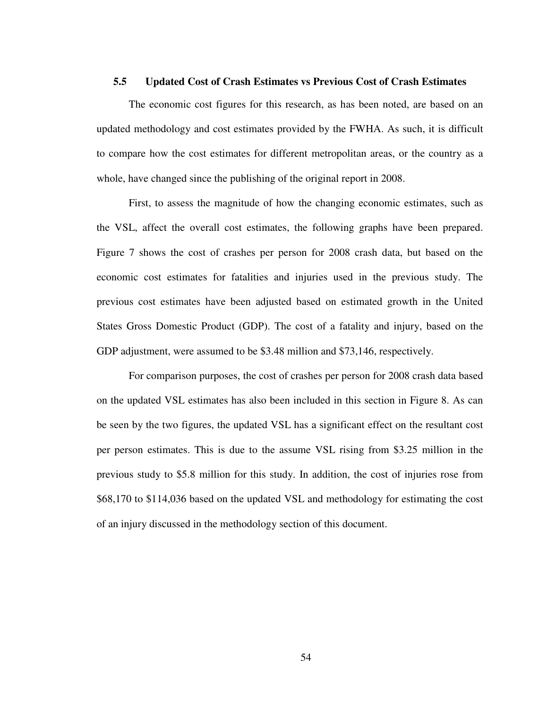#### **5.5 Updated Cost of Crash Estimates vs Previous Cost of Crash Estimates**

The economic cost figures for this research, as has been noted, are based on an updated methodology and cost estimates provided by the FWHA. As such, it is difficult to compare how the cost estimates for different metropolitan areas, or the country as a whole, have changed since the publishing of the original report in 2008.

First, to assess the magnitude of how the changing economic estimates, such as the VSL, affect the overall cost estimates, the following graphs have been prepared. Figure 7 shows the cost of crashes per person for 2008 crash data, but based on the economic cost estimates for fatalities and injuries used in the previous study. The previous cost estimates have been adjusted based on estimated growth in the United States Gross Domestic Product (GDP). The cost of a fatality and injury, based on the GDP adjustment, were assumed to be \$3.48 million and \$73,146, respectively.

For comparison purposes, the cost of crashes per person for 2008 crash data based on the updated VSL estimates has also been included in this section in Figure 8. As can be seen by the two figures, the updated VSL has a significant effect on the resultant cost per person estimates. This is due to the assume VSL rising from \$3.25 million in the previous study to \$5.8 million for this study. In addition, the cost of injuries rose from \$68,170 to \$114,036 based on the updated VSL and methodology for estimating the cost of an injury discussed in the methodology section of this document.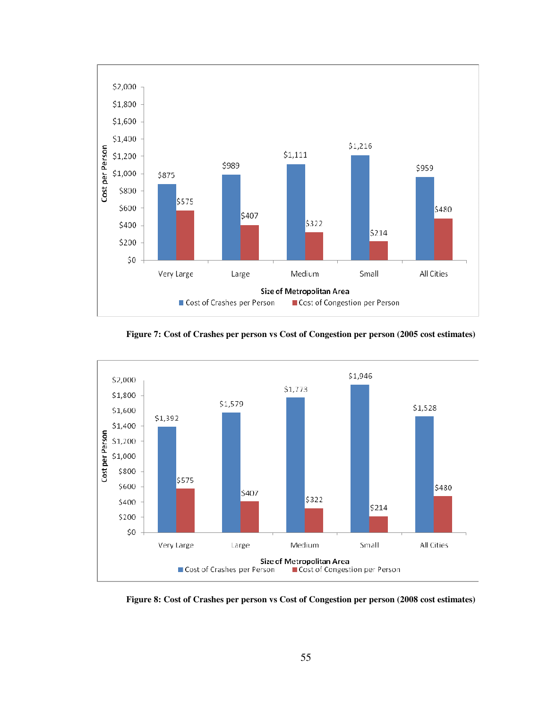

**Figure 7: Cost of Crashes per person vs Cost of Congestion per person (2005 cost estimates)** 



**Figure 8: Cost of Crashes per person vs Cost of Congestion per person (2008 cost estimates)**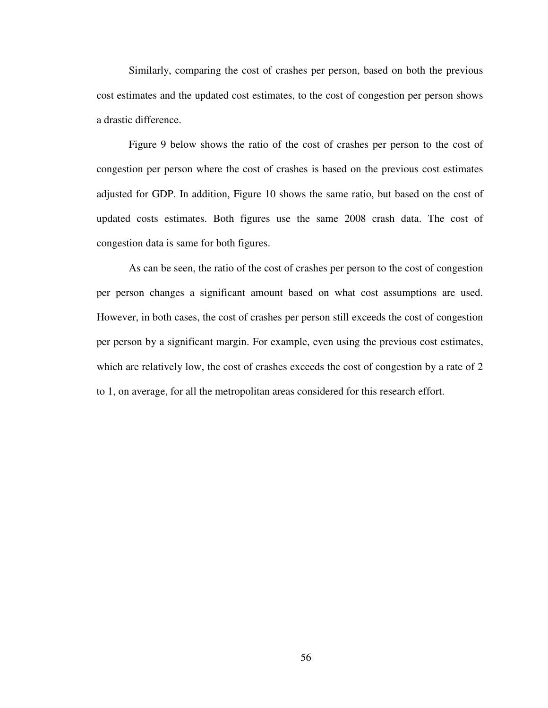Similarly, comparing the cost of crashes per person, based on both the previous cost estimates and the updated cost estimates, to the cost of congestion per person shows a drastic difference.

Figure 9 below shows the ratio of the cost of crashes per person to the cost of congestion per person where the cost of crashes is based on the previous cost estimates adjusted for GDP. In addition, Figure 10 shows the same ratio, but based on the cost of updated costs estimates. Both figures use the same 2008 crash data. The cost of congestion data is same for both figures.

As can be seen, the ratio of the cost of crashes per person to the cost of congestion per person changes a significant amount based on what cost assumptions are used. However, in both cases, the cost of crashes per person still exceeds the cost of congestion per person by a significant margin. For example, even using the previous cost estimates, which are relatively low, the cost of crashes exceeds the cost of congestion by a rate of 2 to 1, on average, for all the metropolitan areas considered for this research effort.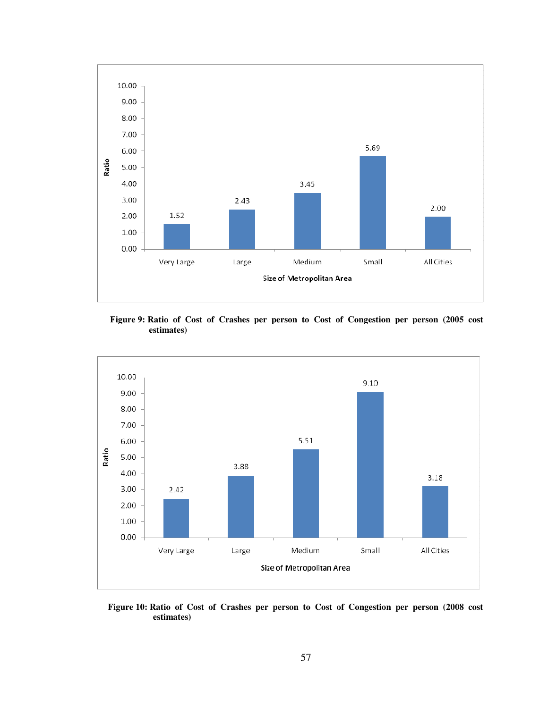

**Figure 9: Ratio of Cost of Crashes per person to Cost of Congestion per person (2005 cost estimates)** 



**Figure 10: Ratio of Cost of Crashes per person to Cost of Congestion per person (2008 cost estimates)**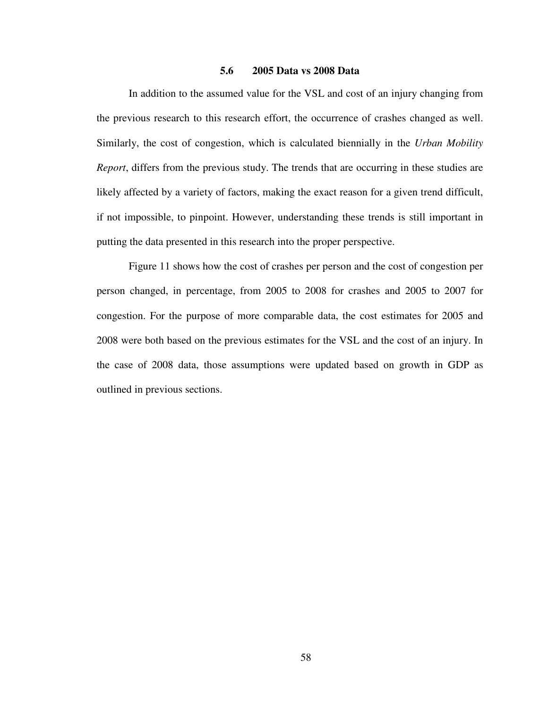### **5.6 2005 Data vs 2008 Data**

In addition to the assumed value for the VSL and cost of an injury changing from the previous research to this research effort, the occurrence of crashes changed as well. Similarly, the cost of congestion, which is calculated biennially in the *Urban Mobility Report*, differs from the previous study. The trends that are occurring in these studies are likely affected by a variety of factors, making the exact reason for a given trend difficult, if not impossible, to pinpoint. However, understanding these trends is still important in putting the data presented in this research into the proper perspective.

Figure 11 shows how the cost of crashes per person and the cost of congestion per person changed, in percentage, from 2005 to 2008 for crashes and 2005 to 2007 for congestion. For the purpose of more comparable data, the cost estimates for 2005 and 2008 were both based on the previous estimates for the VSL and the cost of an injury. In the case of 2008 data, those assumptions were updated based on growth in GDP as outlined in previous sections.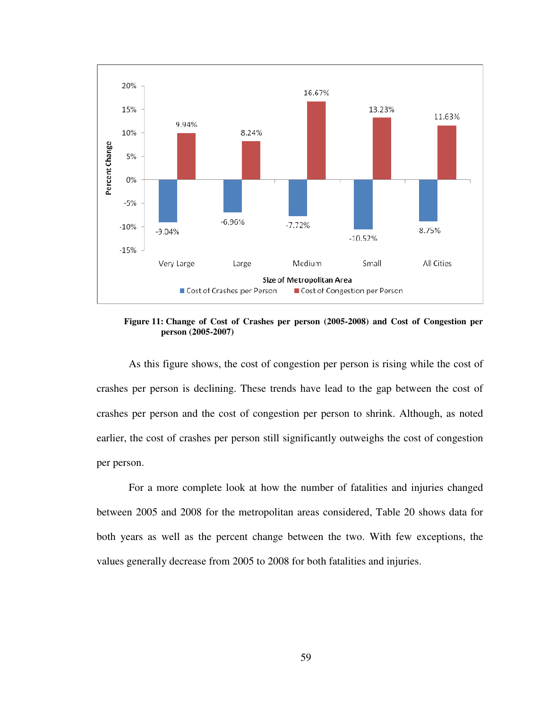

**Figure 11: Change of Cost of Crashes per person (2005-2008) and Cost of Congestion per person (2005-2007)** 

As this figure shows, the cost of congestion per person is rising while the cost of crashes per person is declining. These trends have lead to the gap between the cost of crashes per person and the cost of congestion per person to shrink. Although, as noted earlier, the cost of crashes per person still significantly outweighs the cost of congestion per person.

For a more complete look at how the number of fatalities and injuries changed between 2005 and 2008 for the metropolitan areas considered, Table 20 shows data for both years as well as the percent change between the two. With few exceptions, the values generally decrease from 2005 to 2008 for both fatalities and injuries.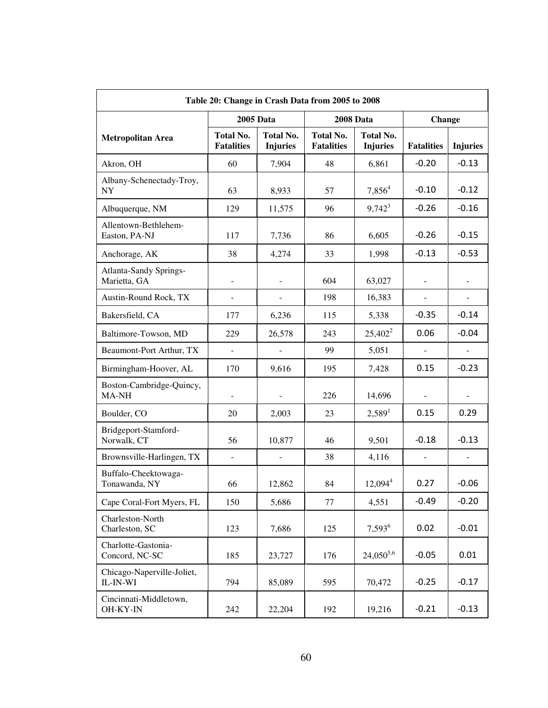| Table 20: Change in Crash Data from 2005 to 2008 |                                       |                                     |                                       |                                     |                          |                          |  |  |
|--------------------------------------------------|---------------------------------------|-------------------------------------|---------------------------------------|-------------------------------------|--------------------------|--------------------------|--|--|
|                                                  | <b>2005 Data</b>                      |                                     | 2008 Data                             |                                     | <b>Change</b>            |                          |  |  |
| <b>Metropolitan Area</b>                         | <b>Total No.</b><br><b>Fatalities</b> | <b>Total No.</b><br><b>Injuries</b> | <b>Total No.</b><br><b>Fatalities</b> | <b>Total No.</b><br><b>Injuries</b> | <b>Fatalities</b>        | <b>Injuries</b>          |  |  |
| Akron, OH                                        | 60                                    | 7,904                               | 48                                    | 6,861                               | $-0.20$                  | $-0.13$                  |  |  |
| Albany-Schenectady-Troy,<br>NY                   | 63                                    | 8,933                               | 57                                    | $7,856^4$                           | $-0.10$                  | $-0.12$                  |  |  |
| Albuquerque, NM                                  | 129                                   | 11,575                              | 96                                    | $9,742^3$                           | $-0.26$                  | $-0.16$                  |  |  |
| Allentown-Bethlehem-<br>Easton, PA-NJ            | 117                                   | 7,736                               | 86                                    | 6,605                               | $-0.26$                  | $-0.15$                  |  |  |
| Anchorage, AK                                    | 38                                    | 4,274                               | 33                                    | 1,998                               | $-0.13$                  | $-0.53$                  |  |  |
| Atlanta-Sandy Springs-<br>Marietta, GA           |                                       |                                     | 604                                   | 63,027                              |                          |                          |  |  |
| Austin-Round Rock, TX                            |                                       |                                     | 198                                   | 16,383                              | $\blacksquare$           |                          |  |  |
| Bakersfield, CA                                  | 177                                   | 6,236                               | 115                                   | 5,338                               | $-0.35$                  | $-0.14$                  |  |  |
| Baltimore-Towson, MD                             | 229                                   | 26,578                              | 243                                   | $25,402^2$                          | 0.06                     | $-0.04$                  |  |  |
| Beaumont-Port Arthur, TX                         |                                       |                                     | 99                                    | 5,051                               | $\overline{a}$           |                          |  |  |
| Birmingham-Hoover, AL                            | 170                                   | 9,616                               | 195                                   | 7,428                               | 0.15                     | $-0.23$                  |  |  |
| Boston-Cambridge-Quincy,<br>MA-NH                | $\overline{\phantom{a}}$              | $\overline{\phantom{a}}$            | 226                                   | 14,696                              | $\overline{\phantom{a}}$ |                          |  |  |
| Boulder, CO                                      | 20                                    | 2,003                               | 23                                    | 2,589 <sup>1</sup>                  | 0.15                     | 0.29                     |  |  |
| Bridgeport-Stamford-<br>Norwalk, CT              | 56                                    | 10,877                              | 46                                    | 9,501                               | $-0.18$                  | $-0.13$                  |  |  |
| Brownsville-Harlingen, TX                        | $\equiv$                              | $\blacksquare$                      | 38                                    | 4,116                               | $\blacksquare$           | $\overline{\phantom{a}}$ |  |  |
| Buffalo-Cheektowaga-<br>Tonawanda, NY            | 66                                    | 12,862                              | 84                                    | $12,094^4$                          | 0.27                     | $-0.06$                  |  |  |
| Cape Coral-Fort Myers, FL                        | 150                                   | 5,686                               | 77                                    | 4,551                               | $-0.49$                  | $-0.20$                  |  |  |
| Charleston-North<br>Charleston, SC               | 123                                   | 7,686                               | 125                                   | $7,593^6$                           | 0.02                     | $-0.01$                  |  |  |
| Charlotte-Gastonia-<br>Concord, NC-SC            | 185                                   | 23,727                              | 176                                   | $24,050^{5,6}$                      | $-0.05$                  | 0.01                     |  |  |
| Chicago-Naperville-Joliet,<br>IL-IN-WI           | 794                                   | 85,089                              | 595                                   | 70,472                              | $-0.25$                  | $-0.17$                  |  |  |
| Cincinnati-Middletown,<br>OH-KY-IN               | 242                                   | 22,204                              | 192                                   | 19,216                              | $-0.21$                  | $-0.13$                  |  |  |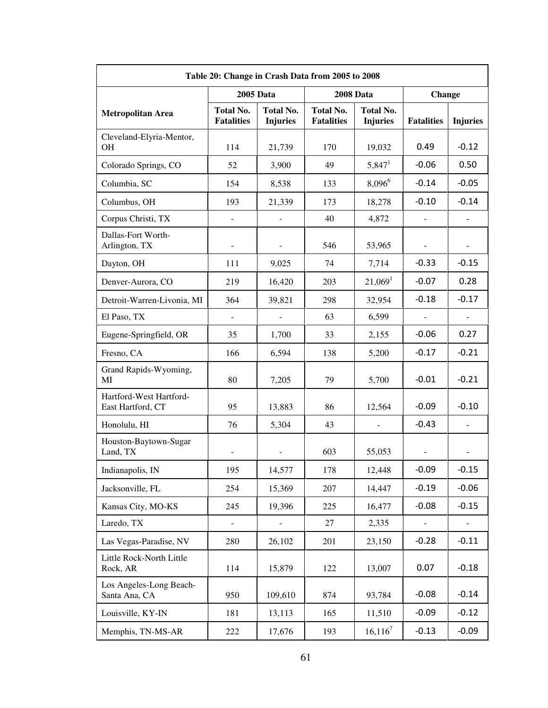| Table 20: Change in Crash Data from 2005 to 2008 |                                       |                                     |                                       |                                     |                          |                 |  |  |
|--------------------------------------------------|---------------------------------------|-------------------------------------|---------------------------------------|-------------------------------------|--------------------------|-----------------|--|--|
|                                                  | <b>2005 Data</b>                      |                                     | 2008 Data                             |                                     | <b>Change</b>            |                 |  |  |
| <b>Metropolitan Area</b>                         | <b>Total No.</b><br><b>Fatalities</b> | <b>Total No.</b><br><b>Injuries</b> | <b>Total No.</b><br><b>Fatalities</b> | <b>Total No.</b><br><b>Injuries</b> | <b>Fatalities</b>        | <b>Injuries</b> |  |  |
| Cleveland-Elyria-Mentor,<br><b>OH</b>            | 114                                   | 21,739                              | 170                                   | 19,032                              | 0.49                     | $-0.12$         |  |  |
| Colorado Springs, CO                             | 52                                    | 3,900                               | 49                                    | $5,847^1$                           | $-0.06$                  | 0.50            |  |  |
| Columbia, SC                                     | 154                                   | 8,538                               | 133                                   | 8,096 <sup>6</sup>                  | $-0.14$                  | $-0.05$         |  |  |
| Columbus, OH                                     | 193                                   | 21,339                              | 173                                   | 18,278                              | $-0.10$                  | $-0.14$         |  |  |
| Corpus Christi, TX                               |                                       |                                     | 40                                    | 4,872                               | $\blacksquare$           |                 |  |  |
| Dallas-Fort Worth-<br>Arlington, TX              |                                       |                                     | 546                                   | 53,965                              |                          |                 |  |  |
| Dayton, OH                                       | 111                                   | 9,025                               | 74                                    | 7,714                               | $-0.33$                  | $-0.15$         |  |  |
| Denver-Aurora, CO                                | 219                                   | 16,420                              | 203                                   | $21,069$ <sup>1</sup>               | $-0.07$                  | 0.28            |  |  |
| Detroit-Warren-Livonia, MI                       | 364                                   | 39,821                              | 298                                   | 32,954                              | $-0.18$                  | $-0.17$         |  |  |
| El Paso, TX                                      | $\overline{a}$                        |                                     | 63                                    | 6,599                               | $\blacksquare$           |                 |  |  |
| Eugene-Springfield, OR                           | 35                                    | 1,700                               | 33                                    | 2,155                               | $-0.06$                  | 0.27            |  |  |
| Fresno, CA                                       | 166                                   | 6,594                               | 138                                   | 5,200                               | $-0.17$                  | $-0.21$         |  |  |
| Grand Rapids-Wyoming,<br>MI                      | 80                                    | 7,205                               | 79                                    | 5,700                               | $-0.01$                  | $-0.21$         |  |  |
| Hartford-West Hartford-<br>East Hartford, CT     | 95                                    | 13,883                              | 86                                    | 12,564                              | $-0.09$                  | $-0.10$         |  |  |
| Honolulu, HI                                     | 76                                    | 5,304                               | 43                                    |                                     | $-0.43$                  |                 |  |  |
| Houston-Baytown-Sugar<br>Land, TX                |                                       |                                     | 603                                   | 55,053                              | $\overline{\phantom{a}}$ |                 |  |  |
| Indianapolis, IN                                 | 195                                   | 14,577                              | 178                                   | 12,448                              | $-0.09$                  | $-0.15$         |  |  |
| Jacksonville, FL                                 | 254                                   | 15,369                              | 207                                   | 14,447                              | $-0.19$                  | $-0.06$         |  |  |
| Kansas City, MO-KS                               | 245                                   | 19,396                              | 225                                   | 16,477                              | $-0.08$                  | $-0.15$         |  |  |
| Laredo, TX                                       | $\blacksquare$                        | $\Box$                              | 27                                    | 2,335                               | $\blacksquare$           | $\Box$          |  |  |
| Las Vegas-Paradise, NV                           | 280                                   | 26,102                              | 201                                   | 23,150                              | $-0.28$                  | $-0.11$         |  |  |
| Little Rock-North Little<br>Rock, AR             | 114                                   | 15,879                              | 122                                   | 13,007                              | 0.07                     | $-0.18$         |  |  |
| Los Angeles-Long Beach-<br>Santa Ana, CA         | 950                                   | 109,610                             | 874                                   | 93,784                              | $-0.08$                  | $-0.14$         |  |  |
| Louisville, KY-IN                                | 181                                   | 13,113                              | 165                                   | 11,510                              | $-0.09$                  | $-0.12$         |  |  |
| Memphis, TN-MS-AR                                | 222                                   | 17,676                              | 193                                   | $16,116^7$                          | $-0.13$                  | $-0.09$         |  |  |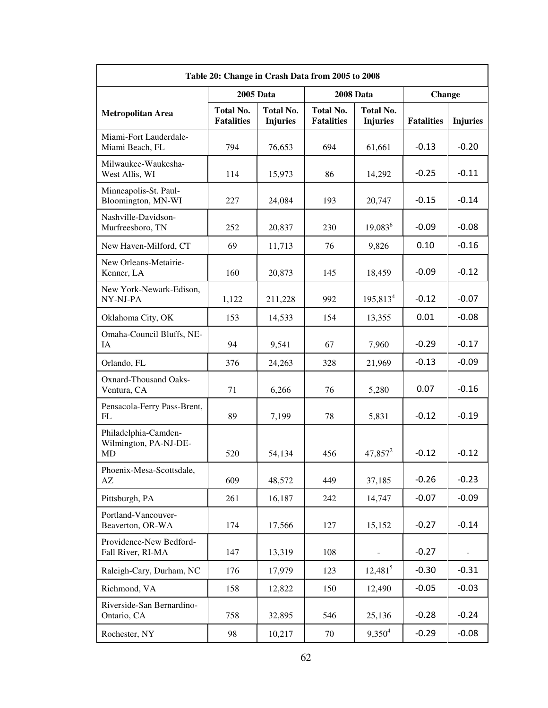| Table 20: Change in Crash Data from 2005 to 2008    |                                       |                                     |                                       |                                     |                   |                 |  |  |
|-----------------------------------------------------|---------------------------------------|-------------------------------------|---------------------------------------|-------------------------------------|-------------------|-----------------|--|--|
|                                                     | <b>2005 Data</b>                      |                                     | 2008 Data                             |                                     | <b>Change</b>     |                 |  |  |
| <b>Metropolitan Area</b>                            | <b>Total No.</b><br><b>Fatalities</b> | <b>Total No.</b><br><b>Injuries</b> | <b>Total No.</b><br><b>Fatalities</b> | <b>Total No.</b><br><b>Injuries</b> | <b>Fatalities</b> | <b>Injuries</b> |  |  |
| Miami-Fort Lauderdale-<br>Miami Beach, FL           | 794                                   | 76,653                              | 694                                   | 61,661                              | $-0.13$           | $-0.20$         |  |  |
| Milwaukee-Waukesha-<br>West Allis, WI               | 114                                   | 15,973                              | 86                                    | 14,292                              | $-0.25$           | $-0.11$         |  |  |
| Minneapolis-St. Paul-<br>Bloomington, MN-WI         | 227                                   | 24,084                              | 193                                   | 20,747                              | $-0.15$           | $-0.14$         |  |  |
| Nashville-Davidson-<br>Murfreesboro, TN             | 252                                   | 20,837                              | 230                                   | 19,0836                             | $-0.09$           | $-0.08$         |  |  |
| New Haven-Milford, CT                               | 69                                    | 11,713                              | 76                                    | 9,826                               | 0.10              | $-0.16$         |  |  |
| New Orleans-Metairie-<br>Kenner, LA                 | 160                                   | 20,873                              | 145                                   | 18,459                              | $-0.09$           | $-0.12$         |  |  |
| New York-Newark-Edison,<br>NY-NJ-PA                 | 1,122                                 | 211,228                             | 992                                   | $195,813^4$                         | $-0.12$           | $-0.07$         |  |  |
| Oklahoma City, OK                                   | 153                                   | 14,533                              | 154                                   | 13,355                              | 0.01              | $-0.08$         |  |  |
| Omaha-Council Bluffs, NE-<br>IA                     | 94                                    | 9,541                               | 67                                    | 7,960                               | $-0.29$           | $-0.17$         |  |  |
| Orlando, FL                                         | 376                                   | 24,263                              | 328                                   | 21,969                              | $-0.13$           | $-0.09$         |  |  |
| <b>Oxnard-Thousand Oaks-</b><br>Ventura, CA         | 71                                    | 6,266                               | 76                                    | 5,280                               | 0.07              | $-0.16$         |  |  |
| Pensacola-Ferry Pass-Brent,<br>FL                   | 89                                    | 7,199                               | 78                                    | 5,831                               | $-0.12$           | $-0.19$         |  |  |
| Philadelphia-Camden-<br>Wilmington, PA-NJ-DE-<br>MD | 520                                   | 54,134                              | 456                                   | $47,857^2$                          | $-0.12$           | $-0.12$         |  |  |
| Phoenix-Mesa-Scottsdale,<br>AZ                      | 609                                   | 48,572                              | 449                                   | 37,185                              | $-0.26$           | $-0.23$         |  |  |
| Pittsburgh, PA                                      | 261                                   | 16,187                              | 242                                   | 14,747                              | $-0.07$           | $-0.09$         |  |  |
| Portland-Vancouver-<br>Beaverton, OR-WA             | 174                                   | 17,566                              | 127                                   | 15,152                              | $-0.27$           | $-0.14$         |  |  |
| Providence-New Bedford-<br>Fall River, RI-MA        | 147                                   | 13,319                              | 108                                   |                                     | $-0.27$           |                 |  |  |
| Raleigh-Cary, Durham, NC                            | 176                                   | 17,979                              | 123                                   | $12,481^5$                          | $-0.30$           | $-0.31$         |  |  |
| Richmond, VA                                        | 158                                   | 12,822                              | 150                                   | 12,490                              | $-0.05$           | $-0.03$         |  |  |
| Riverside-San Bernardino-<br>Ontario, CA            | 758                                   | 32,895                              | 546                                   | 25,136                              | $-0.28$           | $-0.24$         |  |  |
| Rochester, NY                                       | 98                                    | 10,217                              | 70                                    | $9,350^4$                           | $-0.29$           | $-0.08$         |  |  |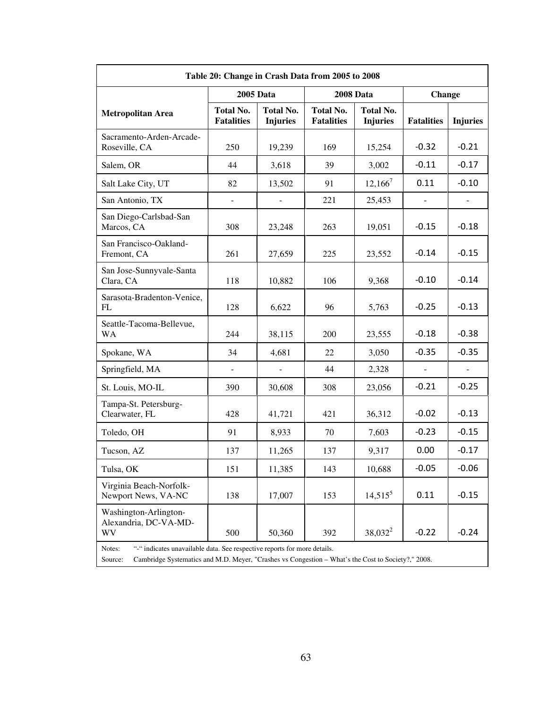| Table 20: Change in Crash Data from 2005 to 2008                                                                                                                                                    |                                       |                                     |                                       |                                     |                   |                 |  |  |
|-----------------------------------------------------------------------------------------------------------------------------------------------------------------------------------------------------|---------------------------------------|-------------------------------------|---------------------------------------|-------------------------------------|-------------------|-----------------|--|--|
|                                                                                                                                                                                                     | <b>2005 Data</b>                      |                                     | 2008 Data                             |                                     | <b>Change</b>     |                 |  |  |
| <b>Metropolitan Area</b>                                                                                                                                                                            | <b>Total No.</b><br><b>Fatalities</b> | <b>Total No.</b><br><b>Injuries</b> | <b>Total No.</b><br><b>Fatalities</b> | <b>Total No.</b><br><b>Injuries</b> | <b>Fatalities</b> | <b>Injuries</b> |  |  |
| Sacramento-Arden-Arcade-<br>Roseville, CA                                                                                                                                                           | 250                                   | 19,239                              | 169                                   | 15,254                              | $-0.32$           | $-0.21$         |  |  |
| Salem, OR                                                                                                                                                                                           | 44                                    | 3,618                               | 39                                    | 3,002                               | $-0.11$           | $-0.17$         |  |  |
| Salt Lake City, UT                                                                                                                                                                                  | 82                                    | 13,502                              | 91                                    | $12,166^7$                          | 0.11              | $-0.10$         |  |  |
| San Antonio, TX                                                                                                                                                                                     | $\overline{\phantom{a}}$              |                                     | 221                                   | 25,453                              | $\blacksquare$    |                 |  |  |
| San Diego-Carlsbad-San<br>Marcos, CA                                                                                                                                                                | 308                                   | 23,248                              | 263                                   | 19,051                              | $-0.15$           | $-0.18$         |  |  |
| San Francisco-Oakland-<br>Fremont, CA                                                                                                                                                               | 261                                   | 27,659                              | 225                                   | 23,552                              | $-0.14$           | $-0.15$         |  |  |
| San Jose-Sunnyvale-Santa<br>Clara, CA                                                                                                                                                               | 118                                   | 10,882                              | 106                                   | 9,368                               | $-0.10$           | $-0.14$         |  |  |
| Sarasota-Bradenton-Venice,<br>FL                                                                                                                                                                    | 128                                   | 6,622                               | 96                                    | 5,763                               | $-0.25$           | $-0.13$         |  |  |
| Seattle-Tacoma-Bellevue,<br><b>WA</b>                                                                                                                                                               | 244                                   | 38,115                              | 200                                   | 23,555                              | $-0.18$           | $-0.38$         |  |  |
| Spokane, WA                                                                                                                                                                                         | 34                                    | 4,681                               | 22                                    | 3,050                               | $-0.35$           | $-0.35$         |  |  |
| Springfield, MA                                                                                                                                                                                     |                                       |                                     | 44                                    | 2,328                               |                   |                 |  |  |
| St. Louis, MO-IL                                                                                                                                                                                    | 390                                   | 30,608                              | 308                                   | 23,056                              | $-0.21$           | $-0.25$         |  |  |
| Tampa-St. Petersburg-<br>Clearwater, FL                                                                                                                                                             | 428                                   | 41,721                              | 421                                   | 36,312                              | $-0.02$           | $-0.13$         |  |  |
| Toledo, OH                                                                                                                                                                                          | 91                                    | 8,933                               | 70                                    | 7,603                               | $-0.23$           | $-0.15$         |  |  |
| Tucson, AZ                                                                                                                                                                                          | 137                                   | 11,265                              | 137                                   | 9,317                               | 0.00              | $-0.17$         |  |  |
| Tulsa, OK                                                                                                                                                                                           | 151                                   | 11,385                              | 143                                   | 10,688                              | $-0.05$           | $-0.06$         |  |  |
| Virginia Beach-Norfolk-<br>Newport News, VA-NC                                                                                                                                                      | 138                                   | 17,007                              | 153                                   | $14,515^5$                          | 0.11              | $-0.15$         |  |  |
| Washington-Arlington-<br>Alexandria, DC-VA-MD-<br>WV                                                                                                                                                | 500                                   | 50,360                              | 392                                   | 38,032 <sup>2</sup>                 | $-0.22$           | $-0.24$         |  |  |
| "-" indicates unavailable data. See respective reports for more details.<br>Notes:<br>Cambridge Systematics and M.D. Meyer, "Crashes vs Congestion – What's the Cost to Society?," 2008.<br>Source: |                                       |                                     |                                       |                                     |                   |                 |  |  |

Source: Cambridge Systematics and M.D. Meyer, "Crashes vs Congestion – What's the Cost to Society?," 2008.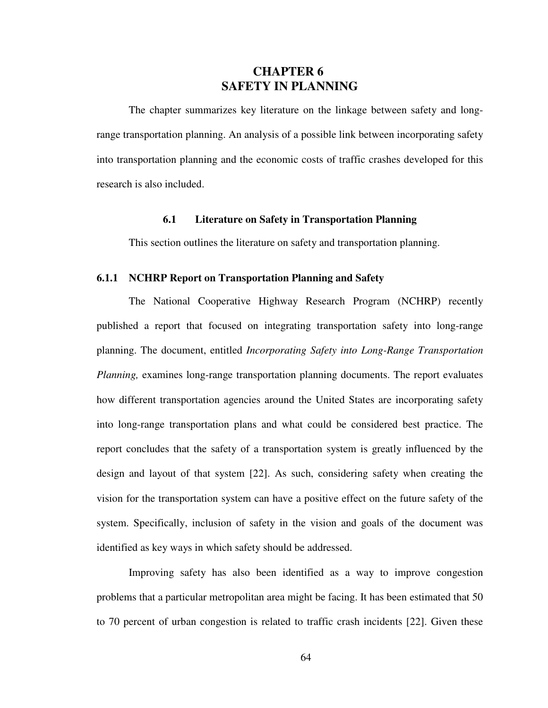## **CHAPTER 6 SAFETY IN PLANNING**

The chapter summarizes key literature on the linkage between safety and longrange transportation planning. An analysis of a possible link between incorporating safety into transportation planning and the economic costs of traffic crashes developed for this research is also included.

#### **6.1 Literature on Safety in Transportation Planning**

This section outlines the literature on safety and transportation planning.

#### **6.1.1 NCHRP Report on Transportation Planning and Safety**

The National Cooperative Highway Research Program (NCHRP) recently published a report that focused on integrating transportation safety into long-range planning. The document, entitled *Incorporating Safety into Long-Range Transportation Planning,* examines long-range transportation planning documents. The report evaluates how different transportation agencies around the United States are incorporating safety into long-range transportation plans and what could be considered best practice. The report concludes that the safety of a transportation system is greatly influenced by the design and layout of that system [22]. As such, considering safety when creating the vision for the transportation system can have a positive effect on the future safety of the system. Specifically, inclusion of safety in the vision and goals of the document was identified as key ways in which safety should be addressed.

Improving safety has also been identified as a way to improve congestion problems that a particular metropolitan area might be facing. It has been estimated that 50 to 70 percent of urban congestion is related to traffic crash incidents [22]. Given these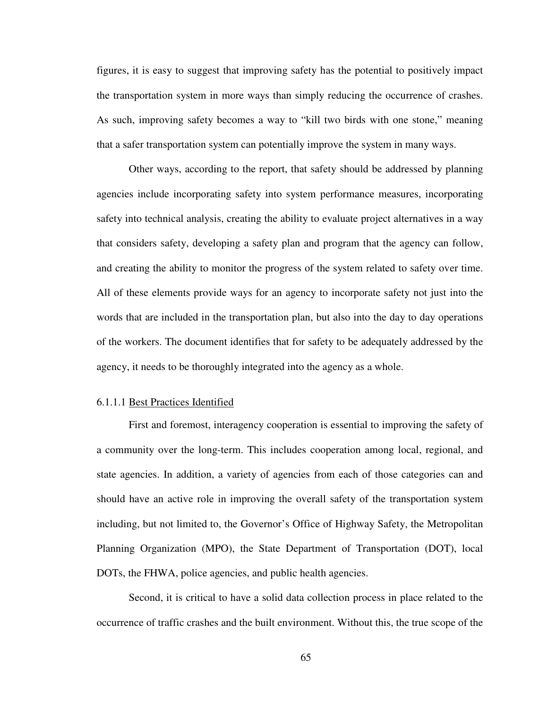figures, it is easy to suggest that improving safety has the potential to positively impact the transportation system in more ways than simply reducing the occurrence of crashes. As such, improving safety becomes a way to "kill two birds with one stone," meaning that a safer transportation system can potentially improve the system in many ways.

Other ways, according to the report, that safety should be addressed by planning agencies include incorporating safety into system performance measures, incorporating safety into technical analysis, creating the ability to evaluate project alternatives in a way that considers safety, developing a safety plan and program that the agency can follow, and creating the ability to monitor the progress of the system related to safety over time. All of these elements provide ways for an agency to incorporate safety not just into the words that are included in the transportation plan, but also into the day to day operations of the workers. The document identifies that for safety to be adequately addressed by the agency, it needs to be thoroughly integrated into the agency as a whole.

#### 6.1.1.1 Best Practices Identified

First and foremost, interagency cooperation is essential to improving the safety of a community over the long-term. This includes cooperation among local, regional, and state agencies. In addition, a variety of agencies from each of those categories can and should have an active role in improving the overall safety of the transportation system including, but not limited to, the Governor's Office of Highway Safety, the Metropolitan Planning Organization (MPO), the State Department of Transportation (DOT), local DOTs, the FHWA, police agencies, and public health agencies.

Second, it is critical to have a solid data collection process in place related to the occurrence of traffic crashes and the built environment. Without this, the true scope of the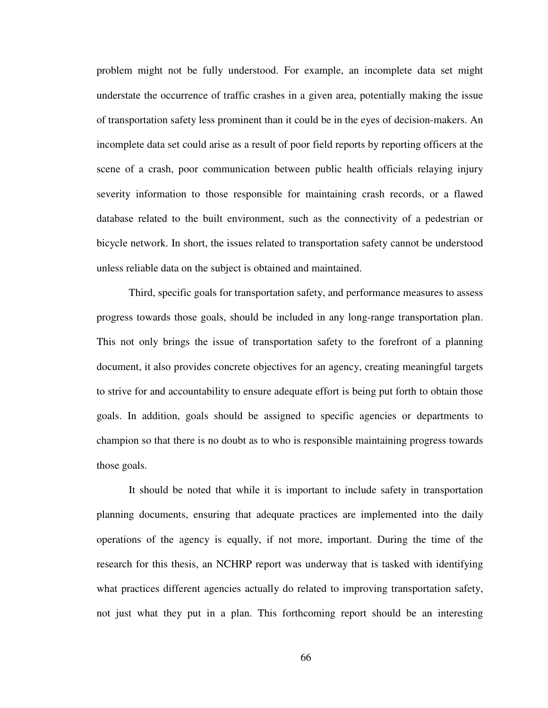problem might not be fully understood. For example, an incomplete data set might understate the occurrence of traffic crashes in a given area, potentially making the issue of transportation safety less prominent than it could be in the eyes of decision-makers. An incomplete data set could arise as a result of poor field reports by reporting officers at the scene of a crash, poor communication between public health officials relaying injury severity information to those responsible for maintaining crash records, or a flawed database related to the built environment, such as the connectivity of a pedestrian or bicycle network. In short, the issues related to transportation safety cannot be understood unless reliable data on the subject is obtained and maintained.

Third, specific goals for transportation safety, and performance measures to assess progress towards those goals, should be included in any long-range transportation plan. This not only brings the issue of transportation safety to the forefront of a planning document, it also provides concrete objectives for an agency, creating meaningful targets to strive for and accountability to ensure adequate effort is being put forth to obtain those goals. In addition, goals should be assigned to specific agencies or departments to champion so that there is no doubt as to who is responsible maintaining progress towards those goals.

It should be noted that while it is important to include safety in transportation planning documents, ensuring that adequate practices are implemented into the daily operations of the agency is equally, if not more, important. During the time of the research for this thesis, an NCHRP report was underway that is tasked with identifying what practices different agencies actually do related to improving transportation safety, not just what they put in a plan. This forthcoming report should be an interesting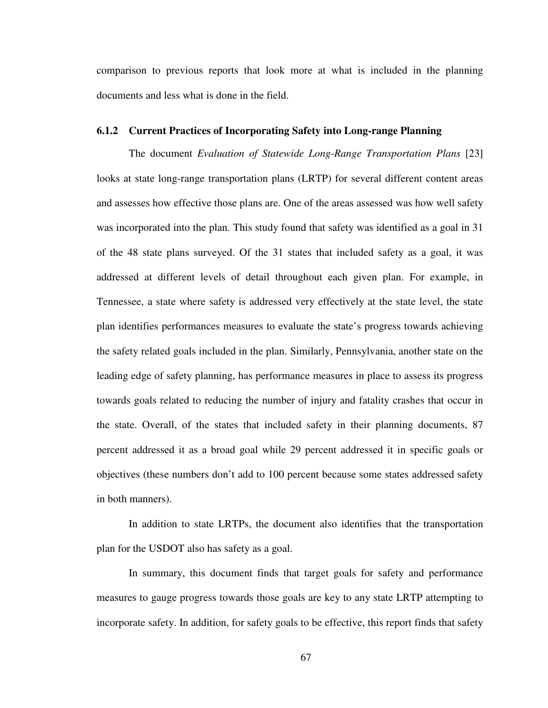comparison to previous reports that look more at what is included in the planning documents and less what is done in the field.

#### **6.1.2 Current Practices of Incorporating Safety into Long-range Planning**

The document *Evaluation of Statewide Long-Range Transportation Plans* [23] looks at state long-range transportation plans (LRTP) for several different content areas and assesses how effective those plans are. One of the areas assessed was how well safety was incorporated into the plan. This study found that safety was identified as a goal in 31 of the 48 state plans surveyed. Of the 31 states that included safety as a goal, it was addressed at different levels of detail throughout each given plan. For example, in Tennessee, a state where safety is addressed very effectively at the state level, the state plan identifies performances measures to evaluate the state's progress towards achieving the safety related goals included in the plan. Similarly, Pennsylvania, another state on the leading edge of safety planning, has performance measures in place to assess its progress towards goals related to reducing the number of injury and fatality crashes that occur in the state. Overall, of the states that included safety in their planning documents, 87 percent addressed it as a broad goal while 29 percent addressed it in specific goals or objectives (these numbers don't add to 100 percent because some states addressed safety in both manners).

In addition to state LRTPs, the document also identifies that the transportation plan for the USDOT also has safety as a goal.

In summary, this document finds that target goals for safety and performance measures to gauge progress towards those goals are key to any state LRTP attempting to incorporate safety. In addition, for safety goals to be effective, this report finds that safety

67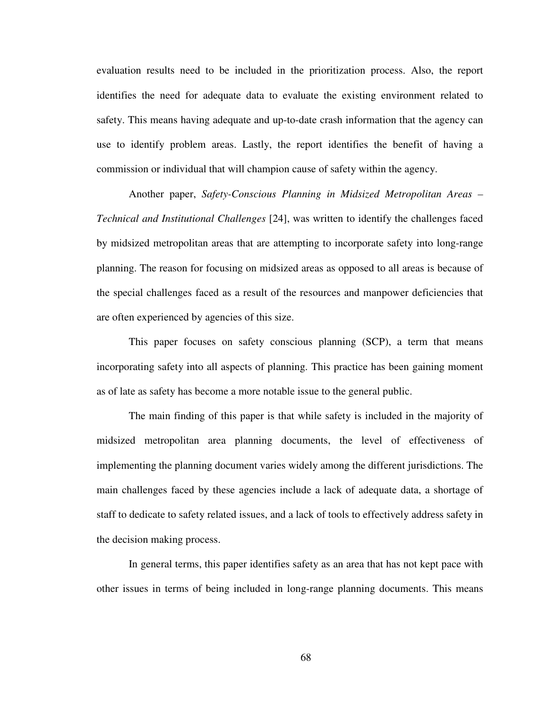evaluation results need to be included in the prioritization process. Also, the report identifies the need for adequate data to evaluate the existing environment related to safety. This means having adequate and up-to-date crash information that the agency can use to identify problem areas. Lastly, the report identifies the benefit of having a commission or individual that will champion cause of safety within the agency.

Another paper, *Safety-Conscious Planning in Midsized Metropolitan Areas – Technical and Institutional Challenges* [24], was written to identify the challenges faced by midsized metropolitan areas that are attempting to incorporate safety into long-range planning. The reason for focusing on midsized areas as opposed to all areas is because of the special challenges faced as a result of the resources and manpower deficiencies that are often experienced by agencies of this size.

This paper focuses on safety conscious planning (SCP), a term that means incorporating safety into all aspects of planning. This practice has been gaining moment as of late as safety has become a more notable issue to the general public.

The main finding of this paper is that while safety is included in the majority of midsized metropolitan area planning documents, the level of effectiveness of implementing the planning document varies widely among the different jurisdictions. The main challenges faced by these agencies include a lack of adequate data, a shortage of staff to dedicate to safety related issues, and a lack of tools to effectively address safety in the decision making process.

In general terms, this paper identifies safety as an area that has not kept pace with other issues in terms of being included in long-range planning documents. This means

68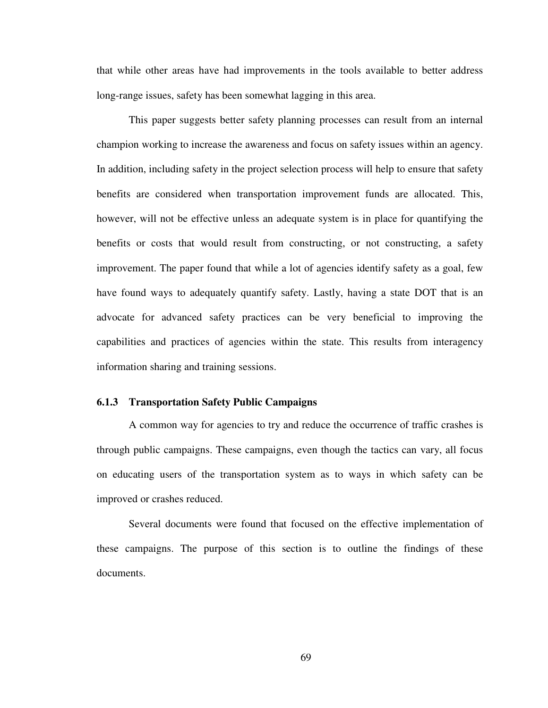that while other areas have had improvements in the tools available to better address long-range issues, safety has been somewhat lagging in this area.

This paper suggests better safety planning processes can result from an internal champion working to increase the awareness and focus on safety issues within an agency. In addition, including safety in the project selection process will help to ensure that safety benefits are considered when transportation improvement funds are allocated. This, however, will not be effective unless an adequate system is in place for quantifying the benefits or costs that would result from constructing, or not constructing, a safety improvement. The paper found that while a lot of agencies identify safety as a goal, few have found ways to adequately quantify safety. Lastly, having a state DOT that is an advocate for advanced safety practices can be very beneficial to improving the capabilities and practices of agencies within the state. This results from interagency information sharing and training sessions.

#### **6.1.3 Transportation Safety Public Campaigns**

A common way for agencies to try and reduce the occurrence of traffic crashes is through public campaigns. These campaigns, even though the tactics can vary, all focus on educating users of the transportation system as to ways in which safety can be improved or crashes reduced.

Several documents were found that focused on the effective implementation of these campaigns. The purpose of this section is to outline the findings of these documents.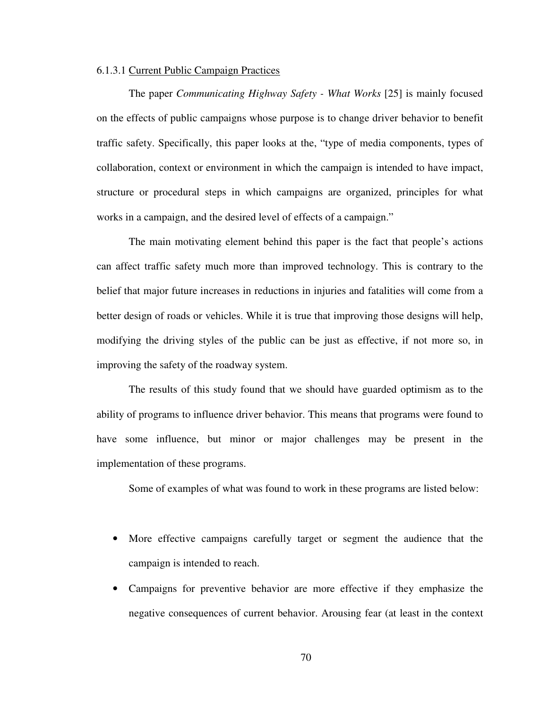#### 6.1.3.1 Current Public Campaign Practices

The paper *Communicating Highway Safety - What Works* [25] is mainly focused on the effects of public campaigns whose purpose is to change driver behavior to benefit traffic safety. Specifically, this paper looks at the, "type of media components, types of collaboration, context or environment in which the campaign is intended to have impact, structure or procedural steps in which campaigns are organized, principles for what works in a campaign, and the desired level of effects of a campaign."

The main motivating element behind this paper is the fact that people's actions can affect traffic safety much more than improved technology. This is contrary to the belief that major future increases in reductions in injuries and fatalities will come from a better design of roads or vehicles. While it is true that improving those designs will help, modifying the driving styles of the public can be just as effective, if not more so, in improving the safety of the roadway system.

The results of this study found that we should have guarded optimism as to the ability of programs to influence driver behavior. This means that programs were found to have some influence, but minor or major challenges may be present in the implementation of these programs.

Some of examples of what was found to work in these programs are listed below:

- More effective campaigns carefully target or segment the audience that the campaign is intended to reach.
- Campaigns for preventive behavior are more effective if they emphasize the negative consequences of current behavior. Arousing fear (at least in the context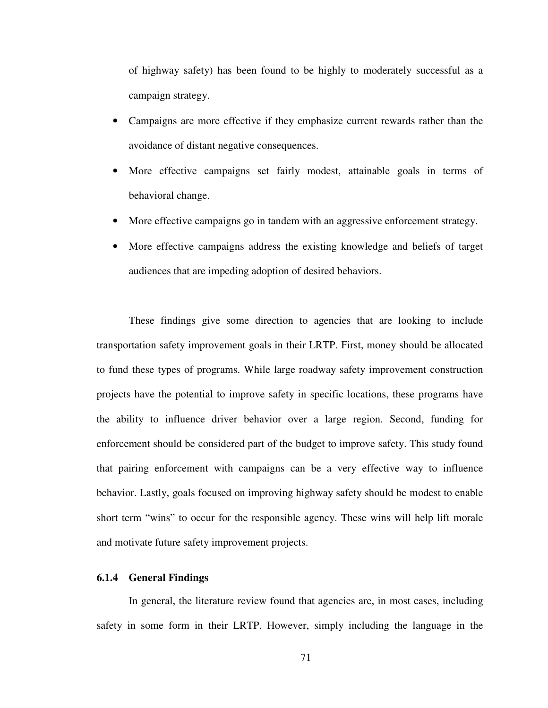of highway safety) has been found to be highly to moderately successful as a campaign strategy.

- Campaigns are more effective if they emphasize current rewards rather than the avoidance of distant negative consequences.
- More effective campaigns set fairly modest, attainable goals in terms of behavioral change.
- More effective campaigns go in tandem with an aggressive enforcement strategy.
- More effective campaigns address the existing knowledge and beliefs of target audiences that are impeding adoption of desired behaviors.

These findings give some direction to agencies that are looking to include transportation safety improvement goals in their LRTP. First, money should be allocated to fund these types of programs. While large roadway safety improvement construction projects have the potential to improve safety in specific locations, these programs have the ability to influence driver behavior over a large region. Second, funding for enforcement should be considered part of the budget to improve safety. This study found that pairing enforcement with campaigns can be a very effective way to influence behavior. Lastly, goals focused on improving highway safety should be modest to enable short term "wins" to occur for the responsible agency. These wins will help lift morale and motivate future safety improvement projects.

### **6.1.4 General Findings**

In general, the literature review found that agencies are, in most cases, including safety in some form in their LRTP. However, simply including the language in the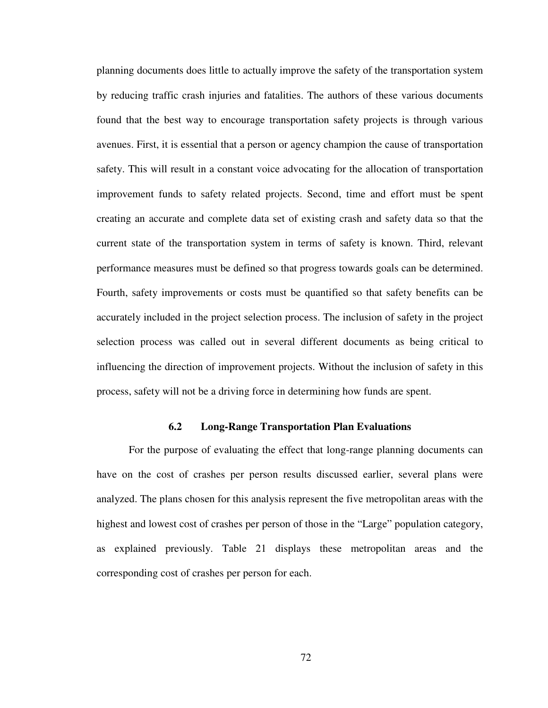planning documents does little to actually improve the safety of the transportation system by reducing traffic crash injuries and fatalities. The authors of these various documents found that the best way to encourage transportation safety projects is through various avenues. First, it is essential that a person or agency champion the cause of transportation safety. This will result in a constant voice advocating for the allocation of transportation improvement funds to safety related projects. Second, time and effort must be spent creating an accurate and complete data set of existing crash and safety data so that the current state of the transportation system in terms of safety is known. Third, relevant performance measures must be defined so that progress towards goals can be determined. Fourth, safety improvements or costs must be quantified so that safety benefits can be accurately included in the project selection process. The inclusion of safety in the project selection process was called out in several different documents as being critical to influencing the direction of improvement projects. Without the inclusion of safety in this process, safety will not be a driving force in determining how funds are spent.

#### **6.2 Long-Range Transportation Plan Evaluations**

For the purpose of evaluating the effect that long-range planning documents can have on the cost of crashes per person results discussed earlier, several plans were analyzed. The plans chosen for this analysis represent the five metropolitan areas with the highest and lowest cost of crashes per person of those in the "Large" population category, as explained previously. Table 21 displays these metropolitan areas and the corresponding cost of crashes per person for each.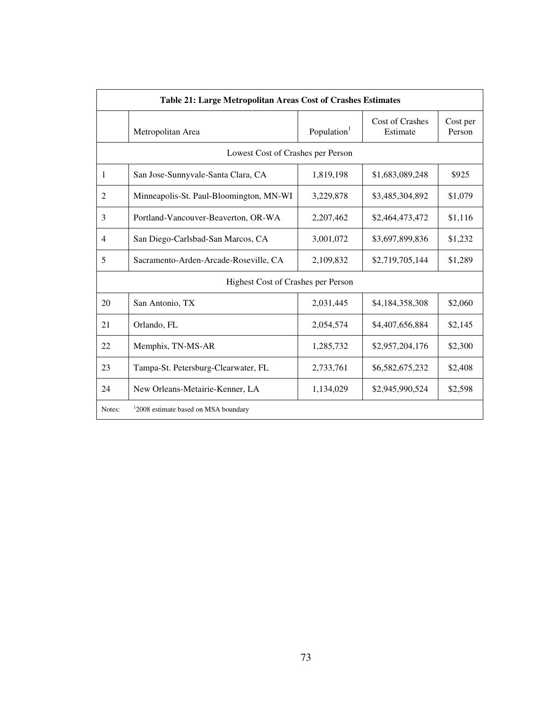| Table 21: Large Metropolitan Areas Cost of Crashes Estimates |                                                  |                         |                                    |                    |  |  |  |
|--------------------------------------------------------------|--------------------------------------------------|-------------------------|------------------------------------|--------------------|--|--|--|
|                                                              | Metropolitan Area                                | Population <sup>1</sup> | <b>Cost of Crashes</b><br>Estimate | Cost per<br>Person |  |  |  |
|                                                              | Lowest Cost of Crashes per Person                |                         |                                    |                    |  |  |  |
| 1                                                            | San Jose-Sunnyvale-Santa Clara, CA               | 1,819,198               | \$1,683,089,248                    | \$925              |  |  |  |
| $\overline{2}$                                               | Minneapolis-St. Paul-Bloomington, MN-WI          | 3,229,878               | \$3,485,304,892                    | \$1,079            |  |  |  |
| 3                                                            | Portland-Vancouver-Beaverton, OR-WA              | 2, 207, 462             | \$2,464,473,472                    | \$1,116            |  |  |  |
| $\overline{4}$                                               | San Diego-Carlsbad-San Marcos, CA                | 3,001,072               | \$3,697,899,836                    | \$1,232            |  |  |  |
| 5                                                            | Sacramento-Arden-Arcade-Roseville, CA            | 2,109,832               | \$2,719,705,144                    | \$1,289            |  |  |  |
|                                                              | Highest Cost of Crashes per Person               |                         |                                    |                    |  |  |  |
| 20                                                           | San Antonio, TX                                  | 2,031,445               | \$4,184,358,308                    | \$2,060            |  |  |  |
| 21                                                           | Orlando, FL                                      | 2,054,574               | \$4,407,656,884                    | \$2,145            |  |  |  |
| 22                                                           | Memphis, TN-MS-AR                                | 1,285,732               | \$2,957,204,176                    | \$2,300            |  |  |  |
| 23                                                           | Tampa-St. Petersburg-Clearwater, FL              | 2,733,761               | \$6,582,675,232                    | \$2,408            |  |  |  |
| 24                                                           | New Orleans-Metairie-Kenner, LA                  | 1,134,029               | \$2,945,990,524                    | \$2,598            |  |  |  |
| Notes:                                                       | <sup>1</sup> 2008 estimate based on MSA boundary |                         |                                    |                    |  |  |  |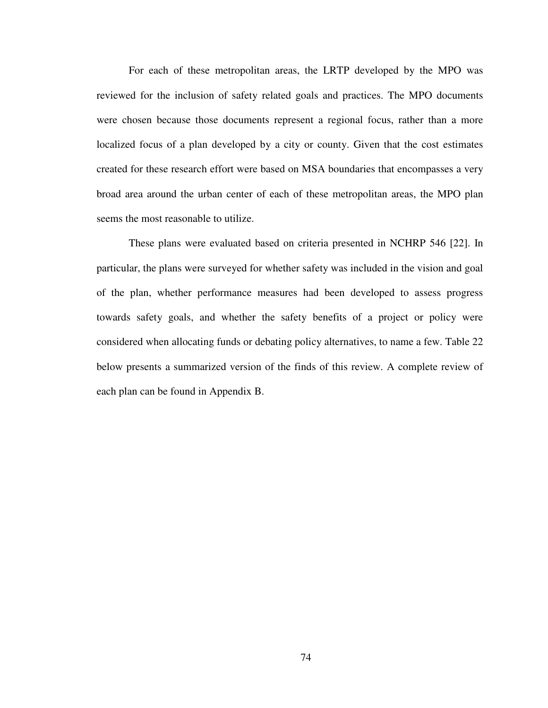For each of these metropolitan areas, the LRTP developed by the MPO was reviewed for the inclusion of safety related goals and practices. The MPO documents were chosen because those documents represent a regional focus, rather than a more localized focus of a plan developed by a city or county. Given that the cost estimates created for these research effort were based on MSA boundaries that encompasses a very broad area around the urban center of each of these metropolitan areas, the MPO plan seems the most reasonable to utilize.

These plans were evaluated based on criteria presented in NCHRP 546 [22]. In particular, the plans were surveyed for whether safety was included in the vision and goal of the plan, whether performance measures had been developed to assess progress towards safety goals, and whether the safety benefits of a project or policy were considered when allocating funds or debating policy alternatives, to name a few. Table 22 below presents a summarized version of the finds of this review. A complete review of each plan can be found in Appendix B.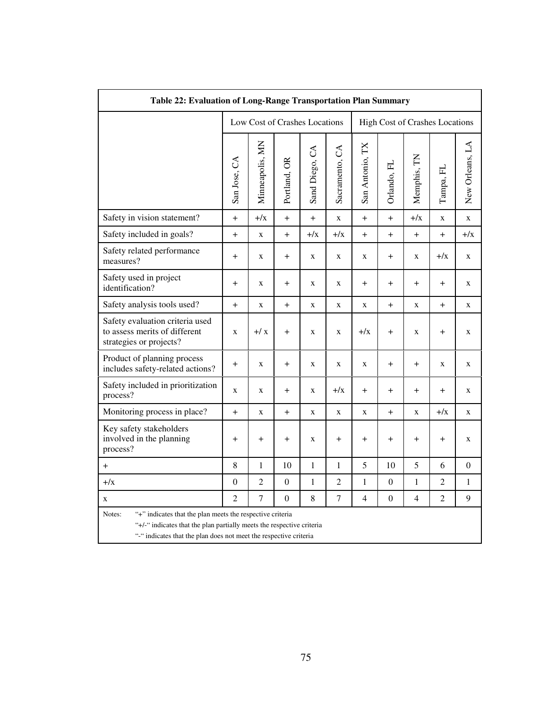| Table 22: Evaluation of Long-Range Transportation Plan Summary                                                                                                                                                    |                               |                 |                  |                |                              |                                       |                  |                |                |                 |
|-------------------------------------------------------------------------------------------------------------------------------------------------------------------------------------------------------------------|-------------------------------|-----------------|------------------|----------------|------------------------------|---------------------------------------|------------------|----------------|----------------|-----------------|
|                                                                                                                                                                                                                   | Low Cost of Crashes Locations |                 |                  |                |                              | <b>High Cost of Crashes Locations</b> |                  |                |                |                 |
|                                                                                                                                                                                                                   | San Jose, CA                  | Minneapolis, MN | Portland, OR     | Sand Diego, CA | $\mathcal{L}$<br>Sacramento, | San Antonio, TX                       | Orlando, FL      | Memphis, TN    | Tampa, FL      | New Orleans, LA |
| Safety in vision statement?                                                                                                                                                                                       | $\ddot{}$                     | $+\frac{1}{x}$  | $\ddot{}$        | $\ddot{}$      | $\mathbf X$                  | $+$                                   | $+$              | $+\frac{1}{x}$ | $\mathbf{x}$   | X               |
| Safety included in goals?                                                                                                                                                                                         | $\ddot{}$                     | X               | $\ddot{}$        | $+\frac{1}{x}$ | $+\frac{1}{x}$               | $\ddot{}$                             | $+$              | $\ddot{}$      | $\ddot{}$      | $+\frac{1}{x}$  |
| Safety related performance<br>measures?                                                                                                                                                                           | $+$                           | X               | $\overline{+}$   | X              | $\mathbf x$                  | $\mathbf x$                           | $+$              | $\mathbf{X}$   | $+\frac{1}{x}$ | X               |
| Safety used in project<br>identification?                                                                                                                                                                         | $+$                           | X               | $+$              | X              | X                            | $+$                                   | $+$              | $+$            | $+$            | X               |
| Safety analysis tools used?                                                                                                                                                                                       | $+$                           | X               | $\ddot{}$        | X              | $\mathbf x$                  | $\mathbf X$                           | $+$              | $\mathbf x$    | $+$            | $\mathbf x$     |
| Safety evaluation criteria used<br>to assess merits of different<br>strategies or projects?                                                                                                                       | $\mathbf X$                   | $+\frac{1}{x}$  | $\overline{+}$   | $\mathbf X$    | $\mathbf X$                  | $+\frac{1}{x}$                        | $\ddot{}$        | X              | $\overline{+}$ | X               |
| Product of planning process<br>includes safety-related actions?                                                                                                                                                   | $\ddot{}$                     | $\mathbf X$     | $\ddot{}$        | $\mathbf X$    | $\mathbf X$                  | $\mathbf X$                           | $\ddot{}$        | $\ddot{}$      | $\mathbf X$    | X               |
| Safety included in prioritization<br>process?                                                                                                                                                                     | $\mathbf X$                   | X               | $\ddot{}$        | $\mathbf X$    | $+\frac{1}{x}$               | $\ddot{}$                             | $\ddot{}$        | $\ddot{}$      | $\ddot{}$      | X               |
| Monitoring process in place?                                                                                                                                                                                      | $^{+}$                        | X               | $+$              | $\mathbf X$    | X                            | $\mathbf X$                           | $+$              | $\mathbf X$    | $+\frac{1}{x}$ | X               |
| Key safety stakeholders<br>involved in the planning<br>process?                                                                                                                                                   | $\ddot{}$                     | $\ddot{}$       | $\ddot{}$        | $\mathbf X$    | $\ddot{}$                    | $\ddot{}$                             | $\ddot{}$        | $\ddot{}$      | $\overline{+}$ | X               |
| $\ddot{}$                                                                                                                                                                                                         | 8                             | $\mathbf{1}$    | 10               | $\mathbf{1}$   | 1                            | 5                                     | 10               | 5              | 6              | $\mathbf{0}$    |
| $+\frac{1}{x}$                                                                                                                                                                                                    | $\boldsymbol{0}$              | $\overline{2}$  | $\boldsymbol{0}$ | $\mathbf{1}$   | $\overline{2}$               | $\mathbf{1}$                          | $\boldsymbol{0}$ | $\mathbf{1}$   | $\overline{c}$ | $\mathbf{1}$    |
| X                                                                                                                                                                                                                 | $\overline{2}$                | $\overline{7}$  | $\overline{0}$   | $\,8\,$        | $\tau$                       | $\overline{4}$                        | $\boldsymbol{0}$ | $\overline{4}$ | $\overline{2}$ | 9               |
| Notes:<br>"+" indicates that the plan meets the respective criteria<br>"+/-" indicates that the plan partially meets the respective criteria<br>"-" indicates that the plan does not meet the respective criteria |                               |                 |                  |                |                              |                                       |                  |                |                |                 |

Г

 $\overline{\mathbf{1}}$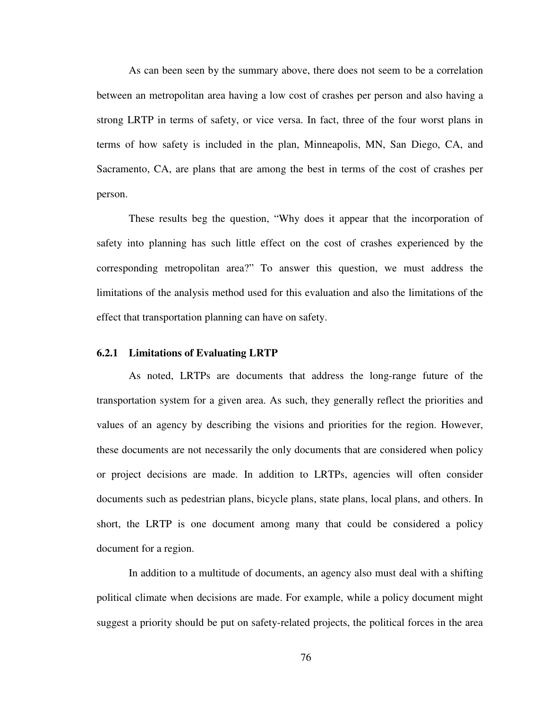As can been seen by the summary above, there does not seem to be a correlation between an metropolitan area having a low cost of crashes per person and also having a strong LRTP in terms of safety, or vice versa. In fact, three of the four worst plans in terms of how safety is included in the plan, Minneapolis, MN, San Diego, CA, and Sacramento, CA, are plans that are among the best in terms of the cost of crashes per person.

These results beg the question, "Why does it appear that the incorporation of safety into planning has such little effect on the cost of crashes experienced by the corresponding metropolitan area?" To answer this question, we must address the limitations of the analysis method used for this evaluation and also the limitations of the effect that transportation planning can have on safety.

#### **6.2.1 Limitations of Evaluating LRTP**

As noted, LRTPs are documents that address the long-range future of the transportation system for a given area. As such, they generally reflect the priorities and values of an agency by describing the visions and priorities for the region. However, these documents are not necessarily the only documents that are considered when policy or project decisions are made. In addition to LRTPs, agencies will often consider documents such as pedestrian plans, bicycle plans, state plans, local plans, and others. In short, the LRTP is one document among many that could be considered a policy document for a region.

In addition to a multitude of documents, an agency also must deal with a shifting political climate when decisions are made. For example, while a policy document might suggest a priority should be put on safety-related projects, the political forces in the area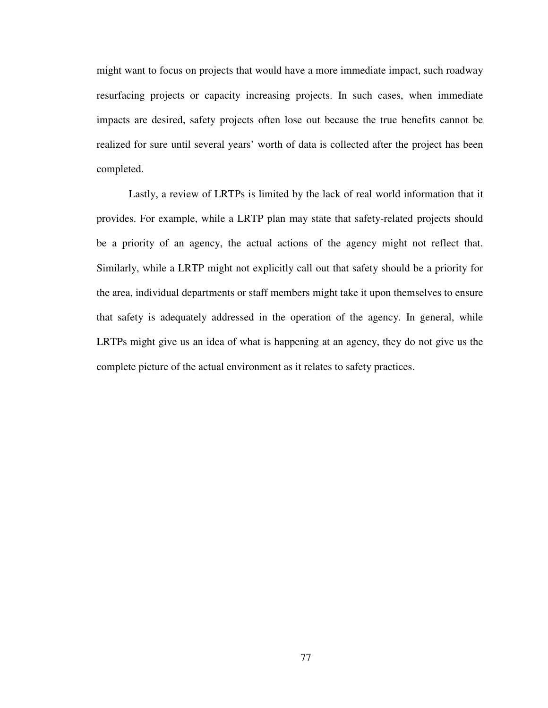might want to focus on projects that would have a more immediate impact, such roadway resurfacing projects or capacity increasing projects. In such cases, when immediate impacts are desired, safety projects often lose out because the true benefits cannot be realized for sure until several years' worth of data is collected after the project has been completed.

Lastly, a review of LRTPs is limited by the lack of real world information that it provides. For example, while a LRTP plan may state that safety-related projects should be a priority of an agency, the actual actions of the agency might not reflect that. Similarly, while a LRTP might not explicitly call out that safety should be a priority for the area, individual departments or staff members might take it upon themselves to ensure that safety is adequately addressed in the operation of the agency. In general, while LRTPs might give us an idea of what is happening at an agency, they do not give us the complete picture of the actual environment as it relates to safety practices.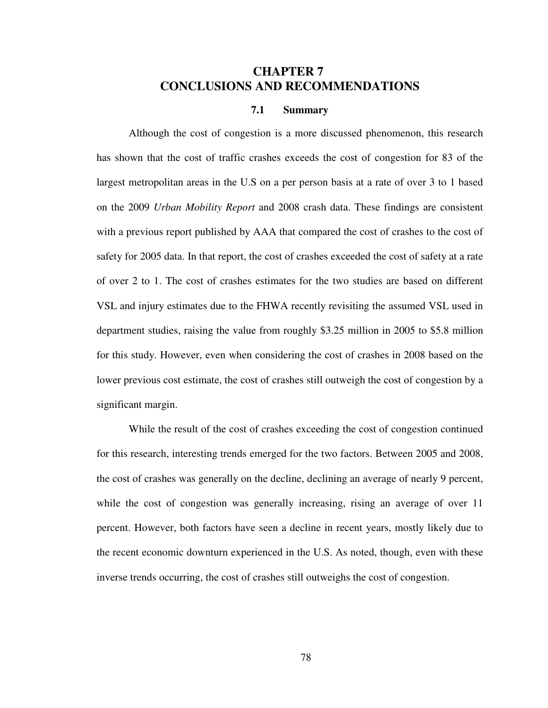## **CHAPTER 7 CONCLUSIONS AND RECOMMENDATIONS**

#### **7.1 Summary**

Although the cost of congestion is a more discussed phenomenon, this research has shown that the cost of traffic crashes exceeds the cost of congestion for 83 of the largest metropolitan areas in the U.S on a per person basis at a rate of over 3 to 1 based on the 2009 *Urban Mobility Report* and 2008 crash data. These findings are consistent with a previous report published by AAA that compared the cost of crashes to the cost of safety for 2005 data. In that report, the cost of crashes exceeded the cost of safety at a rate of over 2 to 1. The cost of crashes estimates for the two studies are based on different VSL and injury estimates due to the FHWA recently revisiting the assumed VSL used in department studies, raising the value from roughly \$3.25 million in 2005 to \$5.8 million for this study. However, even when considering the cost of crashes in 2008 based on the lower previous cost estimate, the cost of crashes still outweigh the cost of congestion by a significant margin.

While the result of the cost of crashes exceeding the cost of congestion continued for this research, interesting trends emerged for the two factors. Between 2005 and 2008, the cost of crashes was generally on the decline, declining an average of nearly 9 percent, while the cost of congestion was generally increasing, rising an average of over 11 percent. However, both factors have seen a decline in recent years, mostly likely due to the recent economic downturn experienced in the U.S. As noted, though, even with these inverse trends occurring, the cost of crashes still outweighs the cost of congestion.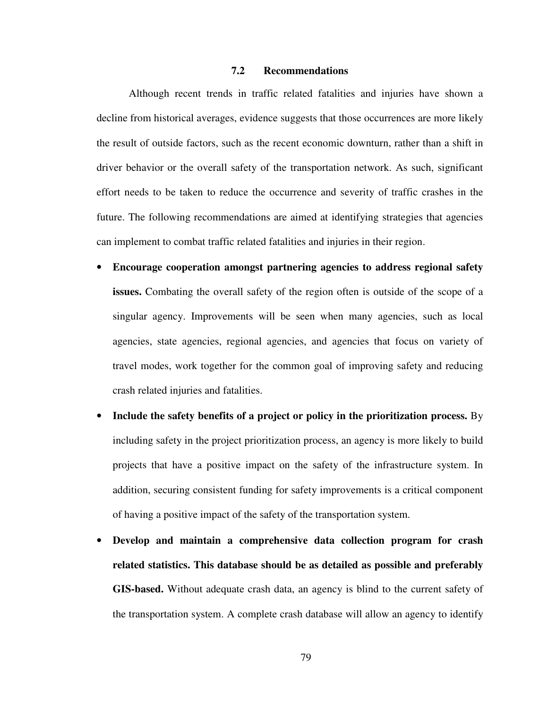### **7.2 Recommendations**

Although recent trends in traffic related fatalities and injuries have shown a decline from historical averages, evidence suggests that those occurrences are more likely the result of outside factors, such as the recent economic downturn, rather than a shift in driver behavior or the overall safety of the transportation network. As such, significant effort needs to be taken to reduce the occurrence and severity of traffic crashes in the future. The following recommendations are aimed at identifying strategies that agencies can implement to combat traffic related fatalities and injuries in their region.

- **Encourage cooperation amongst partnering agencies to address regional safety issues.** Combating the overall safety of the region often is outside of the scope of a singular agency. Improvements will be seen when many agencies, such as local agencies, state agencies, regional agencies, and agencies that focus on variety of travel modes, work together for the common goal of improving safety and reducing crash related injuries and fatalities.
- **Include the safety benefits of a project or policy in the prioritization process.** By including safety in the project prioritization process, an agency is more likely to build projects that have a positive impact on the safety of the infrastructure system. In addition, securing consistent funding for safety improvements is a critical component of having a positive impact of the safety of the transportation system.
- **Develop and maintain a comprehensive data collection program for crash related statistics. This database should be as detailed as possible and preferably GIS-based.** Without adequate crash data, an agency is blind to the current safety of the transportation system. A complete crash database will allow an agency to identify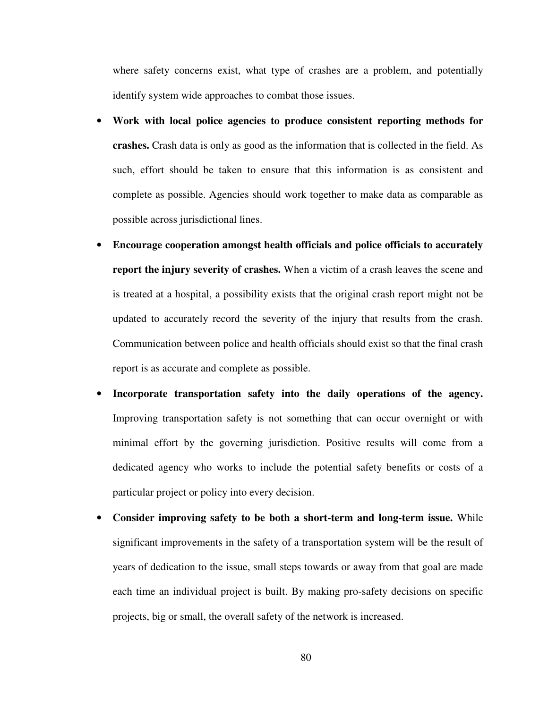where safety concerns exist, what type of crashes are a problem, and potentially identify system wide approaches to combat those issues.

- **Work with local police agencies to produce consistent reporting methods for crashes.** Crash data is only as good as the information that is collected in the field. As such, effort should be taken to ensure that this information is as consistent and complete as possible. Agencies should work together to make data as comparable as possible across jurisdictional lines.
- **Encourage cooperation amongst health officials and police officials to accurately report the injury severity of crashes.** When a victim of a crash leaves the scene and is treated at a hospital, a possibility exists that the original crash report might not be updated to accurately record the severity of the injury that results from the crash. Communication between police and health officials should exist so that the final crash report is as accurate and complete as possible.
- **Incorporate transportation safety into the daily operations of the agency.**  Improving transportation safety is not something that can occur overnight or with minimal effort by the governing jurisdiction. Positive results will come from a dedicated agency who works to include the potential safety benefits or costs of a particular project or policy into every decision.
- **Consider improving safety to be both a short-term and long-term issue.** While significant improvements in the safety of a transportation system will be the result of years of dedication to the issue, small steps towards or away from that goal are made each time an individual project is built. By making pro-safety decisions on specific projects, big or small, the overall safety of the network is increased.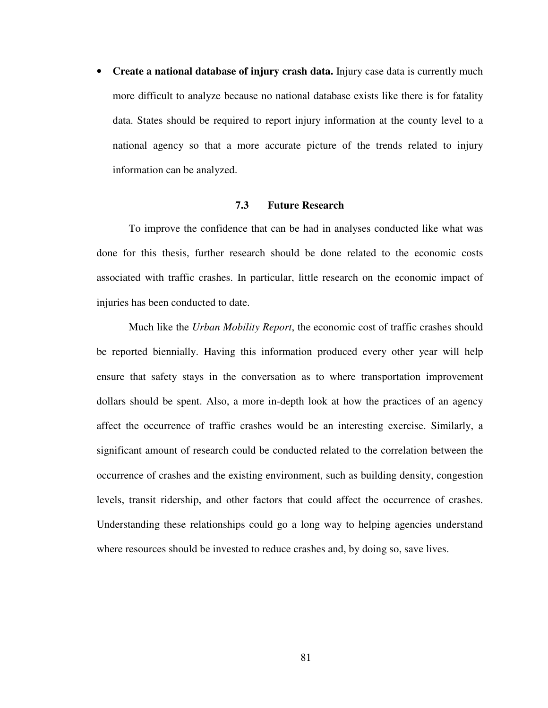• **Create a national database of injury crash data.** Injury case data is currently much more difficult to analyze because no national database exists like there is for fatality data. States should be required to report injury information at the county level to a national agency so that a more accurate picture of the trends related to injury information can be analyzed.

#### **7.3 Future Research**

To improve the confidence that can be had in analyses conducted like what was done for this thesis, further research should be done related to the economic costs associated with traffic crashes. In particular, little research on the economic impact of injuries has been conducted to date.

Much like the *Urban Mobility Report*, the economic cost of traffic crashes should be reported biennially. Having this information produced every other year will help ensure that safety stays in the conversation as to where transportation improvement dollars should be spent. Also, a more in-depth look at how the practices of an agency affect the occurrence of traffic crashes would be an interesting exercise. Similarly, a significant amount of research could be conducted related to the correlation between the occurrence of crashes and the existing environment, such as building density, congestion levels, transit ridership, and other factors that could affect the occurrence of crashes. Understanding these relationships could go a long way to helping agencies understand where resources should be invested to reduce crashes and, by doing so, save lives.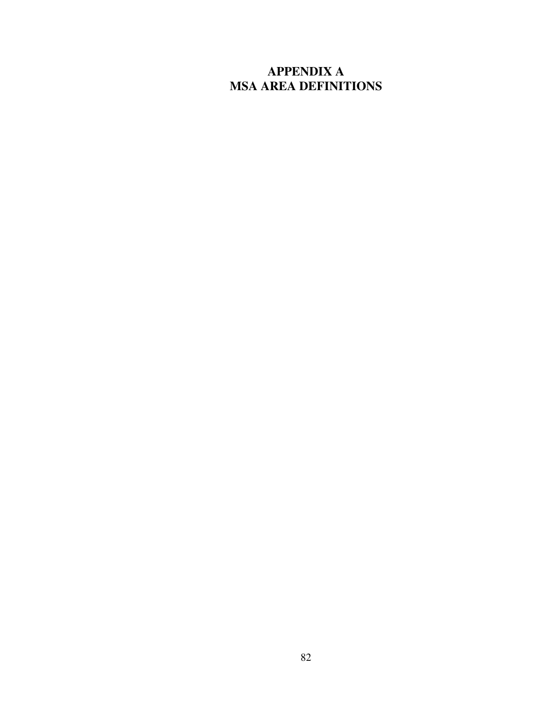# **APPENDIX A MSA AREA DEFINITIONS**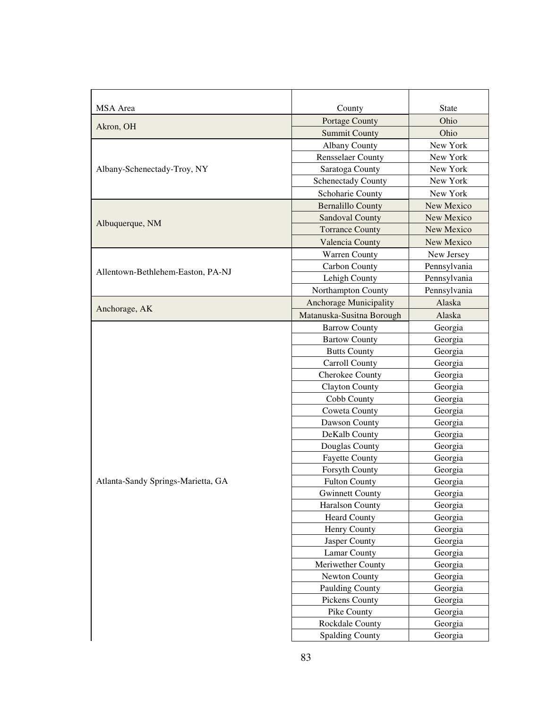| <b>MSA</b> Area                    |                                              | <b>State</b> |
|------------------------------------|----------------------------------------------|--------------|
|                                    | County<br>Portage County                     | Ohio         |
| Akron, OH                          | <b>Summit County</b>                         | Ohio         |
|                                    |                                              | New York     |
|                                    | <b>Albany County</b>                         | New York     |
|                                    | <b>Rensselaer County</b>                     | New York     |
| Albany-Schenectady-Troy, NY        | Saratoga County<br><b>Schenectady County</b> | New York     |
|                                    |                                              | New York     |
|                                    | Schoharie County<br><b>Bernalillo County</b> | New Mexico   |
|                                    |                                              | New Mexico   |
| Albuquerque, NM                    | <b>Sandoval County</b>                       |              |
|                                    | <b>Torrance County</b>                       | New Mexico   |
|                                    | Valencia County                              | New Mexico   |
|                                    | Warren County                                | New Jersey   |
| Allentown-Bethlehem-Easton, PA-NJ  | Carbon County                                | Pennsylvania |
|                                    | Lehigh County                                | Pennsylvania |
|                                    | Northampton County                           | Pennsylvania |
| Anchorage, AK                      | <b>Anchorage Municipality</b>                | Alaska       |
|                                    | Matanuska-Susitna Borough                    | Alaska       |
|                                    | <b>Barrow County</b>                         | Georgia      |
|                                    | <b>Bartow County</b>                         | Georgia      |
|                                    | <b>Butts County</b>                          | Georgia      |
|                                    | Carroll County                               | Georgia      |
|                                    | Cherokee County                              | Georgia      |
|                                    | <b>Clayton County</b>                        | Georgia      |
|                                    | Cobb County                                  | Georgia      |
|                                    | Coweta County                                | Georgia      |
|                                    | Dawson County                                | Georgia      |
|                                    | DeKalb County                                | Georgia      |
|                                    | Douglas County                               | Georgia      |
|                                    | <b>Fayette County</b>                        | Georgia      |
|                                    | <b>Forsyth County</b>                        | Georgia      |
| Atlanta-Sandy Springs-Marietta, GA | <b>Fulton County</b>                         | Georgia      |
|                                    | <b>Gwinnett County</b>                       | Georgia      |
|                                    | Haralson County                              | Georgia      |
|                                    | <b>Heard County</b>                          | Georgia      |
|                                    | Henry County                                 | Georgia      |
|                                    | Jasper County                                | Georgia      |
|                                    | Lamar County                                 | Georgia      |
|                                    | Meriwether County                            | Georgia      |
|                                    | Newton County                                | Georgia      |
|                                    | Paulding County                              | Georgia      |
|                                    | Pickens County                               | Georgia      |
|                                    | Pike County                                  | Georgia      |
|                                    | Rockdale County                              | Georgia      |
|                                    | <b>Spalding County</b>                       | Georgia      |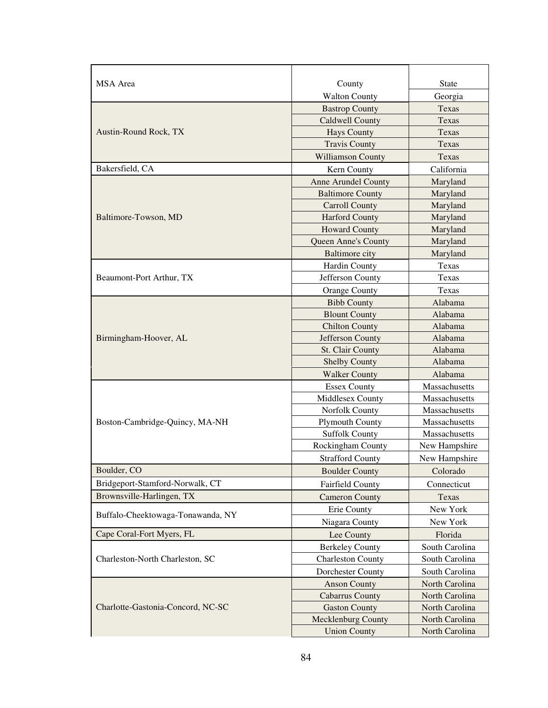| <b>MSA</b> Area                   | County                                   | <b>State</b>   |
|-----------------------------------|------------------------------------------|----------------|
|                                   | <b>Walton County</b>                     | Georgia        |
|                                   | <b>Bastrop County</b>                    | Texas          |
|                                   | <b>Caldwell County</b>                   | Texas          |
| Austin-Round Rock, TX             | <b>Hays County</b>                       | Texas          |
|                                   | <b>Travis County</b>                     | Texas          |
|                                   | <b>Williamson County</b>                 | Texas          |
| Bakersfield, CA                   | Kern County                              | California     |
|                                   | <b>Anne Arundel County</b>               | Maryland       |
|                                   | <b>Baltimore County</b>                  | Maryland       |
|                                   | <b>Carroll County</b>                    | Maryland       |
| Baltimore-Towson, MD              | <b>Harford County</b>                    | Maryland       |
|                                   | <b>Howard County</b>                     | Maryland       |
|                                   | Queen Anne's County                      | Maryland       |
|                                   | <b>Baltimore city</b>                    | Maryland       |
|                                   | Hardin County                            | Texas          |
| Beaumont-Port Arthur, TX          | Jefferson County                         | Texas          |
|                                   | <b>Orange County</b>                     | Texas          |
|                                   | <b>Bibb County</b>                       | Alabama        |
|                                   | <b>Blount County</b>                     | Alabama        |
|                                   | <b>Chilton County</b>                    | Alabama        |
| Birmingham-Hoover, AL             | Jefferson County                         | Alabama        |
|                                   | St. Clair County                         | Alabama        |
|                                   | <b>Shelby County</b>                     | Alabama        |
|                                   | <b>Walker County</b>                     | Alabama        |
|                                   | <b>Essex County</b>                      | Massachusetts  |
|                                   | Middlesex County                         | Massachusetts  |
|                                   | Norfolk County                           | Massachusetts  |
| Boston-Cambridge-Quincy, MA-NH    | <b>Plymouth County</b>                   | Massachusetts  |
|                                   | <b>Suffolk County</b>                    | Massachusetts  |
|                                   | Rockingham County                        | New Hampshire  |
|                                   | <b>Strafford County</b>                  | New Hampshire  |
| Boulder, CO                       | <b>Boulder County</b>                    | Colorado       |
| Bridgeport-Stamford-Norwalk, CT   | <b>Fairfield County</b>                  | Connecticut    |
| Brownsville-Harlingen, TX         | <b>Cameron County</b>                    | Texas          |
|                                   | Erie County                              | New York       |
| Buffalo-Cheektowaga-Tonawanda, NY | Niagara County                           | New York       |
| Cape Coral-Fort Myers, FL         | Lee County                               | Florida        |
|                                   | <b>Berkeley County</b>                   | South Carolina |
| Charleston-North Charleston, SC   | <b>Charleston County</b>                 | South Carolina |
|                                   | Dorchester County                        | South Carolina |
|                                   | <b>Anson County</b>                      | North Carolina |
|                                   | <b>Cabarrus County</b><br>North Carolina |                |
| Charlotte-Gastonia-Concord, NC-SC | <b>Gaston County</b>                     | North Carolina |
|                                   | <b>Mecklenburg County</b>                | North Carolina |
|                                   | <b>Union County</b>                      | North Carolina |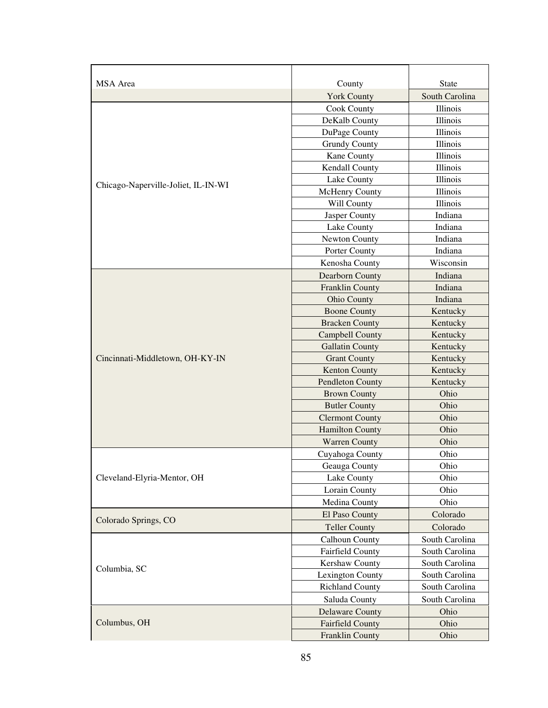| <b>MSA</b> Area                     | County                  | State          |  |
|-------------------------------------|-------------------------|----------------|--|
|                                     | <b>York County</b>      | South Carolina |  |
|                                     | <b>Cook County</b>      | Illinois       |  |
|                                     | DeKalb County           | Illinois       |  |
|                                     | DuPage County           | Illinois       |  |
|                                     | <b>Grundy County</b>    | Illinois       |  |
|                                     | Kane County             | Illinois       |  |
|                                     | Kendall County          | Illinois       |  |
|                                     | Lake County             | Illinois       |  |
| Chicago-Naperville-Joliet, IL-IN-WI | McHenry County          | Illinois       |  |
|                                     | Will County             | Illinois       |  |
|                                     | Jasper County           | Indiana        |  |
|                                     | Lake County             | Indiana        |  |
|                                     | <b>Newton County</b>    | Indiana        |  |
|                                     | Porter County           | Indiana        |  |
|                                     | Kenosha County          | Wisconsin      |  |
|                                     | <b>Dearborn County</b>  | Indiana        |  |
|                                     | <b>Franklin County</b>  | Indiana        |  |
|                                     | <b>Ohio County</b>      | Indiana        |  |
|                                     | <b>Boone County</b>     | Kentucky       |  |
|                                     | <b>Bracken County</b>   | Kentucky       |  |
|                                     | <b>Campbell County</b>  | Kentucky       |  |
|                                     | <b>Gallatin County</b>  | Kentucky       |  |
| Cincinnati-Middletown, OH-KY-IN     | <b>Grant County</b>     | Kentucky       |  |
|                                     | <b>Kenton County</b>    | Kentucky       |  |
|                                     | <b>Pendleton County</b> | Kentucky       |  |
|                                     | <b>Brown County</b>     | Ohio           |  |
|                                     | <b>Butler County</b>    | Ohio           |  |
|                                     | <b>Clermont County</b>  | Ohio           |  |
|                                     | <b>Hamilton County</b>  | Ohio           |  |
|                                     | <b>Warren County</b>    | Ohio           |  |
|                                     | Cuyahoga County         | Ohio           |  |
|                                     | Geauga County           | Ohio           |  |
| Cleveland-Elyria-Mentor, OH         | Lake County             | Ohio           |  |
|                                     | Lorain County           | Ohio           |  |
|                                     | Medina County           | Ohio           |  |
|                                     | El Paso County          | Colorado       |  |
| Colorado Springs, CO                | <b>Teller County</b>    | Colorado       |  |
|                                     | Calhoun County          | South Carolina |  |
|                                     | Fairfield County        | South Carolina |  |
|                                     | Kershaw County          | South Carolina |  |
| Columbia, SC                        | Lexington County        | South Carolina |  |
|                                     | <b>Richland County</b>  | South Carolina |  |
|                                     | Saluda County           | South Carolina |  |
|                                     | <b>Delaware County</b>  | Ohio           |  |
| Columbus, OH                        | <b>Fairfield County</b> | Ohio           |  |
|                                     | Franklin County         | Ohio           |  |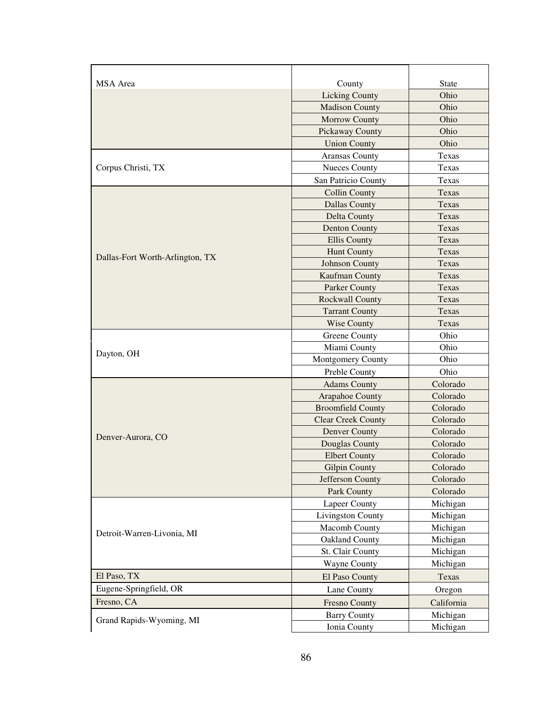| MSA Area                        | County                    | <b>State</b> |
|---------------------------------|---------------------------|--------------|
|                                 | <b>Licking County</b>     | Ohio         |
|                                 | <b>Madison County</b>     | Ohio         |
|                                 | Morrow County             | Ohio         |
|                                 | Pickaway County           | Ohio         |
|                                 | <b>Union County</b>       | Ohio         |
|                                 | Aransas County            | Texas        |
| Corpus Christi, TX              | <b>Nueces County</b>      | Texas        |
|                                 | San Patricio County       | Texas        |
|                                 | <b>Collin County</b>      | Texas        |
|                                 | <b>Dallas County</b>      | Texas        |
|                                 | <b>Delta County</b>       | Texas        |
|                                 | <b>Denton County</b>      | Texas        |
|                                 | <b>Ellis County</b>       | Texas        |
|                                 | <b>Hunt County</b>        | Texas        |
| Dallas-Fort Worth-Arlington, TX | <b>Johnson County</b>     | Texas        |
|                                 | Kaufman County            | Texas        |
|                                 | Parker County             | Texas        |
|                                 | Rockwall County           | Texas        |
|                                 | <b>Tarrant County</b>     | Texas        |
|                                 | <b>Wise County</b>        | Texas        |
|                                 | Greene County             | Ohio         |
|                                 | Miami County              | Ohio         |
| Dayton, OH                      | Montgomery County         | Ohio         |
|                                 | Preble County             | Ohio         |
|                                 | <b>Adams County</b>       | Colorado     |
|                                 | <b>Arapahoe County</b>    | Colorado     |
|                                 | <b>Broomfield County</b>  | Colorado     |
|                                 | <b>Clear Creek County</b> | Colorado     |
| Denver-Aurora, CO               | Denver County             | Colorado     |
|                                 | Douglas County            | Colorado     |
|                                 | <b>Elbert County</b>      | Colorado     |
|                                 | <b>Gilpin County</b>      | Colorado     |
|                                 | Jefferson County          | Colorado     |
|                                 | Park County               | Colorado     |
|                                 | <b>Lapeer County</b>      | Michigan     |
|                                 | Livingston County         | Michigan     |
| Detroit-Warren-Livonia, MI      | Macomb County             | Michigan     |
|                                 | Oakland County            | Michigan     |
|                                 | St. Clair County          | Michigan     |
|                                 | Wayne County              | Michigan     |
| El Paso, TX                     | El Paso County            | Texas        |
| Eugene-Springfield, OR          | Lane County               | Oregon       |
| Fresno, CA                      | <b>Fresno County</b>      | California   |
|                                 | <b>Barry County</b>       | Michigan     |
| Grand Rapids-Wyoming, MI        | Ionia County              | Michigan     |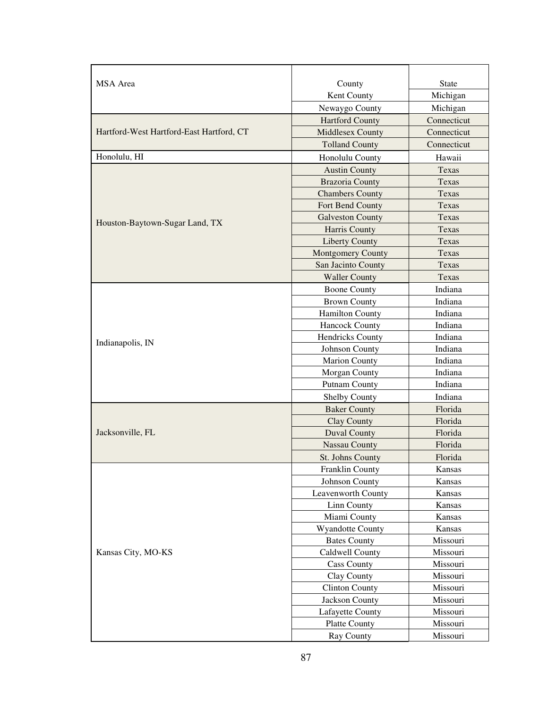| <b>MSA</b> Area                          | County                  | <b>State</b> |  |
|------------------------------------------|-------------------------|--------------|--|
|                                          | Kent County             | Michigan     |  |
|                                          | Newaygo County          | Michigan     |  |
|                                          | <b>Hartford County</b>  | Connecticut  |  |
| Hartford-West Hartford-East Hartford, CT | Middlesex County        | Connecticut  |  |
|                                          | <b>Tolland County</b>   | Connecticut  |  |
| Honolulu, HI                             | Honolulu County         | Hawaii       |  |
|                                          | <b>Austin County</b>    | Texas        |  |
|                                          | <b>Brazoria County</b>  | Texas        |  |
|                                          | <b>Chambers County</b>  | Texas        |  |
|                                          | Fort Bend County        | Texas        |  |
| Houston-Baytown-Sugar Land, TX           | <b>Galveston County</b> | Texas        |  |
|                                          | Harris County           | Texas        |  |
|                                          | <b>Liberty County</b>   | Texas        |  |
|                                          | Montgomery County       | Texas        |  |
|                                          | San Jacinto County      | Texas        |  |
|                                          | <b>Waller County</b>    | Texas        |  |
|                                          | <b>Boone County</b>     | Indiana      |  |
|                                          | <b>Brown County</b>     | Indiana      |  |
|                                          | <b>Hamilton County</b>  | Indiana      |  |
|                                          | Hancock County          | Indiana      |  |
|                                          | <b>Hendricks County</b> | Indiana      |  |
| Indianapolis, IN                         | Johnson County          | Indiana      |  |
|                                          | <b>Marion County</b>    | Indiana      |  |
|                                          | Morgan County           | Indiana      |  |
|                                          | <b>Putnam County</b>    | Indiana      |  |
|                                          | Shelby County           | Indiana      |  |
|                                          | <b>Baker County</b>     | Florida      |  |
|                                          | <b>Clay County</b>      | Florida      |  |
| Jacksonville, FL                         | <b>Duval County</b>     | Florida      |  |
|                                          | <b>Nassau County</b>    | Florida      |  |
|                                          | St. Johns County        | Florida      |  |
|                                          | Franklin County         | Kansas       |  |
|                                          | Johnson County          | Kansas       |  |
|                                          | Leavenworth County      | Kansas       |  |
|                                          | Linn County             | Kansas       |  |
|                                          | Miami County            | Kansas       |  |
|                                          | Wyandotte County        | Kansas       |  |
|                                          | <b>Bates County</b>     | Missouri     |  |
| Kansas City, MO-KS                       | Caldwell County         | Missouri     |  |
|                                          | <b>Cass County</b>      | Missouri     |  |
|                                          | Clay County             | Missouri     |  |
|                                          | <b>Clinton County</b>   | Missouri     |  |
|                                          | Jackson County          | Missouri     |  |
|                                          | Lafayette County        | Missouri     |  |
|                                          | <b>Platte County</b>    | Missouri     |  |
|                                          | Ray County              | Missouri     |  |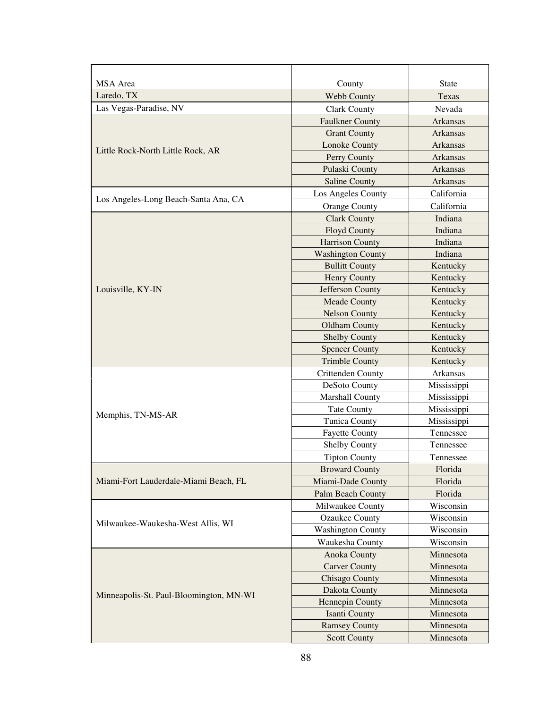| MSA Area                                | County                   | <b>State</b>    |
|-----------------------------------------|--------------------------|-----------------|
| Laredo, TX                              | Webb County              | Texas           |
| Las Vegas-Paradise, NV                  | <b>Clark County</b>      | Nevada          |
|                                         | <b>Faulkner County</b>   | <b>Arkansas</b> |
|                                         | <b>Grant County</b>      | Arkansas        |
|                                         | Lonoke County            | Arkansas        |
| Little Rock-North Little Rock, AR       | Perry County             | Arkansas        |
|                                         | Pulaski County           | <b>Arkansas</b> |
|                                         | Saline County            | Arkansas        |
|                                         | Los Angeles County       | California      |
| Los Angeles-Long Beach-Santa Ana, CA    | <b>Orange County</b>     | California      |
|                                         | <b>Clark County</b>      | Indiana         |
|                                         | <b>Floyd County</b>      | Indiana         |
|                                         | <b>Harrison County</b>   | Indiana         |
|                                         | <b>Washington County</b> | Indiana         |
|                                         | <b>Bullitt County</b>    | Kentucky        |
|                                         | Henry County             | Kentucky        |
| Louisville, KY-IN                       | Jefferson County         | Kentucky        |
|                                         | <b>Meade County</b>      | Kentucky        |
|                                         | <b>Nelson County</b>     | Kentucky        |
|                                         | <b>Oldham County</b>     | Kentucky        |
|                                         | <b>Shelby County</b>     | Kentucky        |
|                                         | <b>Spencer County</b>    | Kentucky        |
|                                         | <b>Trimble County</b>    | Kentucky        |
|                                         | Crittenden County        | Arkansas        |
|                                         | DeSoto County            | Mississippi     |
|                                         | Marshall County          | Mississippi     |
|                                         | Tate County              | Mississippi     |
| Memphis, TN-MS-AR                       | Tunica County            | Mississippi     |
|                                         | <b>Fayette County</b>    | Tennessee       |
|                                         | Shelby County            | Tennessee       |
|                                         | <b>Tipton County</b>     | Tennessee       |
|                                         | <b>Broward County</b>    | Florida         |
| Miami-Fort Lauderdale-Miami Beach, FL   | Miami-Dade County        | Florida         |
|                                         | Palm Beach County        | Florida         |
|                                         | Milwaukee County         | Wisconsin       |
| Milwaukee-Waukesha-West Allis, WI       | <b>Ozaukee County</b>    | Wisconsin       |
|                                         | <b>Washington County</b> | Wisconsin       |
|                                         | Waukesha County          | Wisconsin       |
|                                         | Anoka County             | Minnesota       |
|                                         | <b>Carver County</b>     | Minnesota       |
|                                         | Chisago County           | Minnesota       |
|                                         | Dakota County            | Minnesota       |
| Minneapolis-St. Paul-Bloomington, MN-WI | Hennepin County          | Minnesota       |
|                                         | Isanti County            | Minnesota       |
|                                         | <b>Ramsey County</b>     | Minnesota       |
|                                         | <b>Scott County</b>      | Minnesota       |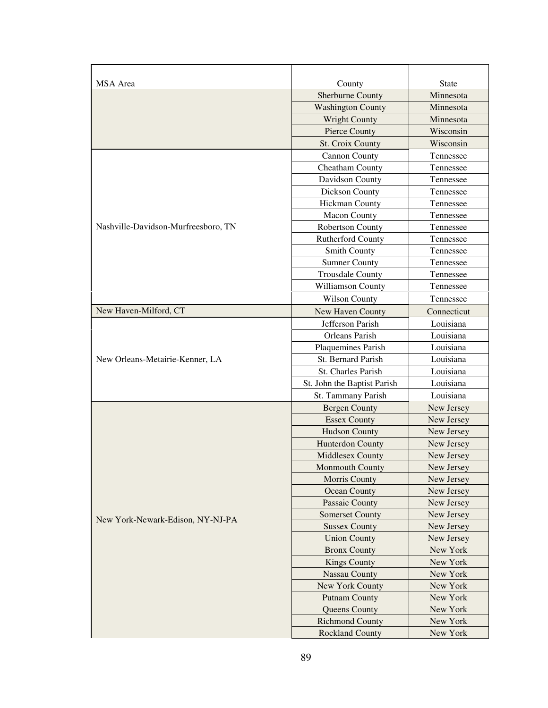| <b>MSA</b> Area                     | County                      | <b>State</b> |
|-------------------------------------|-----------------------------|--------------|
|                                     | Sherburne County            | Minnesota    |
|                                     | <b>Washington County</b>    | Minnesota    |
|                                     | <b>Wright County</b>        | Minnesota    |
|                                     | Pierce County               | Wisconsin    |
|                                     | St. Croix County            | Wisconsin    |
|                                     | <b>Cannon County</b>        | Tennessee    |
|                                     | Cheatham County             | Tennessee    |
|                                     | Davidson County             | Tennessee    |
|                                     | Dickson County              | Tennessee    |
|                                     | Hickman County              | Tennessee    |
|                                     | <b>Macon County</b>         | Tennessee    |
| Nashville-Davidson-Murfreesboro, TN | Robertson County            | Tennessee    |
|                                     | Rutherford County           | Tennessee    |
|                                     | Smith County                | Tennessee    |
|                                     | <b>Sumner County</b>        | Tennessee    |
|                                     | <b>Trousdale County</b>     | Tennessee    |
|                                     | Williamson County           | Tennessee    |
|                                     | Wilson County               | Tennessee    |
| New Haven-Milford, CT               | New Haven County            | Connecticut  |
|                                     | Jefferson Parish            | Louisiana    |
|                                     | Orleans Parish              | Louisiana    |
|                                     | Plaquemines Parish          | Louisiana    |
| New Orleans-Metairie-Kenner, LA     | St. Bernard Parish          | Louisiana    |
|                                     | St. Charles Parish          | Louisiana    |
|                                     | St. John the Baptist Parish | Louisiana    |
|                                     | St. Tammany Parish          | Louisiana    |
|                                     | <b>Bergen County</b>        | New Jersey   |
|                                     | <b>Essex County</b>         | New Jersey   |
|                                     | <b>Hudson County</b>        | New Jersey   |
|                                     | Hunterdon County            | New Jersey   |
|                                     | Middlesex County            | New Jersey   |
|                                     | Monmouth County             | New Jersey   |
|                                     | Morris County               | New Jersey   |
|                                     | Ocean County                | New Jersey   |
|                                     | Passaic County              | New Jersey   |
|                                     | <b>Somerset County</b>      | New Jersey   |
| New York-Newark-Edison, NY-NJ-PA    | <b>Sussex County</b>        | New Jersey   |
|                                     | <b>Union County</b>         | New Jersey   |
|                                     | <b>Bronx County</b>         | New York     |
|                                     | <b>Kings County</b>         | New York     |
|                                     | Nassau County               | New York     |
|                                     | New York County             | New York     |
|                                     | <b>Putnam County</b>        | New York     |
|                                     | Queens County               | New York     |
|                                     | <b>Richmond County</b>      | New York     |
|                                     | <b>Rockland County</b>      | New York     |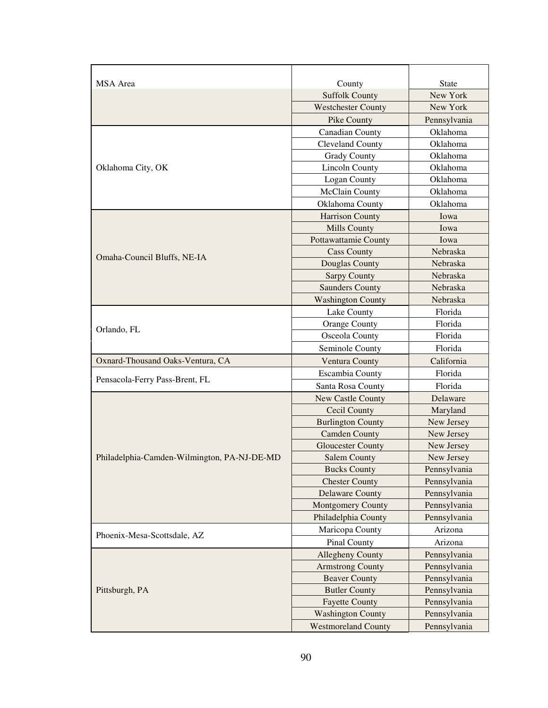| <b>MSA</b> Area                             | County                      | <b>State</b> |
|---------------------------------------------|-----------------------------|--------------|
|                                             | <b>Suffolk County</b>       | New York     |
|                                             | <b>Westchester County</b>   | New York     |
|                                             | Pike County                 | Pennsylvania |
|                                             | <b>Canadian County</b>      | Oklahoma     |
|                                             | <b>Cleveland County</b>     | Oklahoma     |
|                                             | <b>Grady County</b>         | Oklahoma     |
| Oklahoma City, OK                           | <b>Lincoln County</b>       | Oklahoma     |
|                                             | Logan County                | Oklahoma     |
|                                             | McClain County              | Oklahoma     |
|                                             | Oklahoma County             | Oklahoma     |
|                                             | <b>Harrison County</b>      | Iowa         |
|                                             | <b>Mills County</b>         | Iowa         |
|                                             | <b>Pottawattamie County</b> | Iowa         |
| Omaha-Council Bluffs, NE-IA                 | <b>Cass County</b>          | Nebraska     |
|                                             | Douglas County              | Nebraska     |
|                                             | <b>Sarpy County</b>         | Nebraska     |
|                                             | <b>Saunders County</b>      | Nebraska     |
|                                             | <b>Washington County</b>    | Nebraska     |
|                                             | Lake County                 | Florida      |
| Orlando, FL                                 | <b>Orange County</b>        | Florida      |
|                                             | Osceola County              | Florida      |
|                                             | Seminole County             | Florida      |
| Oxnard-Thousand Oaks-Ventura, CA            | Ventura County              | California   |
| Pensacola-Ferry Pass-Brent, FL              | Escambia County             | Florida      |
|                                             | Santa Rosa County           | Florida      |
|                                             | New Castle County           | Delaware     |
|                                             | Cecil County                | Maryland     |
|                                             | <b>Burlington County</b>    | New Jersey   |
|                                             | <b>Camden County</b>        | New Jersey   |
|                                             | <b>Gloucester County</b>    | New Jersey   |
| Philadelphia-Camden-Wilmington, PA-NJ-DE-MD | <b>Salem County</b>         | New Jersey   |
|                                             | <b>Bucks County</b>         | Pennsylvania |
|                                             | <b>Chester County</b>       | Pennsylvania |
|                                             | <b>Delaware County</b>      | Pennsylvania |
|                                             | <b>Montgomery County</b>    | Pennsylvania |
|                                             | Philadelphia County         | Pennsylvania |
| Phoenix-Mesa-Scottsdale, AZ                 | Maricopa County             | Arizona      |
|                                             | Pinal County                | Arizona      |
|                                             | <b>Allegheny County</b>     | Pennsylvania |
|                                             | <b>Armstrong County</b>     | Pennsylvania |
|                                             | <b>Beaver County</b>        | Pennsylvania |
| Pittsburgh, PA                              | <b>Butler County</b>        | Pennsylvania |
|                                             | <b>Fayette County</b>       | Pennsylvania |
|                                             | <b>Washington County</b>    | Pennsylvania |
|                                             | <b>Westmoreland County</b>  | Pennsylvania |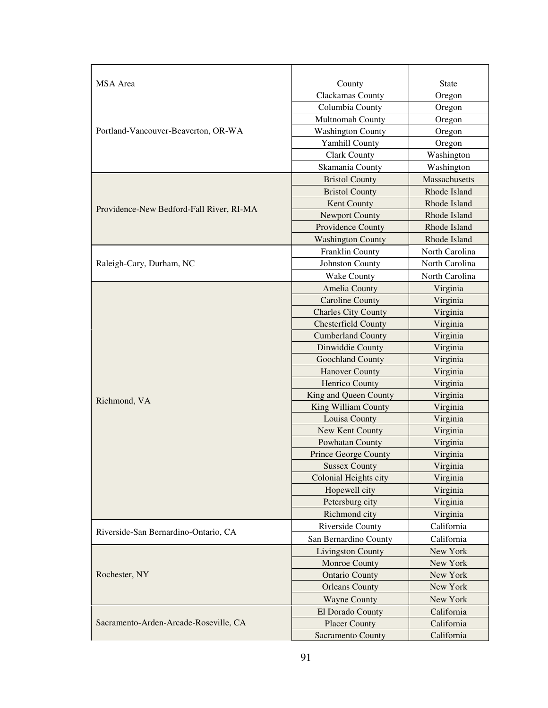| MSA Area                                 | County                      | State          |
|------------------------------------------|-----------------------------|----------------|
|                                          | Clackamas County            | Oregon         |
|                                          | Columbia County             | Oregon         |
|                                          | Multnomah County            | Oregon         |
| Portland-Vancouver-Beaverton, OR-WA      | <b>Washington County</b>    | Oregon         |
|                                          | <b>Yamhill County</b>       | Oregon         |
|                                          | <b>Clark County</b>         | Washington     |
|                                          | Skamania County             | Washington     |
|                                          | <b>Bristol County</b>       | Massachusetts  |
|                                          | <b>Bristol County</b>       | Rhode Island   |
|                                          | <b>Kent County</b>          | Rhode Island   |
| Providence-New Bedford-Fall River, RI-MA | <b>Newport County</b>       | Rhode Island   |
|                                          | Providence County           | Rhode Island   |
|                                          | <b>Washington County</b>    | Rhode Island   |
|                                          | Franklin County             | North Carolina |
| Raleigh-Cary, Durham, NC                 | <b>Johnston County</b>      | North Carolina |
|                                          | Wake County                 | North Carolina |
|                                          | <b>Amelia County</b>        | Virginia       |
|                                          | <b>Caroline County</b>      | Virginia       |
|                                          | <b>Charles City County</b>  | Virginia       |
|                                          | <b>Chesterfield County</b>  | Virginia       |
|                                          | <b>Cumberland County</b>    | Virginia       |
|                                          | Dinwiddie County            | Virginia       |
|                                          | Goochland County            | Virginia       |
|                                          | <b>Hanover County</b>       | Virginia       |
|                                          | Henrico County              | Virginia       |
|                                          | King and Queen County       | Virginia       |
| Richmond, VA                             | King William County         | Virginia       |
|                                          | Louisa County               | Virginia       |
|                                          | New Kent County             | Virginia       |
|                                          | Powhatan County             | Virginia       |
|                                          | <b>Prince George County</b> | Virginia       |
|                                          | <b>Sussex County</b>        | Virginia       |
|                                          | Colonial Heights city       | Virginia       |
|                                          | Hopewell city               | Virginia       |
|                                          | Petersburg city             | Virginia       |
|                                          | Richmond city               | Virginia       |
|                                          | Riverside County            | California     |
| Riverside-San Bernardino-Ontario, CA     | San Bernardino County       | California     |
|                                          | <b>Livingston County</b>    | New York       |
| Rochester, NY                            | Monroe County               | New York       |
|                                          | <b>Ontario County</b>       | New York       |
|                                          | <b>Orleans County</b>       | New York       |
|                                          | <b>Wayne County</b>         | New York       |
|                                          | El Dorado County            | California     |
| Sacramento-Arden-Arcade-Roseville, CA    | <b>Placer County</b>        | California     |
|                                          | Sacramento County           | California     |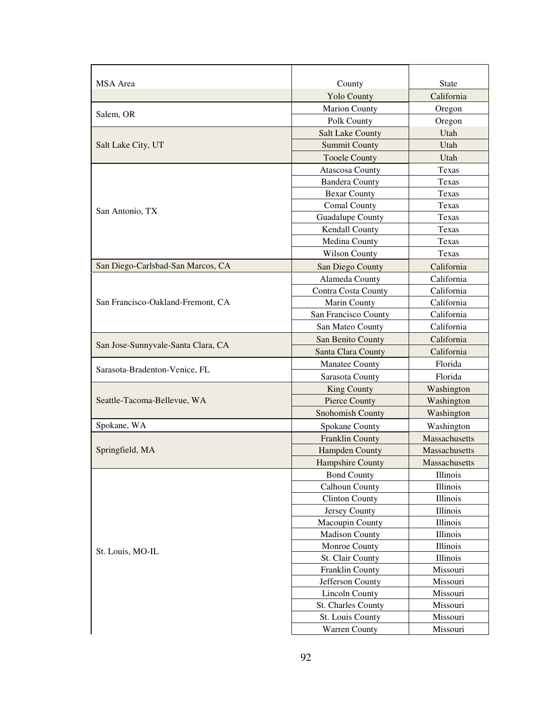| California<br><b>Yolo County</b><br><b>Marion County</b><br>Oregon<br>Salem, OR<br>Polk County<br>Oregon<br><b>Salt Lake County</b><br>Utah<br>Utah<br>Salt Lake City, UT<br><b>Summit County</b><br><b>Tooele County</b><br>Utah<br><b>Atascosa County</b><br>Texas<br><b>Bandera County</b><br>Texas<br><b>Bexar County</b><br>Texas<br>Comal County<br>Texas<br>San Antonio, TX<br>Guadalupe County<br>Texas<br>Kendall County<br>Texas<br>Medina County<br>Texas<br><b>Wilson County</b><br>Texas<br>San Diego-Carlsbad-San Marcos, CA<br>San Diego County<br>California<br>Alameda County<br>California<br>Contra Costa County<br>California<br>California<br>San Francisco-Oakland-Fremont, CA<br>Marin County<br>California<br>San Francisco County<br>California<br>San Mateo County<br>California<br>San Benito County<br>San Jose-Sunnyvale-Santa Clara, CA<br>California<br>Santa Clara County<br>Manatee County<br>Florida<br>Sarasota-Bradenton-Venice, FL<br>Florida<br>Sarasota County<br><b>King County</b><br>Washington<br>Seattle-Tacoma-Bellevue, WA<br>Pierce County<br>Washington<br>Snohomish County<br>Washington<br>Spokane, WA<br>Spokane County<br>Washington<br>Massachusetts<br><b>Franklin County</b><br>Springfield, MA<br>Massachusetts<br>Hampden County<br>Hampshire County<br>Massachusetts<br><b>Bond County</b><br>Illinois<br>Illinois<br>Calhoun County<br><b>Clinton County</b><br>Illinois<br>Illinois<br>Jersey County<br>Illinois<br>Macoupin County<br><b>Madison County</b><br>Illinois<br>Illinois<br>Monroe County<br>St. Louis, MO-IL<br>St. Clair County<br>Illinois<br>Franklin County<br>Missouri<br>Jefferson County<br>Missouri<br><b>Lincoln County</b><br>Missouri<br>St. Charles County<br>Missouri<br>St. Louis County<br>Missouri | <b>MSA</b> Area | County        | <b>State</b> |
|---------------------------------------------------------------------------------------------------------------------------------------------------------------------------------------------------------------------------------------------------------------------------------------------------------------------------------------------------------------------------------------------------------------------------------------------------------------------------------------------------------------------------------------------------------------------------------------------------------------------------------------------------------------------------------------------------------------------------------------------------------------------------------------------------------------------------------------------------------------------------------------------------------------------------------------------------------------------------------------------------------------------------------------------------------------------------------------------------------------------------------------------------------------------------------------------------------------------------------------------------------------------------------------------------------------------------------------------------------------------------------------------------------------------------------------------------------------------------------------------------------------------------------------------------------------------------------------------------------------------------------------------------------------------------------------------------------------------------------------------------------------------------------------------|-----------------|---------------|--------------|
|                                                                                                                                                                                                                                                                                                                                                                                                                                                                                                                                                                                                                                                                                                                                                                                                                                                                                                                                                                                                                                                                                                                                                                                                                                                                                                                                                                                                                                                                                                                                                                                                                                                                                                                                                                                             |                 |               |              |
|                                                                                                                                                                                                                                                                                                                                                                                                                                                                                                                                                                                                                                                                                                                                                                                                                                                                                                                                                                                                                                                                                                                                                                                                                                                                                                                                                                                                                                                                                                                                                                                                                                                                                                                                                                                             |                 |               |              |
|                                                                                                                                                                                                                                                                                                                                                                                                                                                                                                                                                                                                                                                                                                                                                                                                                                                                                                                                                                                                                                                                                                                                                                                                                                                                                                                                                                                                                                                                                                                                                                                                                                                                                                                                                                                             |                 |               |              |
|                                                                                                                                                                                                                                                                                                                                                                                                                                                                                                                                                                                                                                                                                                                                                                                                                                                                                                                                                                                                                                                                                                                                                                                                                                                                                                                                                                                                                                                                                                                                                                                                                                                                                                                                                                                             |                 |               |              |
|                                                                                                                                                                                                                                                                                                                                                                                                                                                                                                                                                                                                                                                                                                                                                                                                                                                                                                                                                                                                                                                                                                                                                                                                                                                                                                                                                                                                                                                                                                                                                                                                                                                                                                                                                                                             |                 |               |              |
|                                                                                                                                                                                                                                                                                                                                                                                                                                                                                                                                                                                                                                                                                                                                                                                                                                                                                                                                                                                                                                                                                                                                                                                                                                                                                                                                                                                                                                                                                                                                                                                                                                                                                                                                                                                             |                 |               |              |
|                                                                                                                                                                                                                                                                                                                                                                                                                                                                                                                                                                                                                                                                                                                                                                                                                                                                                                                                                                                                                                                                                                                                                                                                                                                                                                                                                                                                                                                                                                                                                                                                                                                                                                                                                                                             |                 |               |              |
|                                                                                                                                                                                                                                                                                                                                                                                                                                                                                                                                                                                                                                                                                                                                                                                                                                                                                                                                                                                                                                                                                                                                                                                                                                                                                                                                                                                                                                                                                                                                                                                                                                                                                                                                                                                             |                 |               |              |
|                                                                                                                                                                                                                                                                                                                                                                                                                                                                                                                                                                                                                                                                                                                                                                                                                                                                                                                                                                                                                                                                                                                                                                                                                                                                                                                                                                                                                                                                                                                                                                                                                                                                                                                                                                                             |                 |               |              |
|                                                                                                                                                                                                                                                                                                                                                                                                                                                                                                                                                                                                                                                                                                                                                                                                                                                                                                                                                                                                                                                                                                                                                                                                                                                                                                                                                                                                                                                                                                                                                                                                                                                                                                                                                                                             |                 |               |              |
|                                                                                                                                                                                                                                                                                                                                                                                                                                                                                                                                                                                                                                                                                                                                                                                                                                                                                                                                                                                                                                                                                                                                                                                                                                                                                                                                                                                                                                                                                                                                                                                                                                                                                                                                                                                             |                 |               |              |
|                                                                                                                                                                                                                                                                                                                                                                                                                                                                                                                                                                                                                                                                                                                                                                                                                                                                                                                                                                                                                                                                                                                                                                                                                                                                                                                                                                                                                                                                                                                                                                                                                                                                                                                                                                                             |                 |               |              |
|                                                                                                                                                                                                                                                                                                                                                                                                                                                                                                                                                                                                                                                                                                                                                                                                                                                                                                                                                                                                                                                                                                                                                                                                                                                                                                                                                                                                                                                                                                                                                                                                                                                                                                                                                                                             |                 |               |              |
|                                                                                                                                                                                                                                                                                                                                                                                                                                                                                                                                                                                                                                                                                                                                                                                                                                                                                                                                                                                                                                                                                                                                                                                                                                                                                                                                                                                                                                                                                                                                                                                                                                                                                                                                                                                             |                 |               |              |
|                                                                                                                                                                                                                                                                                                                                                                                                                                                                                                                                                                                                                                                                                                                                                                                                                                                                                                                                                                                                                                                                                                                                                                                                                                                                                                                                                                                                                                                                                                                                                                                                                                                                                                                                                                                             |                 |               |              |
|                                                                                                                                                                                                                                                                                                                                                                                                                                                                                                                                                                                                                                                                                                                                                                                                                                                                                                                                                                                                                                                                                                                                                                                                                                                                                                                                                                                                                                                                                                                                                                                                                                                                                                                                                                                             |                 |               |              |
|                                                                                                                                                                                                                                                                                                                                                                                                                                                                                                                                                                                                                                                                                                                                                                                                                                                                                                                                                                                                                                                                                                                                                                                                                                                                                                                                                                                                                                                                                                                                                                                                                                                                                                                                                                                             |                 |               |              |
|                                                                                                                                                                                                                                                                                                                                                                                                                                                                                                                                                                                                                                                                                                                                                                                                                                                                                                                                                                                                                                                                                                                                                                                                                                                                                                                                                                                                                                                                                                                                                                                                                                                                                                                                                                                             |                 |               |              |
|                                                                                                                                                                                                                                                                                                                                                                                                                                                                                                                                                                                                                                                                                                                                                                                                                                                                                                                                                                                                                                                                                                                                                                                                                                                                                                                                                                                                                                                                                                                                                                                                                                                                                                                                                                                             |                 |               |              |
|                                                                                                                                                                                                                                                                                                                                                                                                                                                                                                                                                                                                                                                                                                                                                                                                                                                                                                                                                                                                                                                                                                                                                                                                                                                                                                                                                                                                                                                                                                                                                                                                                                                                                                                                                                                             |                 |               |              |
|                                                                                                                                                                                                                                                                                                                                                                                                                                                                                                                                                                                                                                                                                                                                                                                                                                                                                                                                                                                                                                                                                                                                                                                                                                                                                                                                                                                                                                                                                                                                                                                                                                                                                                                                                                                             |                 |               |              |
|                                                                                                                                                                                                                                                                                                                                                                                                                                                                                                                                                                                                                                                                                                                                                                                                                                                                                                                                                                                                                                                                                                                                                                                                                                                                                                                                                                                                                                                                                                                                                                                                                                                                                                                                                                                             |                 |               |              |
|                                                                                                                                                                                                                                                                                                                                                                                                                                                                                                                                                                                                                                                                                                                                                                                                                                                                                                                                                                                                                                                                                                                                                                                                                                                                                                                                                                                                                                                                                                                                                                                                                                                                                                                                                                                             |                 |               |              |
|                                                                                                                                                                                                                                                                                                                                                                                                                                                                                                                                                                                                                                                                                                                                                                                                                                                                                                                                                                                                                                                                                                                                                                                                                                                                                                                                                                                                                                                                                                                                                                                                                                                                                                                                                                                             |                 |               |              |
|                                                                                                                                                                                                                                                                                                                                                                                                                                                                                                                                                                                                                                                                                                                                                                                                                                                                                                                                                                                                                                                                                                                                                                                                                                                                                                                                                                                                                                                                                                                                                                                                                                                                                                                                                                                             |                 |               |              |
|                                                                                                                                                                                                                                                                                                                                                                                                                                                                                                                                                                                                                                                                                                                                                                                                                                                                                                                                                                                                                                                                                                                                                                                                                                                                                                                                                                                                                                                                                                                                                                                                                                                                                                                                                                                             |                 |               |              |
|                                                                                                                                                                                                                                                                                                                                                                                                                                                                                                                                                                                                                                                                                                                                                                                                                                                                                                                                                                                                                                                                                                                                                                                                                                                                                                                                                                                                                                                                                                                                                                                                                                                                                                                                                                                             |                 |               |              |
|                                                                                                                                                                                                                                                                                                                                                                                                                                                                                                                                                                                                                                                                                                                                                                                                                                                                                                                                                                                                                                                                                                                                                                                                                                                                                                                                                                                                                                                                                                                                                                                                                                                                                                                                                                                             |                 |               |              |
|                                                                                                                                                                                                                                                                                                                                                                                                                                                                                                                                                                                                                                                                                                                                                                                                                                                                                                                                                                                                                                                                                                                                                                                                                                                                                                                                                                                                                                                                                                                                                                                                                                                                                                                                                                                             |                 |               |              |
|                                                                                                                                                                                                                                                                                                                                                                                                                                                                                                                                                                                                                                                                                                                                                                                                                                                                                                                                                                                                                                                                                                                                                                                                                                                                                                                                                                                                                                                                                                                                                                                                                                                                                                                                                                                             |                 |               |              |
|                                                                                                                                                                                                                                                                                                                                                                                                                                                                                                                                                                                                                                                                                                                                                                                                                                                                                                                                                                                                                                                                                                                                                                                                                                                                                                                                                                                                                                                                                                                                                                                                                                                                                                                                                                                             |                 |               |              |
|                                                                                                                                                                                                                                                                                                                                                                                                                                                                                                                                                                                                                                                                                                                                                                                                                                                                                                                                                                                                                                                                                                                                                                                                                                                                                                                                                                                                                                                                                                                                                                                                                                                                                                                                                                                             |                 |               |              |
|                                                                                                                                                                                                                                                                                                                                                                                                                                                                                                                                                                                                                                                                                                                                                                                                                                                                                                                                                                                                                                                                                                                                                                                                                                                                                                                                                                                                                                                                                                                                                                                                                                                                                                                                                                                             |                 |               |              |
|                                                                                                                                                                                                                                                                                                                                                                                                                                                                                                                                                                                                                                                                                                                                                                                                                                                                                                                                                                                                                                                                                                                                                                                                                                                                                                                                                                                                                                                                                                                                                                                                                                                                                                                                                                                             |                 |               |              |
|                                                                                                                                                                                                                                                                                                                                                                                                                                                                                                                                                                                                                                                                                                                                                                                                                                                                                                                                                                                                                                                                                                                                                                                                                                                                                                                                                                                                                                                                                                                                                                                                                                                                                                                                                                                             |                 |               |              |
|                                                                                                                                                                                                                                                                                                                                                                                                                                                                                                                                                                                                                                                                                                                                                                                                                                                                                                                                                                                                                                                                                                                                                                                                                                                                                                                                                                                                                                                                                                                                                                                                                                                                                                                                                                                             |                 |               |              |
|                                                                                                                                                                                                                                                                                                                                                                                                                                                                                                                                                                                                                                                                                                                                                                                                                                                                                                                                                                                                                                                                                                                                                                                                                                                                                                                                                                                                                                                                                                                                                                                                                                                                                                                                                                                             |                 |               |              |
|                                                                                                                                                                                                                                                                                                                                                                                                                                                                                                                                                                                                                                                                                                                                                                                                                                                                                                                                                                                                                                                                                                                                                                                                                                                                                                                                                                                                                                                                                                                                                                                                                                                                                                                                                                                             |                 |               |              |
|                                                                                                                                                                                                                                                                                                                                                                                                                                                                                                                                                                                                                                                                                                                                                                                                                                                                                                                                                                                                                                                                                                                                                                                                                                                                                                                                                                                                                                                                                                                                                                                                                                                                                                                                                                                             |                 |               |              |
|                                                                                                                                                                                                                                                                                                                                                                                                                                                                                                                                                                                                                                                                                                                                                                                                                                                                                                                                                                                                                                                                                                                                                                                                                                                                                                                                                                                                                                                                                                                                                                                                                                                                                                                                                                                             |                 |               |              |
|                                                                                                                                                                                                                                                                                                                                                                                                                                                                                                                                                                                                                                                                                                                                                                                                                                                                                                                                                                                                                                                                                                                                                                                                                                                                                                                                                                                                                                                                                                                                                                                                                                                                                                                                                                                             |                 |               |              |
|                                                                                                                                                                                                                                                                                                                                                                                                                                                                                                                                                                                                                                                                                                                                                                                                                                                                                                                                                                                                                                                                                                                                                                                                                                                                                                                                                                                                                                                                                                                                                                                                                                                                                                                                                                                             |                 |               |              |
|                                                                                                                                                                                                                                                                                                                                                                                                                                                                                                                                                                                                                                                                                                                                                                                                                                                                                                                                                                                                                                                                                                                                                                                                                                                                                                                                                                                                                                                                                                                                                                                                                                                                                                                                                                                             |                 |               |              |
|                                                                                                                                                                                                                                                                                                                                                                                                                                                                                                                                                                                                                                                                                                                                                                                                                                                                                                                                                                                                                                                                                                                                                                                                                                                                                                                                                                                                                                                                                                                                                                                                                                                                                                                                                                                             |                 |               |              |
|                                                                                                                                                                                                                                                                                                                                                                                                                                                                                                                                                                                                                                                                                                                                                                                                                                                                                                                                                                                                                                                                                                                                                                                                                                                                                                                                                                                                                                                                                                                                                                                                                                                                                                                                                                                             |                 | Warren County | Missouri     |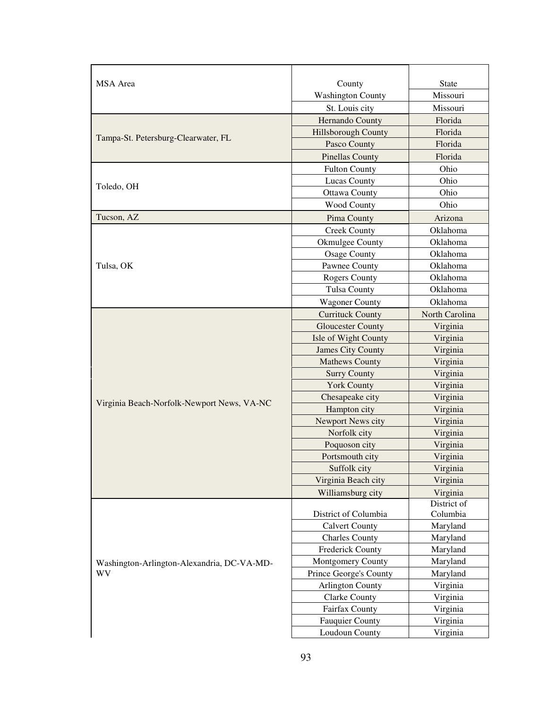| MSA Area                                   | County                     | <b>State</b>   |
|--------------------------------------------|----------------------------|----------------|
|                                            | <b>Washington County</b>   | Missouri       |
|                                            | St. Louis city             | Missouri       |
|                                            | Hernando County            | Florida        |
|                                            | <b>Hillsborough County</b> | Florida        |
| Tampa-St. Petersburg-Clearwater, FL        | Pasco County               | Florida        |
|                                            | <b>Pinellas County</b>     | Florida        |
|                                            | <b>Fulton County</b>       | Ohio           |
|                                            | Lucas County               | Ohio           |
| Toledo, OH                                 | Ottawa County              | Ohio           |
|                                            | Wood County                | Ohio           |
| Tucson, AZ                                 | Pima County                | Arizona        |
|                                            | <b>Creek County</b>        | Oklahoma       |
|                                            | Okmulgee County            | Oklahoma       |
|                                            | <b>Osage County</b>        | Oklahoma       |
| Tulsa, OK                                  | Pawnee County              | Oklahoma       |
|                                            | <b>Rogers County</b>       | Oklahoma       |
|                                            | <b>Tulsa County</b>        | Oklahoma       |
|                                            | <b>Wagoner County</b>      | Oklahoma       |
|                                            | <b>Currituck County</b>    | North Carolina |
|                                            | <b>Gloucester County</b>   | Virginia       |
|                                            | Isle of Wight County       | Virginia       |
|                                            | James City County          | Virginia       |
|                                            | <b>Mathews County</b>      | Virginia       |
|                                            | <b>Surry County</b>        | Virginia       |
|                                            | <b>York County</b>         | Virginia       |
|                                            | Chesapeake city            | Virginia       |
| Virginia Beach-Norfolk-Newport News, VA-NC | Hampton city               | Virginia       |
|                                            | Newport News city          | Virginia       |
|                                            | Norfolk city               | Virginia       |
|                                            | Poquoson city              | Virginia       |
|                                            | Portsmouth city            | Virginia       |
|                                            | Suffolk city               | Virginia       |
|                                            | Virginia Beach city        | Virginia       |
|                                            | Williamsburg city          | Virginia       |
|                                            |                            | District of    |
|                                            | District of Columbia       | Columbia       |
|                                            | <b>Calvert County</b>      | Maryland       |
|                                            | <b>Charles County</b>      | Maryland       |
|                                            | Frederick County           | Maryland       |
| Washington-Arlington-Alexandria, DC-VA-MD- | Montgomery County          | Maryland       |
| WV                                         | Prince George's County     | Maryland       |
|                                            | <b>Arlington County</b>    | Virginia       |
|                                            | Clarke County              | Virginia       |
|                                            | Fairfax County             | Virginia       |
|                                            | <b>Fauquier County</b>     | Virginia       |
|                                            | Loudoun County             | Virginia       |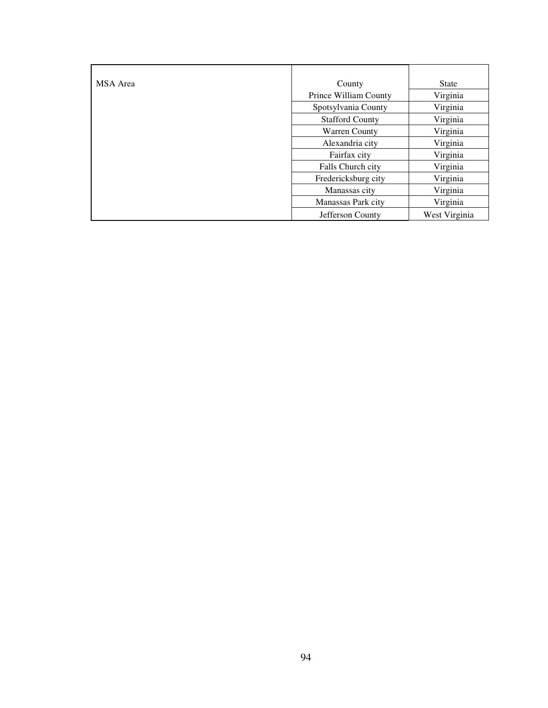| MSA Area | County                       | <b>State</b>  |
|----------|------------------------------|---------------|
|          | <b>Prince William County</b> | Virginia      |
|          | Spotsylvania County          | Virginia      |
|          | <b>Stafford County</b>       | Virginia      |
|          | <b>Warren County</b>         | Virginia      |
|          | Alexandria city              | Virginia      |
|          | Fairfax city                 | Virginia      |
|          | Falls Church city            | Virginia      |
|          | Fredericksburg city          | Virginia      |
|          | Manassas city                | Virginia      |
|          | Manassas Park city           | Virginia      |
|          | Jefferson County             | West Virginia |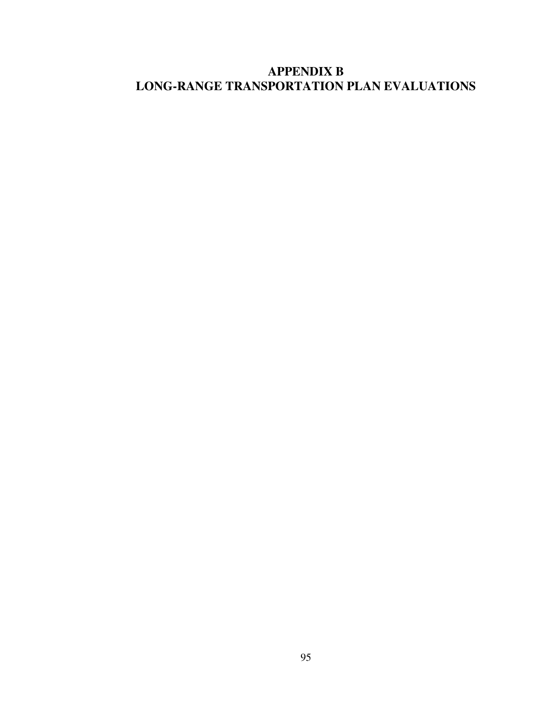# **APPENDIX B LONG-RANGE TRANSPORTATION PLAN EVALUATIONS**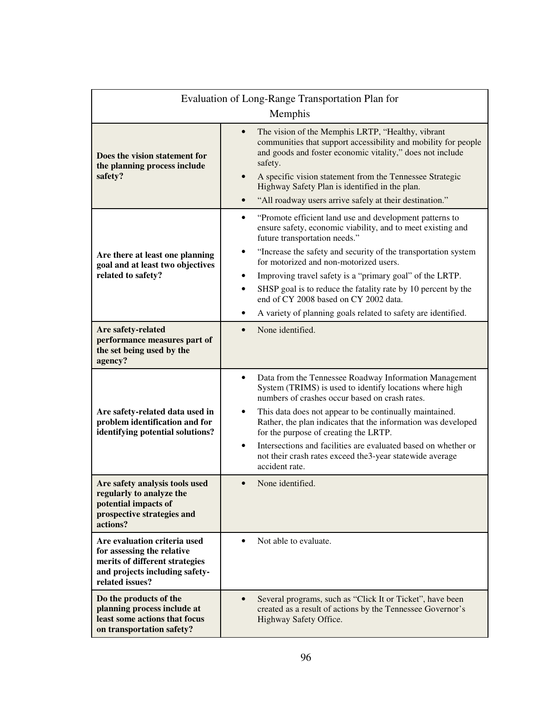| Evaluation of Long-Range Transportation Plan for                                                                                                  |                                                                                                                                                                                                                                                                                                                                                                                                                                                                                                                                                     |
|---------------------------------------------------------------------------------------------------------------------------------------------------|-----------------------------------------------------------------------------------------------------------------------------------------------------------------------------------------------------------------------------------------------------------------------------------------------------------------------------------------------------------------------------------------------------------------------------------------------------------------------------------------------------------------------------------------------------|
| Memphis                                                                                                                                           |                                                                                                                                                                                                                                                                                                                                                                                                                                                                                                                                                     |
| Does the vision statement for<br>the planning process include<br>safety?                                                                          | The vision of the Memphis LRTP, "Healthy, vibrant<br>$\bullet$<br>communities that support accessibility and mobility for people<br>and goods and foster economic vitality," does not include<br>safety.<br>A specific vision statement from the Tennessee Strategic<br>$\bullet$<br>Highway Safety Plan is identified in the plan.<br>"All roadway users arrive safely at their destination."<br>$\bullet$                                                                                                                                         |
| Are there at least one planning<br>goal and at least two objectives<br>related to safety?                                                         | "Promote efficient land use and development patterns to<br>٠<br>ensure safety, economic viability, and to meet existing and<br>future transportation needs."<br>"Increase the safety and security of the transportation system<br>٠<br>for motorized and non-motorized users.<br>Improving travel safety is a "primary goal" of the LRTP.<br>٠<br>SHSP goal is to reduce the fatality rate by 10 percent by the<br>$\bullet$<br>end of CY 2008 based on CY 2002 data.<br>A variety of planning goals related to safety are identified.<br>$\bullet$ |
| Are safety-related<br>performance measures part of<br>the set being used by the<br>agency?                                                        | None identified.<br>$\bullet$                                                                                                                                                                                                                                                                                                                                                                                                                                                                                                                       |
| Are safety-related data used in<br>problem identification and for<br>identifying potential solutions?                                             | Data from the Tennessee Roadway Information Management<br>$\bullet$<br>System (TRIMS) is used to identify locations where high<br>numbers of crashes occur based on crash rates.<br>This data does not appear to be continually maintained.<br>٠<br>Rather, the plan indicates that the information was developed<br>for the purpose of creating the LRTP.<br>Intersections and facilities are evaluated based on whether or<br>$\bullet$<br>not their crash rates exceed the 3-year statewide average<br>accident rate.                            |
| Are safety analysis tools used<br>regularly to analyze the<br>potential impacts of<br>prospective strategies and<br>actions?                      | None identified.<br>$\bullet$                                                                                                                                                                                                                                                                                                                                                                                                                                                                                                                       |
| Are evaluation criteria used<br>for assessing the relative<br>merits of different strategies<br>and projects including safety-<br>related issues? | Not able to evaluate.<br>$\bullet$                                                                                                                                                                                                                                                                                                                                                                                                                                                                                                                  |
| Do the products of the<br>planning process include at<br>least some actions that focus<br>on transportation safety?                               | Several programs, such as "Click It or Ticket", have been<br>$\bullet$<br>created as a result of actions by the Tennessee Governor's<br>Highway Safety Office.                                                                                                                                                                                                                                                                                                                                                                                      |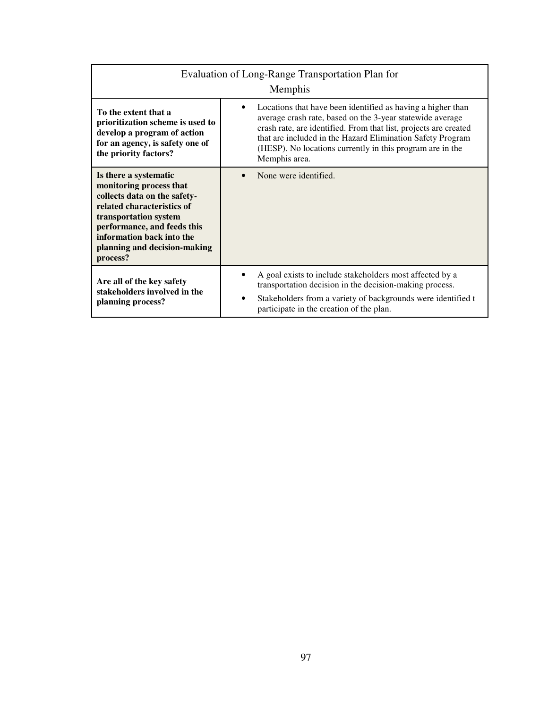| Evaluation of Long-Range Transportation Plan for<br>Memphis                                                                                                                                                                                     |                                                                                                                                                                                                                                                                                                                                               |
|-------------------------------------------------------------------------------------------------------------------------------------------------------------------------------------------------------------------------------------------------|-----------------------------------------------------------------------------------------------------------------------------------------------------------------------------------------------------------------------------------------------------------------------------------------------------------------------------------------------|
| To the extent that a<br>prioritization scheme is used to<br>develop a program of action<br>for an agency, is safety one of<br>the priority factors?                                                                                             | Locations that have been identified as having a higher than<br>٠<br>average crash rate, based on the 3-year statewide average<br>crash rate, are identified. From that list, projects are created<br>that are included in the Hazard Elimination Safety Program<br>(HESP). No locations currently in this program are in the<br>Memphis area. |
| Is there a systematic<br>monitoring process that<br>collects data on the safety-<br>related characteristics of<br>transportation system<br>performance, and feeds this<br>information back into the<br>planning and decision-making<br>process? | None were identified.                                                                                                                                                                                                                                                                                                                         |
| Are all of the key safety<br>stakeholders involved in the<br>planning process?                                                                                                                                                                  | A goal exists to include stakeholders most affected by a<br>transportation decision in the decision-making process.<br>Stakeholders from a variety of backgrounds were identified t<br>$\bullet$<br>participate in the creation of the plan.                                                                                                  |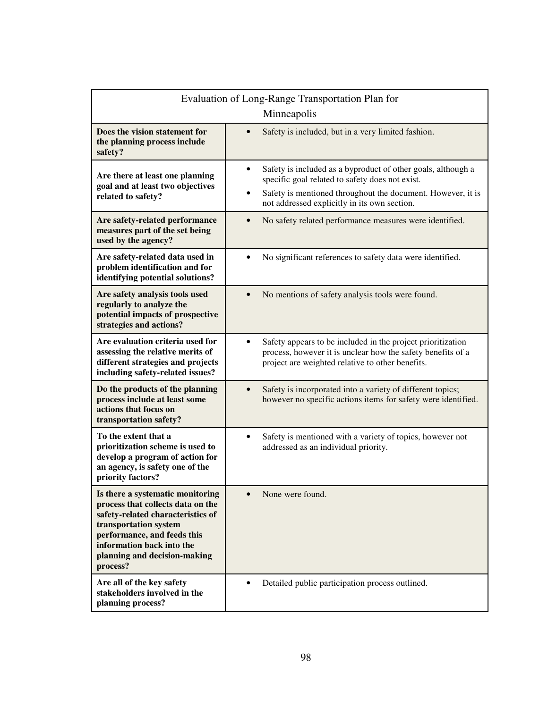| Evaluation of Long-Range Transportation Plan for<br>Minneapolis                                                                                                                                                                             |                                                                                                                                                                                                                                                          |
|---------------------------------------------------------------------------------------------------------------------------------------------------------------------------------------------------------------------------------------------|----------------------------------------------------------------------------------------------------------------------------------------------------------------------------------------------------------------------------------------------------------|
| Does the vision statement for<br>the planning process include<br>safety?                                                                                                                                                                    | Safety is included, but in a very limited fashion.                                                                                                                                                                                                       |
| Are there at least one planning<br>goal and at least two objectives<br>related to safety?                                                                                                                                                   | Safety is included as a byproduct of other goals, although a<br>$\bullet$<br>specific goal related to safety does not exist.<br>Safety is mentioned throughout the document. However, it is<br>$\bullet$<br>not addressed explicitly in its own section. |
| Are safety-related performance<br>measures part of the set being<br>used by the agency?                                                                                                                                                     | No safety related performance measures were identified.                                                                                                                                                                                                  |
| Are safety-related data used in<br>problem identification and for<br>identifying potential solutions?                                                                                                                                       | No significant references to safety data were identified.                                                                                                                                                                                                |
| Are safety analysis tools used<br>regularly to analyze the<br>potential impacts of prospective<br>strategies and actions?                                                                                                                   | No mentions of safety analysis tools were found.<br>$\bullet$                                                                                                                                                                                            |
| Are evaluation criteria used for<br>assessing the relative merits of<br>different strategies and projects<br>including safety-related issues?                                                                                               | Safety appears to be included in the project prioritization<br>$\bullet$<br>process, however it is unclear how the safety benefits of a<br>project are weighted relative to other benefits.                                                              |
| Do the products of the planning<br>process include at least some<br>actions that focus on<br>transportation safety?                                                                                                                         | Safety is incorporated into a variety of different topics;<br>however no specific actions items for safety were identified.                                                                                                                              |
| To the extent that a<br>prioritization scheme is used to<br>develop a program of action for<br>an agency, is safety one of the<br>priority factors?                                                                                         | Safety is mentioned with a variety of topics, however not<br>$\bullet$<br>addressed as an individual priority.                                                                                                                                           |
| Is there a systematic monitoring<br>process that collects data on the<br>safety-related characteristics of<br>transportation system<br>performance, and feeds this<br>information back into the<br>planning and decision-making<br>process? | None were found.                                                                                                                                                                                                                                         |
| Are all of the key safety<br>stakeholders involved in the<br>planning process?                                                                                                                                                              | Detailed public participation process outlined.<br>$\bullet$                                                                                                                                                                                             |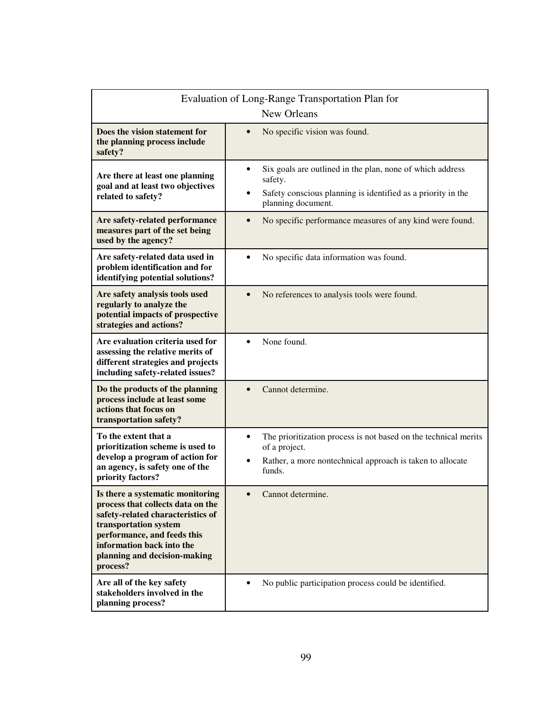| Evaluation of Long-Range Transportation Plan for<br>New Orleans                                                                                                                                                                             |                                                                                                                                                                              |
|---------------------------------------------------------------------------------------------------------------------------------------------------------------------------------------------------------------------------------------------|------------------------------------------------------------------------------------------------------------------------------------------------------------------------------|
| Does the vision statement for<br>the planning process include<br>safety?                                                                                                                                                                    | No specific vision was found.                                                                                                                                                |
| Are there at least one planning<br>goal and at least two objectives<br>related to safety?                                                                                                                                                   | Six goals are outlined in the plan, none of which address<br>$\bullet$<br>safety.<br>Safety conscious planning is identified as a priority in the<br>٠<br>planning document. |
| Are safety-related performance<br>measures part of the set being<br>used by the agency?                                                                                                                                                     | No specific performance measures of any kind were found.                                                                                                                     |
| Are safety-related data used in<br>problem identification and for<br>identifying potential solutions?                                                                                                                                       | No specific data information was found.                                                                                                                                      |
| Are safety analysis tools used<br>regularly to analyze the<br>potential impacts of prospective<br>strategies and actions?                                                                                                                   | No references to analysis tools were found.<br>$\bullet$                                                                                                                     |
| Are evaluation criteria used for<br>assessing the relative merits of<br>different strategies and projects<br>including safety-related issues?                                                                                               | None found.                                                                                                                                                                  |
| Do the products of the planning<br>process include at least some<br>actions that focus on<br>transportation safety?                                                                                                                         | Cannot determine.                                                                                                                                                            |
| To the extent that a<br>prioritization scheme is used to<br>develop a program of action for<br>an agency, is safety one of the<br>priority factors?                                                                                         | The prioritization process is not based on the technical merits<br>$\bullet$<br>of a project.<br>Rather, a more nontechnical approach is taken to allocate<br>٠<br>funds.    |
| Is there a systematic monitoring<br>process that collects data on the<br>safety-related characteristics of<br>transportation system<br>performance, and feeds this<br>information back into the<br>planning and decision-making<br>process? | Cannot determine.                                                                                                                                                            |
| Are all of the key safety<br>stakeholders involved in the<br>planning process?                                                                                                                                                              | No public participation process could be identified.<br>٠                                                                                                                    |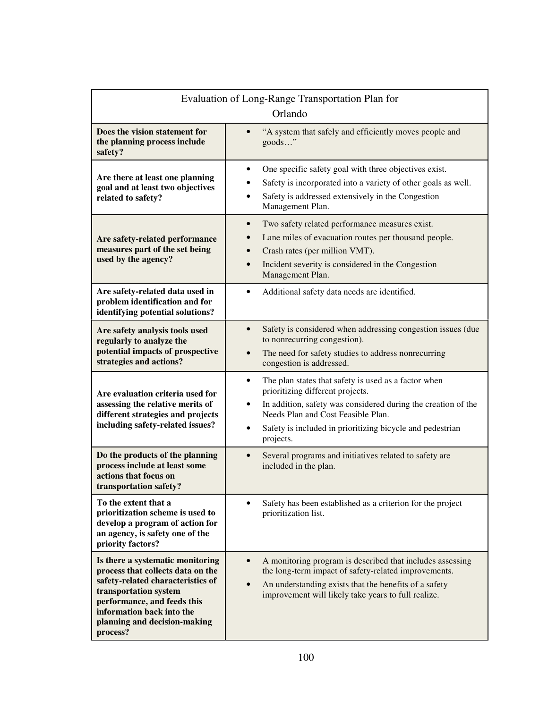| Evaluation of Long-Range Transportation Plan for<br>Orlando                                                                                                                                                                                 |                                                                                                                                                                                                                                                                                                                  |
|---------------------------------------------------------------------------------------------------------------------------------------------------------------------------------------------------------------------------------------------|------------------------------------------------------------------------------------------------------------------------------------------------------------------------------------------------------------------------------------------------------------------------------------------------------------------|
| Does the vision statement for<br>the planning process include<br>safety?                                                                                                                                                                    | "A system that safely and efficiently moves people and<br>goods"                                                                                                                                                                                                                                                 |
| Are there at least one planning<br>goal and at least two objectives<br>related to safety?                                                                                                                                                   | One specific safety goal with three objectives exist.<br>$\bullet$<br>Safety is incorporated into a variety of other goals as well.<br>Safety is addressed extensively in the Congestion<br>$\bullet$<br>Management Plan.                                                                                        |
| Are safety-related performance<br>measures part of the set being<br>used by the agency?                                                                                                                                                     | Two safety related performance measures exist.<br>$\bullet$<br>Lane miles of evacuation routes per thousand people.<br>$\bullet$<br>Crash rates (per million VMT).<br>Incident severity is considered in the Congestion<br>$\bullet$<br>Management Plan.                                                         |
| Are safety-related data used in<br>problem identification and for<br>identifying potential solutions?                                                                                                                                       | Additional safety data needs are identified.<br>$\bullet$                                                                                                                                                                                                                                                        |
| Are safety analysis tools used<br>regularly to analyze the<br>potential impacts of prospective<br>strategies and actions?                                                                                                                   | Safety is considered when addressing congestion issues (due<br>$\bullet$<br>to nonrecurring congestion).<br>The need for safety studies to address nonrecurring<br>congestion is addressed.                                                                                                                      |
| Are evaluation criteria used for<br>assessing the relative merits of<br>different strategies and projects<br>including safety-related issues?                                                                                               | The plan states that safety is used as a factor when<br>$\bullet$<br>prioritizing different projects.<br>In addition, safety was considered during the creation of the<br>$\bullet$<br>Needs Plan and Cost Feasible Plan.<br>Safety is included in prioritizing bicycle and pedestrian<br>$\bullet$<br>projects. |
| Do the products of the planning<br>process include at least some<br>actions that focus on<br>transportation safety?                                                                                                                         | Several programs and initiatives related to safety are<br>$\bullet$<br>included in the plan.                                                                                                                                                                                                                     |
| To the extent that a<br>prioritization scheme is used to<br>develop a program of action for<br>an agency, is safety one of the<br>priority factors?                                                                                         | Safety has been established as a criterion for the project<br>prioritization list.                                                                                                                                                                                                                               |
| Is there a systematic monitoring<br>process that collects data on the<br>safety-related characteristics of<br>transportation system<br>performance, and feeds this<br>information back into the<br>planning and decision-making<br>process? | A monitoring program is described that includes assessing<br>$\bullet$<br>the long-term impact of safety-related improvements.<br>An understanding exists that the benefits of a safety<br>$\bullet$<br>improvement will likely take years to full realize.                                                      |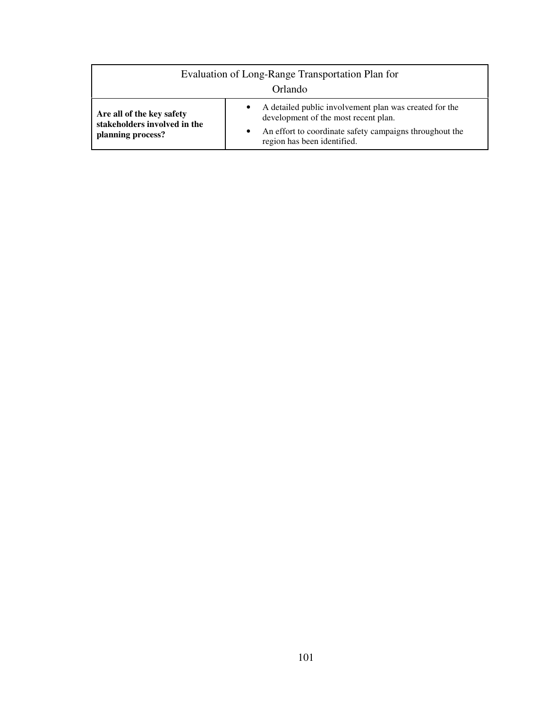| Evaluation of Long-Range Transportation Plan for<br>Orlando                    |                                                                                                                                                                                          |
|--------------------------------------------------------------------------------|------------------------------------------------------------------------------------------------------------------------------------------------------------------------------------------|
| Are all of the key safety<br>stakeholders involved in the<br>planning process? | A detailed public involvement plan was created for the<br>development of the most recent plan.<br>An effort to coordinate safety campaigns throughout the<br>region has been identified. |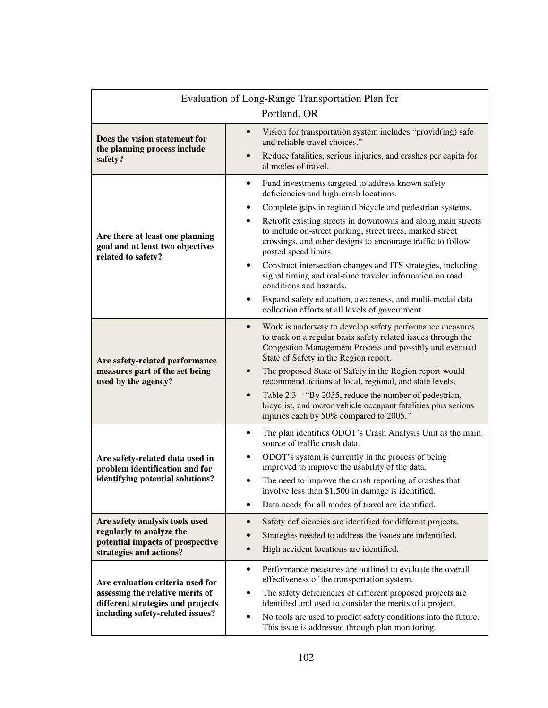| Evaluation of Long-Range Transportation Plan for                                                                                              |                                                                                                                                                                                                                                                                                                                                                                                                                                                                                                                                                                                                                                                                                         |
|-----------------------------------------------------------------------------------------------------------------------------------------------|-----------------------------------------------------------------------------------------------------------------------------------------------------------------------------------------------------------------------------------------------------------------------------------------------------------------------------------------------------------------------------------------------------------------------------------------------------------------------------------------------------------------------------------------------------------------------------------------------------------------------------------------------------------------------------------------|
| Portland, OR                                                                                                                                  |                                                                                                                                                                                                                                                                                                                                                                                                                                                                                                                                                                                                                                                                                         |
| Does the vision statement for<br>the planning process include<br>safety?                                                                      | Vision for transportation system includes "provid(ing) safe<br>and reliable travel choices."<br>Reduce fatalities, serious injuries, and crashes per capita for<br>$\bullet$<br>al modes of travel.                                                                                                                                                                                                                                                                                                                                                                                                                                                                                     |
| Are there at least one planning<br>goal and at least two objectives<br>related to safety?                                                     | Fund investments targeted to address known safety<br>$\bullet$<br>deficiencies and high-crash locations.<br>Complete gaps in regional bicycle and pedestrian systems.<br>٠<br>Retrofit existing streets in downtowns and along main streets<br>$\bullet$<br>to include on-street parking, street trees, marked street<br>crossings, and other designs to encourage traffic to follow<br>posted speed limits.<br>Construct intersection changes and ITS strategies, including<br>٠<br>signal timing and real-time traveler information on road<br>conditions and hazards.<br>Expand safety education, awareness, and multi-modal data<br>collection efforts at all levels of government. |
| Are safety-related performance<br>measures part of the set being<br>used by the agency?                                                       | Work is underway to develop safety performance measures<br>$\bullet$<br>to track on a regular basis safety related issues through the<br>Congestion Management Process and possibly and eventual<br>State of Safety in the Region report.<br>The proposed State of Safety in the Region report would<br>$\bullet$<br>recommend actions at local, regional, and state levels.<br>Table $2.3 -$ "By 2035, reduce the number of pedestrian,<br>$\bullet$<br>bicyclist, and motor vehicle occupant fatalities plus serious<br>injuries each by 50% compared to 2005."                                                                                                                       |
| Are safety-related data used in<br>problem identification and for<br>identifying potential solutions?                                         | The plan identifies ODOT's Crash Analysis Unit as the main<br>٠<br>source of traffic crash data.<br>ODOT's system is currently in the process of being<br>٠<br>improved to improve the usability of the data.<br>The need to improve the crash reporting of crashes that<br>involve less than \$1,500 in damage is identified.<br>Data needs for all modes of travel are identified.<br>$\bullet$                                                                                                                                                                                                                                                                                       |
| Are safety analysis tools used<br>regularly to analyze the<br>potential impacts of prospective<br>strategies and actions?                     | Safety deficiencies are identified for different projects.<br>$\bullet$<br>Strategies needed to address the issues are indentified.<br>High accident locations are identified.<br>$\bullet$                                                                                                                                                                                                                                                                                                                                                                                                                                                                                             |
| Are evaluation criteria used for<br>assessing the relative merits of<br>different strategies and projects<br>including safety-related issues? | Performance measures are outlined to evaluate the overall<br>$\bullet$<br>effectiveness of the transportation system.<br>The safety deficiencies of different proposed projects are<br>identified and used to consider the merits of a project.<br>No tools are used to predict safety conditions into the future.<br>$\bullet$<br>This issue is addressed through plan monitoring.                                                                                                                                                                                                                                                                                                     |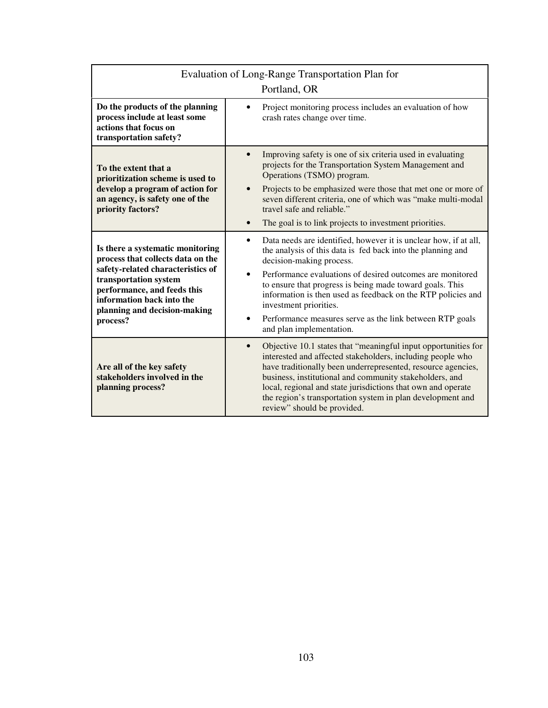| Evaluation of Long-Range Transportation Plan for                                                                                                                                                                                            |                                                                                                                                                                                                                                                                                                                                                                                                                                                                                                               |  |
|---------------------------------------------------------------------------------------------------------------------------------------------------------------------------------------------------------------------------------------------|---------------------------------------------------------------------------------------------------------------------------------------------------------------------------------------------------------------------------------------------------------------------------------------------------------------------------------------------------------------------------------------------------------------------------------------------------------------------------------------------------------------|--|
|                                                                                                                                                                                                                                             | Portland, OR                                                                                                                                                                                                                                                                                                                                                                                                                                                                                                  |  |
| Do the products of the planning<br>process include at least some<br>actions that focus on<br>transportation safety?                                                                                                                         | Project monitoring process includes an evaluation of how<br>crash rates change over time.                                                                                                                                                                                                                                                                                                                                                                                                                     |  |
| To the extent that a<br>prioritization scheme is used to<br>develop a program of action for<br>an agency, is safety one of the<br>priority factors?                                                                                         | Improving safety is one of six criteria used in evaluating<br>$\bullet$<br>projects for the Transportation System Management and<br>Operations (TSMO) program.<br>Projects to be emphasized were those that met one or more of<br>$\bullet$<br>seven different criteria, one of which was "make multi-modal<br>travel safe and reliable."<br>The goal is to link projects to investment priorities.<br>$\bullet$                                                                                              |  |
| Is there a systematic monitoring<br>process that collects data on the<br>safety-related characteristics of<br>transportation system<br>performance, and feeds this<br>information back into the<br>planning and decision-making<br>process? | Data needs are identified, however it is unclear how, if at all,<br>$\bullet$<br>the analysis of this data is fed back into the planning and<br>decision-making process.<br>Performance evaluations of desired outcomes are monitored<br>$\bullet$<br>to ensure that progress is being made toward goals. This<br>information is then used as feedback on the RTP policies and<br>investment priorities.<br>Performance measures serve as the link between RTP goals<br>$\bullet$<br>and plan implementation. |  |
| Are all of the key safety<br>stakeholders involved in the<br>planning process?                                                                                                                                                              | Objective 10.1 states that "meaningful input opportunities for<br>$\bullet$<br>interested and affected stakeholders, including people who<br>have traditionally been underrepresented, resource agencies,<br>business, institutional and community stakeholders, and<br>local, regional and state jurisdictions that own and operate<br>the region's transportation system in plan development and<br>review" should be provided.                                                                             |  |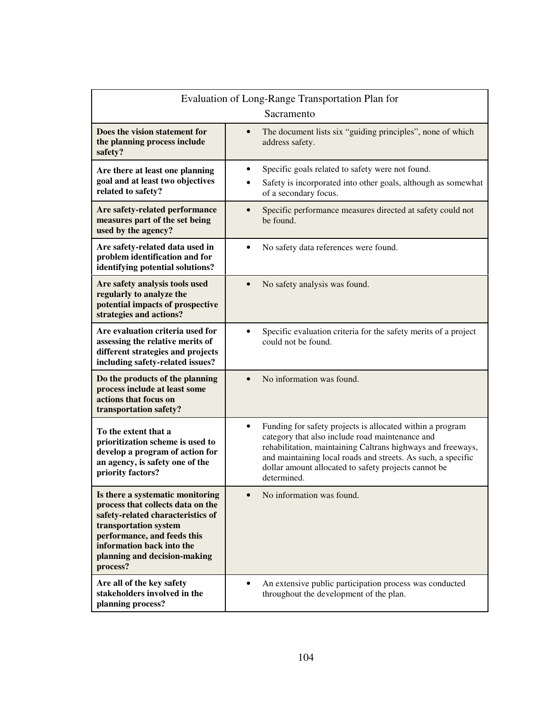| Evaluation of Long-Range Transportation Plan for<br>Sacramento                                                                                                                                                                              |                                                                                                                                                                                                                                                                                                                                 |
|---------------------------------------------------------------------------------------------------------------------------------------------------------------------------------------------------------------------------------------------|---------------------------------------------------------------------------------------------------------------------------------------------------------------------------------------------------------------------------------------------------------------------------------------------------------------------------------|
| Does the vision statement for<br>the planning process include<br>safety?                                                                                                                                                                    | The document lists six "guiding principles", none of which<br>address safety.                                                                                                                                                                                                                                                   |
| Are there at least one planning<br>goal and at least two objectives<br>related to safety?                                                                                                                                                   | Specific goals related to safety were not found.<br>٠<br>Safety is incorporated into other goals, although as somewhat<br>of a secondary focus.                                                                                                                                                                                 |
| Are safety-related performance<br>measures part of the set being<br>used by the agency?                                                                                                                                                     | Specific performance measures directed at safety could not<br>$\bullet$<br>be found.                                                                                                                                                                                                                                            |
| Are safety-related data used in<br>problem identification and for<br>identifying potential solutions?                                                                                                                                       | No safety data references were found.                                                                                                                                                                                                                                                                                           |
| Are safety analysis tools used<br>regularly to analyze the<br>potential impacts of prospective<br>strategies and actions?                                                                                                                   | No safety analysis was found.                                                                                                                                                                                                                                                                                                   |
| Are evaluation criteria used for<br>assessing the relative merits of<br>different strategies and projects<br>including safety-related issues?                                                                                               | Specific evaluation criteria for the safety merits of a project<br>$\bullet$<br>could not be found.                                                                                                                                                                                                                             |
| Do the products of the planning<br>process include at least some<br>actions that focus on<br>transportation safety?                                                                                                                         | No information was found.                                                                                                                                                                                                                                                                                                       |
| To the extent that a<br>prioritization scheme is used to<br>develop a program of action for<br>an agency, is safety one of the<br>priority factors?                                                                                         | Funding for safety projects is allocated within a program<br>$\bullet$<br>category that also include road maintenance and<br>rehabilitation, maintaining Caltrans highways and freeways,<br>and maintaining local roads and streets. As such, a specific<br>dollar amount allocated to safety projects cannot be<br>determined. |
| Is there a systematic monitoring<br>process that collects data on the<br>safety-related characteristics of<br>transportation system<br>performance, and feeds this<br>information back into the<br>planning and decision-making<br>process? | No information was found.                                                                                                                                                                                                                                                                                                       |
| Are all of the key safety<br>stakeholders involved in the<br>planning process?                                                                                                                                                              | An extensive public participation process was conducted<br>$\bullet$<br>throughout the development of the plan.                                                                                                                                                                                                                 |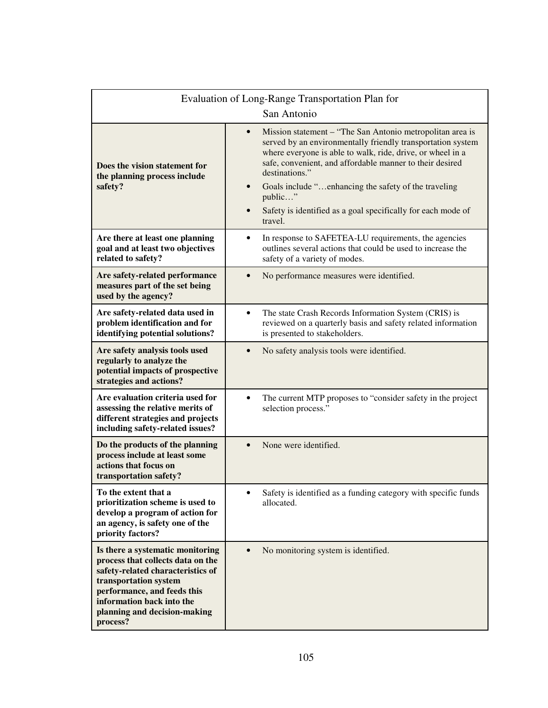| Evaluation of Long-Range Transportation Plan for                                                                                                                                                                                            |                                                                                                                                                                                                                                                                                                                                                                                                                                                           |
|---------------------------------------------------------------------------------------------------------------------------------------------------------------------------------------------------------------------------------------------|-----------------------------------------------------------------------------------------------------------------------------------------------------------------------------------------------------------------------------------------------------------------------------------------------------------------------------------------------------------------------------------------------------------------------------------------------------------|
| San Antonio                                                                                                                                                                                                                                 |                                                                                                                                                                                                                                                                                                                                                                                                                                                           |
| Does the vision statement for<br>the planning process include<br>safety?                                                                                                                                                                    | Mission statement – "The San Antonio metropolitan area is<br>$\bullet$<br>served by an environmentally friendly transportation system<br>where everyone is able to walk, ride, drive, or wheel in a<br>safe, convenient, and affordable manner to their desired<br>destinations."<br>Goals include "enhancing the safety of the traveling<br>$\bullet$<br>public"<br>Safety is identified as a goal specifically for each mode of<br>$\bullet$<br>travel. |
| Are there at least one planning<br>goal and at least two objectives<br>related to safety?                                                                                                                                                   | In response to SAFETEA-LU requirements, the agencies<br>$\bullet$<br>outlines several actions that could be used to increase the<br>safety of a variety of modes.                                                                                                                                                                                                                                                                                         |
| Are safety-related performance<br>measures part of the set being<br>used by the agency?                                                                                                                                                     | No performance measures were identified.<br>$\bullet$                                                                                                                                                                                                                                                                                                                                                                                                     |
| Are safety-related data used in<br>problem identification and for<br>identifying potential solutions?                                                                                                                                       | The state Crash Records Information System (CRIS) is<br>$\bullet$<br>reviewed on a quarterly basis and safety related information<br>is presented to stakeholders.                                                                                                                                                                                                                                                                                        |
| Are safety analysis tools used<br>regularly to analyze the<br>potential impacts of prospective<br>strategies and actions?                                                                                                                   | No safety analysis tools were identified.<br>$\bullet$                                                                                                                                                                                                                                                                                                                                                                                                    |
| Are evaluation criteria used for<br>assessing the relative merits of<br>different strategies and projects<br>including safety-related issues?                                                                                               | The current MTP proposes to "consider safety in the project<br>$\bullet$<br>selection process."                                                                                                                                                                                                                                                                                                                                                           |
| Do the products of the planning<br>process include at least some<br>actions that focus on<br>transportation safety?                                                                                                                         | None were identified.                                                                                                                                                                                                                                                                                                                                                                                                                                     |
| To the extent that a<br>prioritization scheme is used to<br>develop a program of action for<br>an agency, is safety one of the<br>priority factors?                                                                                         | Safety is identified as a funding category with specific funds<br>allocated.                                                                                                                                                                                                                                                                                                                                                                              |
| Is there a systematic monitoring<br>process that collects data on the<br>safety-related characteristics of<br>transportation system<br>performance, and feeds this<br>information back into the<br>planning and decision-making<br>process? | No monitoring system is identified.<br>$\bullet$                                                                                                                                                                                                                                                                                                                                                                                                          |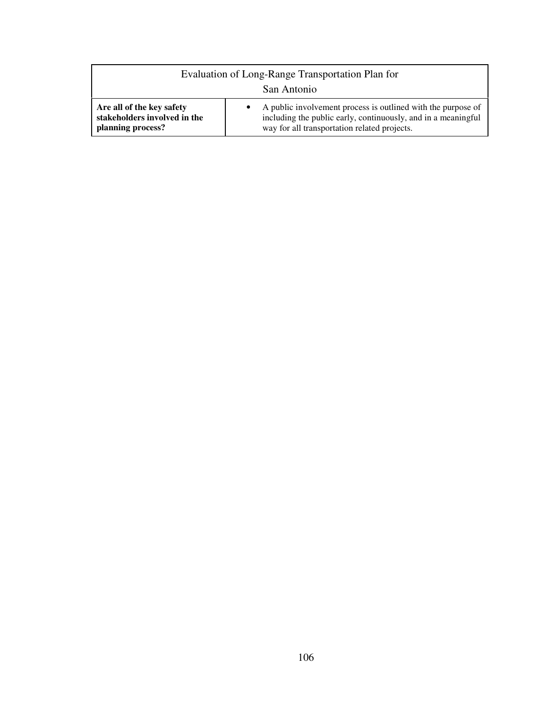| Evaluation of Long-Range Transportation Plan for                               |                                                                                                                                                                               |
|--------------------------------------------------------------------------------|-------------------------------------------------------------------------------------------------------------------------------------------------------------------------------|
| San Antonio                                                                    |                                                                                                                                                                               |
| Are all of the key safety<br>stakeholders involved in the<br>planning process? | A public involvement process is outlined with the purpose of<br>including the public early, continuously, and in a meaningful<br>way for all transportation related projects. |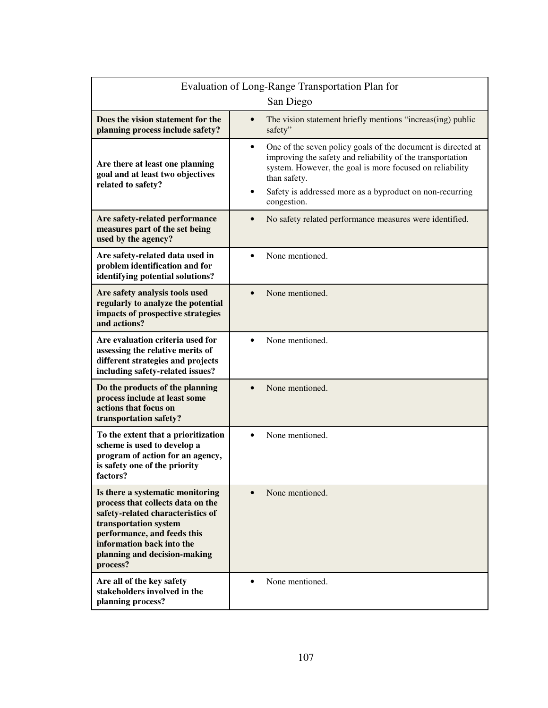| Evaluation of Long-Range Transportation Plan for<br>San Diego                                                                                                                                                                               |                                                                                                                                                                                                                                                                                                     |
|---------------------------------------------------------------------------------------------------------------------------------------------------------------------------------------------------------------------------------------------|-----------------------------------------------------------------------------------------------------------------------------------------------------------------------------------------------------------------------------------------------------------------------------------------------------|
| Does the vision statement for the<br>planning process include safety?                                                                                                                                                                       | The vision statement briefly mentions "increas(ing) public<br>$\bullet$<br>safety"                                                                                                                                                                                                                  |
| Are there at least one planning<br>goal and at least two objectives<br>related to safety?                                                                                                                                                   | One of the seven policy goals of the document is directed at<br>$\bullet$<br>improving the safety and reliability of the transportation<br>system. However, the goal is more focused on reliability<br>than safety.<br>Safety is addressed more as a byproduct on non-recurring<br>٠<br>congestion. |
| Are safety-related performance<br>measures part of the set being<br>used by the agency?                                                                                                                                                     | No safety related performance measures were identified.<br>$\bullet$                                                                                                                                                                                                                                |
| Are safety-related data used in<br>problem identification and for<br>identifying potential solutions?                                                                                                                                       | None mentioned.                                                                                                                                                                                                                                                                                     |
| Are safety analysis tools used<br>regularly to analyze the potential<br>impacts of prospective strategies<br>and actions?                                                                                                                   | None mentioned.<br>$\bullet$                                                                                                                                                                                                                                                                        |
| Are evaluation criteria used for<br>assessing the relative merits of<br>different strategies and projects<br>including safety-related issues?                                                                                               | None mentioned.                                                                                                                                                                                                                                                                                     |
| Do the products of the planning<br>process include at least some<br>actions that focus on<br>transportation safety?                                                                                                                         | None mentioned.                                                                                                                                                                                                                                                                                     |
| To the extent that a prioritization<br>scheme is used to develop a<br>program of action for an agency,<br>is safety one of the priority<br>factors?                                                                                         | None mentioned.<br>$\bullet$                                                                                                                                                                                                                                                                        |
| Is there a systematic monitoring<br>process that collects data on the<br>safety-related characteristics of<br>transportation system<br>performance, and feeds this<br>information back into the<br>planning and decision-making<br>process? | None mentioned.<br>$\bullet$                                                                                                                                                                                                                                                                        |
| Are all of the key safety<br>stakeholders involved in the<br>planning process?                                                                                                                                                              | None mentioned.<br>$\bullet$                                                                                                                                                                                                                                                                        |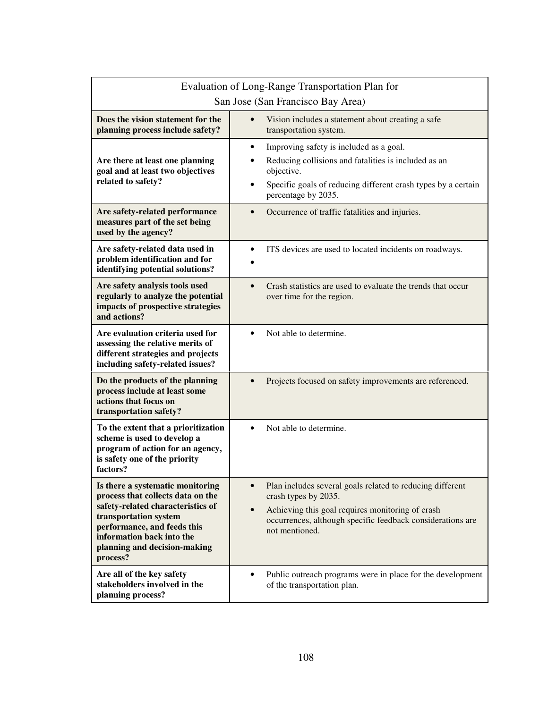| Evaluation of Long-Range Transportation Plan for<br>San Jose (San Francisco Bay Area)                                                                                                                                                       |                                                                                                                                                                                                                                                 |
|---------------------------------------------------------------------------------------------------------------------------------------------------------------------------------------------------------------------------------------------|-------------------------------------------------------------------------------------------------------------------------------------------------------------------------------------------------------------------------------------------------|
| Does the vision statement for the<br>planning process include safety?                                                                                                                                                                       | Vision includes a statement about creating a safe<br>transportation system.                                                                                                                                                                     |
| Are there at least one planning<br>goal and at least two objectives<br>related to safety?                                                                                                                                                   | Improving safety is included as a goal.<br>$\bullet$<br>Reducing collisions and fatalities is included as an<br>objective.<br>Specific goals of reducing different crash types by a certain<br>$\bullet$<br>percentage by 2035.                 |
| Are safety-related performance<br>measures part of the set being<br>used by the agency?                                                                                                                                                     | Occurrence of traffic fatalities and injuries.<br>$\bullet$                                                                                                                                                                                     |
| Are safety-related data used in<br>problem identification and for<br>identifying potential solutions?                                                                                                                                       | ITS devices are used to located incidents on roadways.<br>$\bullet$<br>$\bullet$                                                                                                                                                                |
| Are safety analysis tools used<br>regularly to analyze the potential<br>impacts of prospective strategies<br>and actions?                                                                                                                   | Crash statistics are used to evaluate the trends that occur<br>$\bullet$<br>over time for the region.                                                                                                                                           |
| Are evaluation criteria used for<br>assessing the relative merits of<br>different strategies and projects<br>including safety-related issues?                                                                                               | Not able to determine.                                                                                                                                                                                                                          |
| Do the products of the planning<br>process include at least some<br>actions that focus on<br>transportation safety?                                                                                                                         | Projects focused on safety improvements are referenced.<br>$\bullet$                                                                                                                                                                            |
| To the extent that a prioritization<br>scheme is used to develop a<br>program of action for an agency,<br>is safety one of the priority<br>factors?                                                                                         | Not able to determine.<br>$\bullet$                                                                                                                                                                                                             |
| Is there a systematic monitoring<br>process that collects data on the<br>safety-related characteristics of<br>transportation system<br>performance, and feeds this<br>information back into the<br>planning and decision-making<br>process? | Plan includes several goals related to reducing different<br>$\bullet$<br>crash types by 2035.<br>Achieving this goal requires monitoring of crash<br>$\bullet$<br>occurrences, although specific feedback considerations are<br>not mentioned. |
| Are all of the key safety<br>stakeholders involved in the<br>planning process?                                                                                                                                                              | Public outreach programs were in place for the development<br>$\bullet$<br>of the transportation plan.                                                                                                                                          |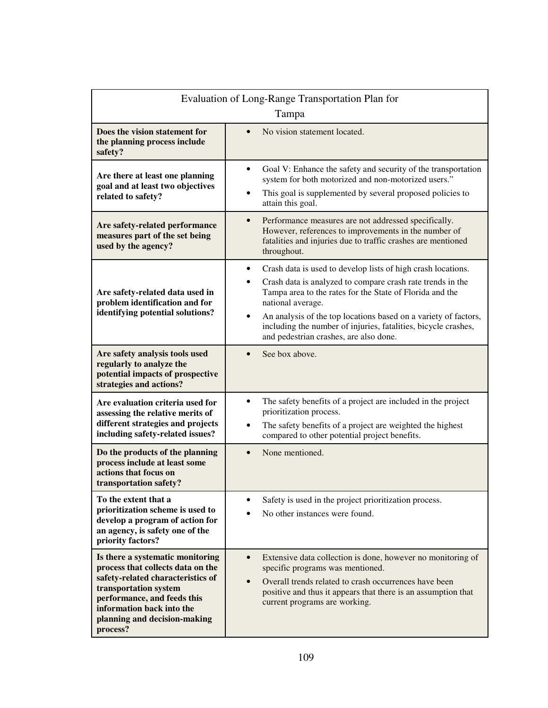| Evaluation of Long-Range Transportation Plan for                                                                                                                                                                                            |                                                                                                                                                                                                                                                                                                                                                                                                                      |
|---------------------------------------------------------------------------------------------------------------------------------------------------------------------------------------------------------------------------------------------|----------------------------------------------------------------------------------------------------------------------------------------------------------------------------------------------------------------------------------------------------------------------------------------------------------------------------------------------------------------------------------------------------------------------|
|                                                                                                                                                                                                                                             | Tampa                                                                                                                                                                                                                                                                                                                                                                                                                |
| Does the vision statement for<br>the planning process include<br>safety?                                                                                                                                                                    | No vision statement located.                                                                                                                                                                                                                                                                                                                                                                                         |
| Are there at least one planning<br>goal and at least two objectives<br>related to safety?                                                                                                                                                   | Goal V: Enhance the safety and security of the transportation<br>$\bullet$<br>system for both motorized and non-motorized users."<br>This goal is supplemented by several proposed policies to<br>$\bullet$<br>attain this goal.                                                                                                                                                                                     |
| Are safety-related performance<br>measures part of the set being<br>used by the agency?                                                                                                                                                     | Performance measures are not addressed specifically.<br>$\bullet$<br>However, references to improvements in the number of<br>fatalities and injuries due to traffic crashes are mentioned<br>throughout.                                                                                                                                                                                                             |
| Are safety-related data used in<br>problem identification and for<br>identifying potential solutions?                                                                                                                                       | Crash data is used to develop lists of high crash locations.<br>$\bullet$<br>Crash data is analyzed to compare crash rate trends in the<br>$\bullet$<br>Tampa area to the rates for the State of Florida and the<br>national average.<br>An analysis of the top locations based on a variety of factors,<br>including the number of injuries, fatalities, bicycle crashes,<br>and pedestrian crashes, are also done. |
| Are safety analysis tools used<br>regularly to analyze the<br>potential impacts of prospective<br>strategies and actions?                                                                                                                   | See box above.                                                                                                                                                                                                                                                                                                                                                                                                       |
| Are evaluation criteria used for<br>assessing the relative merits of<br>different strategies and projects<br>including safety-related issues?                                                                                               | The safety benefits of a project are included in the project<br>$\bullet$<br>prioritization process.<br>The safety benefits of a project are weighted the highest<br>$\bullet$<br>compared to other potential project benefits.                                                                                                                                                                                      |
| Do the products of the planning<br>process include at least some<br>actions that focus on<br>transportation safety?                                                                                                                         | None mentioned.<br>$\bullet$                                                                                                                                                                                                                                                                                                                                                                                         |
| To the extent that a<br>prioritization scheme is used to<br>develop a program of action for<br>an agency, is safety one of the<br>priority factors?                                                                                         | Safety is used in the project prioritization process.<br>٠<br>No other instances were found.                                                                                                                                                                                                                                                                                                                         |
| Is there a systematic monitoring<br>process that collects data on the<br>safety-related characteristics of<br>transportation system<br>performance, and feeds this<br>information back into the<br>planning and decision-making<br>process? | $\bullet$<br>Extensive data collection is done, however no monitoring of<br>specific programs was mentioned.<br>Overall trends related to crash occurrences have been<br>$\bullet$<br>positive and thus it appears that there is an assumption that<br>current programs are working.                                                                                                                                 |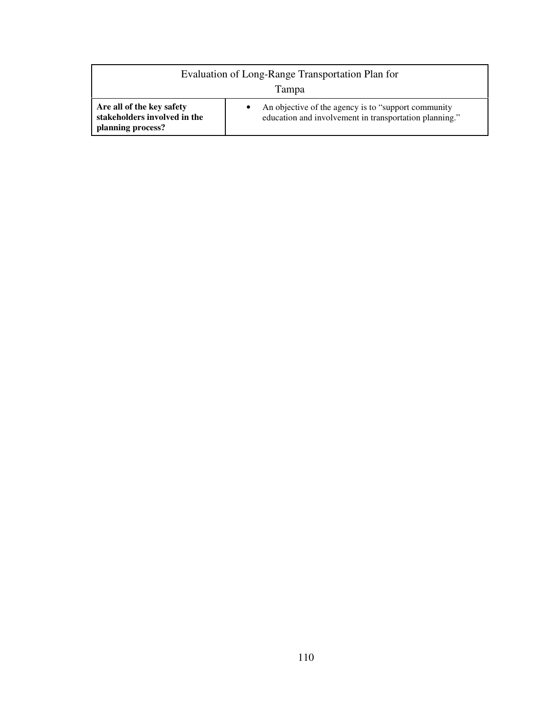| Evaluation of Long-Range Transportation Plan for                               |                                                                                                                |
|--------------------------------------------------------------------------------|----------------------------------------------------------------------------------------------------------------|
| Tampa                                                                          |                                                                                                                |
| Are all of the key safety<br>stakeholders involved in the<br>planning process? | An objective of the agency is to "support community"<br>education and involvement in transportation planning." |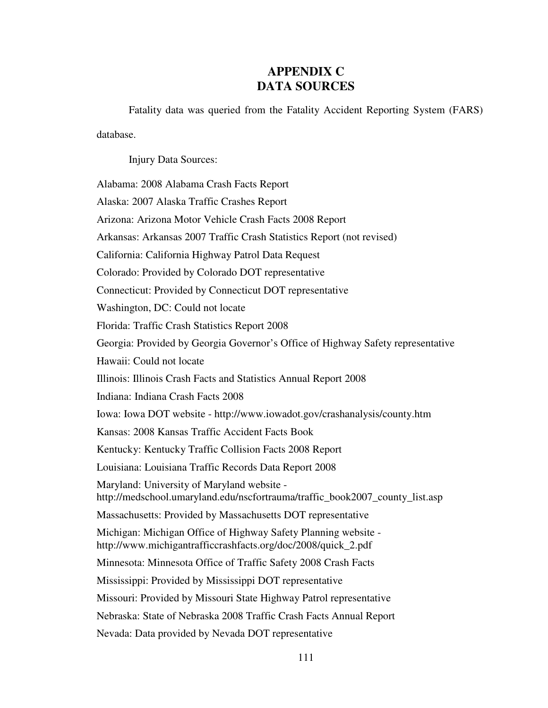## **APPENDIX C DATA SOURCES**

Fatality data was queried from the Fatality Accident Reporting System (FARS) database.

Injury Data Sources:

Alabama: 2008 Alabama Crash Facts Report Alaska: 2007 Alaska Traffic Crashes Report Arizona: Arizona Motor Vehicle Crash Facts 2008 Report Arkansas: Arkansas 2007 Traffic Crash Statistics Report (not revised) California: California Highway Patrol Data Request Colorado: Provided by Colorado DOT representative Connecticut: Provided by Connecticut DOT representative Washington, DC: Could not locate Florida: Traffic Crash Statistics Report 2008 Georgia: Provided by Georgia Governor's Office of Highway Safety representative Hawaii: Could not locate Illinois: Illinois Crash Facts and Statistics Annual Report 2008 Indiana: Indiana Crash Facts 2008 Iowa: Iowa DOT website - http://www.iowadot.gov/crashanalysis/county.htm Kansas: 2008 Kansas Traffic Accident Facts Book Kentucky: Kentucky Traffic Collision Facts 2008 Report Louisiana: Louisiana Traffic Records Data Report 2008 Maryland: University of Maryland website http://medschool.umaryland.edu/nscfortrauma/traffic\_book2007\_county\_list.asp Massachusetts: Provided by Massachusetts DOT representative Michigan: Michigan Office of Highway Safety Planning website http://www.michigantrafficcrashfacts.org/doc/2008/quick\_2.pdf Minnesota: Minnesota Office of Traffic Safety 2008 Crash Facts Mississippi: Provided by Mississippi DOT representative Missouri: Provided by Missouri State Highway Patrol representative Nebraska: State of Nebraska 2008 Traffic Crash Facts Annual Report Nevada: Data provided by Nevada DOT representative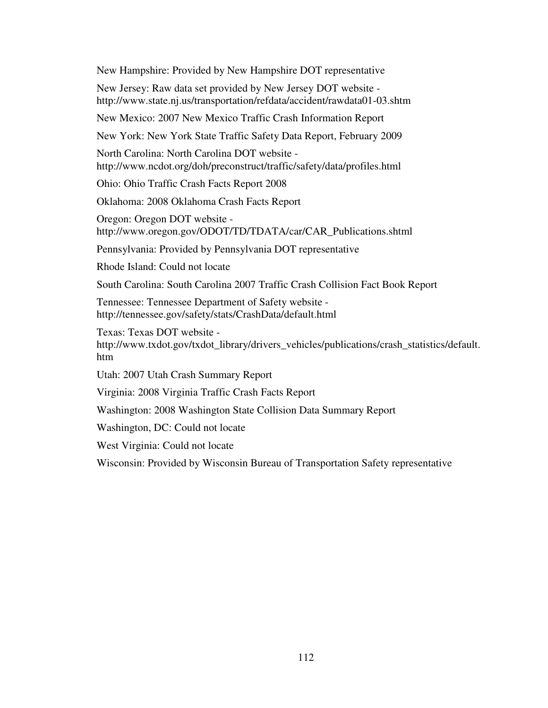New Hampshire: Provided by New Hampshire DOT representative

New Jersey: Raw data set provided by New Jersey DOT website http://www.state.nj.us/transportation/refdata/accident/rawdata01-03.shtm

New Mexico: 2007 New Mexico Traffic Crash Information Report

New York: New York State Traffic Safety Data Report, February 2009

North Carolina: North Carolina DOT website http://www.ncdot.org/doh/preconstruct/traffic/safety/data/profiles.html

Ohio: Ohio Traffic Crash Facts Report 2008

Oklahoma: 2008 Oklahoma Crash Facts Report

Oregon: Oregon DOT website http://www.oregon.gov/ODOT/TD/TDATA/car/CAR\_Publications.shtml

Pennsylvania: Provided by Pennsylvania DOT representative

Rhode Island: Could not locate

South Carolina: South Carolina 2007 Traffic Crash Collision Fact Book Report

Tennessee: Tennessee Department of Safety website http://tennessee.gov/safety/stats/CrashData/default.html

Texas: Texas DOT website http://www.txdot.gov/txdot\_library/drivers\_vehicles/publications/crash\_statistics/default. htm

Utah: 2007 Utah Crash Summary Report

Virginia: 2008 Virginia Traffic Crash Facts Report

Washington: 2008 Washington State Collision Data Summary Report

Washington, DC: Could not locate

West Virginia: Could not locate

Wisconsin: Provided by Wisconsin Bureau of Transportation Safety representative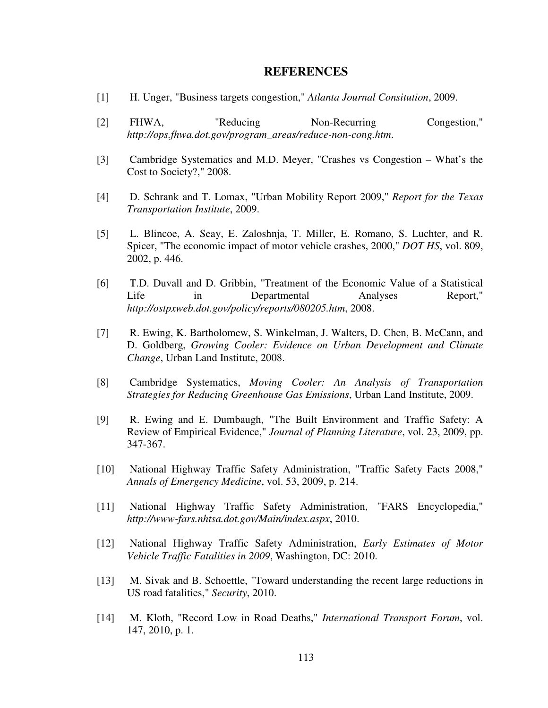## **REFERENCES**

- [1] H. Unger, "Business targets congestion," *Atlanta Journal Consitution*, 2009.
- [2] FHWA, "Reducing Non-Recurring Congestion," *http://ops.fhwa.dot.gov/program\_areas/reduce-non-cong.htm*.
- [3] Cambridge Systematics and M.D. Meyer, "Crashes vs Congestion What's the Cost to Society?," 2008.
- [4] D. Schrank and T. Lomax, "Urban Mobility Report 2009," *Report for the Texas Transportation Institute*, 2009.
- [5] L. Blincoe, A. Seay, E. Zaloshnja, T. Miller, E. Romano, S. Luchter, and R. Spicer, "The economic impact of motor vehicle crashes, 2000," *DOT HS*, vol. 809, 2002, p. 446.
- [6] T.D. Duvall and D. Gribbin, "Treatment of the Economic Value of a Statistical Life in Departmental Analyses Report," *http://ostpxweb.dot.gov/policy/reports/080205.htm*, 2008.
- [7] R. Ewing, K. Bartholomew, S. Winkelman, J. Walters, D. Chen, B. McCann, and D. Goldberg, *Growing Cooler: Evidence on Urban Development and Climate Change*, Urban Land Institute, 2008.
- [8] Cambridge Systematics, *Moving Cooler: An Analysis of Transportation Strategies for Reducing Greenhouse Gas Emissions*, Urban Land Institute, 2009.
- [9] R. Ewing and E. Dumbaugh, "The Built Environment and Traffic Safety: A Review of Empirical Evidence," *Journal of Planning Literature*, vol. 23, 2009, pp. 347-367.
- [10] National Highway Traffic Safety Administration, "Traffic Safety Facts 2008," *Annals of Emergency Medicine*, vol. 53, 2009, p. 214.
- [11] National Highway Traffic Safety Administration, "FARS Encyclopedia," *http://www-fars.nhtsa.dot.gov/Main/index.aspx*, 2010.
- [12] National Highway Traffic Safety Administration, *Early Estimates of Motor Vehicle Traffic Fatalities in 2009*, Washington, DC: 2010.
- [13] M. Sivak and B. Schoettle, "Toward understanding the recent large reductions in US road fatalities," *Security*, 2010.
- [14] M. Kloth, "Record Low in Road Deaths," *International Transport Forum*, vol. 147, 2010, p. 1.